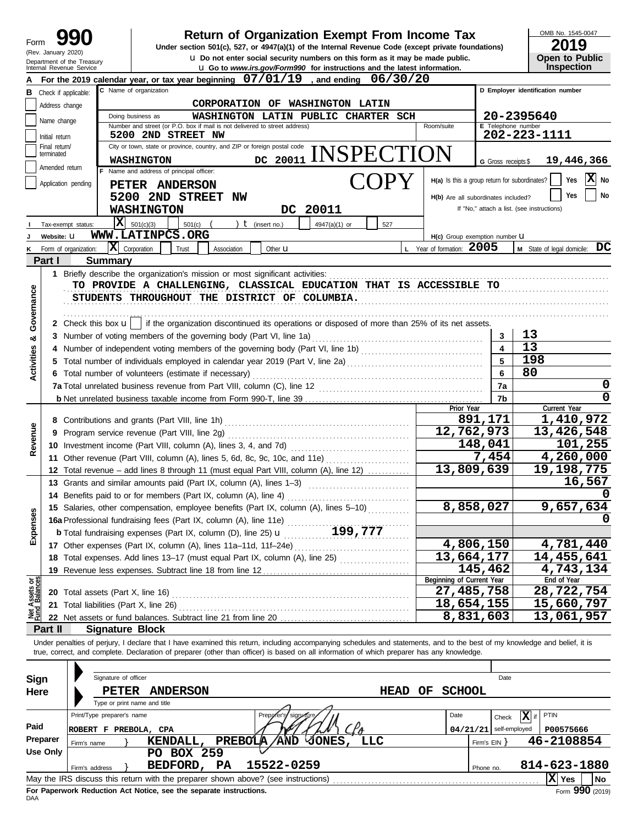| Form                          | (Rev. January 2020)         | Return of Organization Exempt From Income Tax<br>Under section 501(c), 527, or 4947(a)(1) of the Internal Revenue Code (except private foundations)<br><b>u</b> Do not enter social security numbers on this form as it may be made public.<br>Department of the Treasury                                                |                                               |                          | OMB No. 1545-0047<br>2019<br><b>Open to Public</b> |
|-------------------------------|-----------------------------|--------------------------------------------------------------------------------------------------------------------------------------------------------------------------------------------------------------------------------------------------------------------------------------------------------------------------|-----------------------------------------------|--------------------------|----------------------------------------------------|
|                               |                             | <b>u</b> Go to www.irs.gov/Form990 for instructions and the latest information.<br>Internal Revenue Service<br>For the 2019 calendar year, or tax year beginning $07/01/19$ , and ending                                                                                                                                 |                                               |                          | <b>Inspection</b>                                  |
|                               |                             | 06/30/20<br>C Name of organization                                                                                                                                                                                                                                                                                       |                                               |                          | D Employer identification number                   |
|                               | Address change              | <b>B</b> Check if applicable:<br>CORPORATION OF WASHINGTON LATIN                                                                                                                                                                                                                                                         |                                               |                          |                                                    |
|                               |                             | WASHINGTON LATIN PUBLIC CHARTER<br>Doing business as<br>SCH                                                                                                                                                                                                                                                              |                                               |                          | 20-2395640                                         |
|                               | Name change                 | Number and street (or P.O. box if mail is not delivered to street address)                                                                                                                                                                                                                                               | Room/suite                                    | E Telephone number       |                                                    |
|                               | Initial return              | 5200 2ND STREET NW                                                                                                                                                                                                                                                                                                       |                                               |                          | 202-223-1111                                       |
|                               | Final return/<br>terminated | City or town, state or province, country, and ZIP or foreign postal code<br>DC 20011 INSPECTION                                                                                                                                                                                                                          |                                               |                          |                                                    |
|                               | Amended return              | <b>WASHINGTON</b><br>F Name and address of principal officer:                                                                                                                                                                                                                                                            |                                               | G Gross receipts \$      | 19,446,366                                         |
|                               |                             | COPY<br>Application pending<br>PETER ANDERSON                                                                                                                                                                                                                                                                            | H(a) Is this a group return for subordinates? |                          | $ \mathbf{X} $ No<br>Yes                           |
|                               |                             | 5200 2ND STREET<br>NW                                                                                                                                                                                                                                                                                                    | H(b) Are all subordinates included?           |                          | No<br>Yes                                          |
|                               |                             | <b>WASHINGTON</b><br>DC 20011                                                                                                                                                                                                                                                                                            |                                               |                          | If "No," attach a list. (see instructions)         |
|                               |                             | X<br>501(c)(3)<br>501(c)<br>$t$ (insert no.)<br>4947(a)(1) or<br>527                                                                                                                                                                                                                                                     |                                               |                          |                                                    |
|                               | Website: U                  | Tax-exempt status:<br><b>WWW.LATINPCS.ORG</b>                                                                                                                                                                                                                                                                            | H(c) Group exemption number LI                |                          |                                                    |
|                               |                             | $ \mathbf{X} $ Corporation<br>Other $\mathbf u$<br>Form of organization:<br>Trust<br>Association                                                                                                                                                                                                                         | L Year of formation: 2005                     |                          | DC<br>M State of legal domicile:                   |
|                               | Part I                      | <b>Summary</b>                                                                                                                                                                                                                                                                                                           |                                               |                          |                                                    |
|                               |                             |                                                                                                                                                                                                                                                                                                                          |                                               |                          |                                                    |
| Governance                    |                             | TO PROVIDE A CHALLENGING, CLASSICAL EDUCATION THAT IS ACCESSIBLE TO<br>STUDENTS THROUGHOUT THE DISTRICT OF COLUMBIA.                                                                                                                                                                                                     |                                               |                          |                                                    |
|                               |                             | 2 Check this box $\mathbf{u}$   if the organization discontinued its operations or disposed of more than 25% of its net assets.                                                                                                                                                                                          |                                               |                          | 13                                                 |
| య                             |                             | 3 Number of voting members of the governing body (Part VI, line 1a)                                                                                                                                                                                                                                                      |                                               | 3                        | 13                                                 |
|                               |                             |                                                                                                                                                                                                                                                                                                                          |                                               | 5                        | 198                                                |
| Activities                    |                             | 6 Total number of volunteers (estimate if necessary)                                                                                                                                                                                                                                                                     |                                               | 6                        | 80                                                 |
|                               |                             |                                                                                                                                                                                                                                                                                                                          |                                               | 7a                       | 0                                                  |
|                               |                             |                                                                                                                                                                                                                                                                                                                          |                                               | 7b                       | 0                                                  |
|                               |                             |                                                                                                                                                                                                                                                                                                                          | Prior Year                                    |                          | Current Year                                       |
|                               |                             |                                                                                                                                                                                                                                                                                                                          |                                               | 891,171                  | 1,410,972                                          |
|                               |                             |                                                                                                                                                                                                                                                                                                                          | 12,762,973                                    |                          | 13,426,548                                         |
| Revenue                       |                             | 10 Investment income (Part VIII, column (A), lines 3, 4, and 7d)                                                                                                                                                                                                                                                         |                                               | 148,041                  | 101,255                                            |
|                               |                             | 11 Other revenue (Part VIII, column (A), lines 5, 6d, 8c, 9c, 10c, and 11e)<br><u> 1986 - Johann Stoff, martin film ar yn y brenin y brenin y brenin y brenin y brenin y brenin y brenin y breni</u>                                                                                                                     |                                               | 7,454                    | 4,260,000                                          |
|                               |                             | 12 Total revenue - add lines 8 through 11 (must equal Part VIII, column (A), line 12)                                                                                                                                                                                                                                    | 13,809,639                                    |                          | 19, 198, 775                                       |
|                               |                             | 13 Grants and similar amounts paid (Part IX, column (A), lines 1-3)                                                                                                                                                                                                                                                      |                                               |                          | 16,567                                             |
|                               |                             |                                                                                                                                                                                                                                                                                                                          |                                               |                          | $\mathbf 0$                                        |
|                               |                             | 15 Salaries, other compensation, employee benefits (Part IX, column (A), lines 5-10)                                                                                                                                                                                                                                     |                                               | 8,858,027                | $\overline{9}$ , 657, 634                          |
| Expenses                      |                             | 16a Professional fundraising fees (Part IX, column (A), line 11e)                                                                                                                                                                                                                                                        |                                               |                          |                                                    |
|                               |                             | 199,777<br><b>b</b> Total fundraising expenses (Part IX, column (D), line 25) <b>u</b><br>.                                                                                                                                                                                                                              |                                               |                          |                                                    |
|                               |                             |                                                                                                                                                                                                                                                                                                                          |                                               | 4,806,150                | 4,781,440                                          |
|                               |                             | 18 Total expenses. Add lines 13-17 (must equal Part IX, column (A), line 25)                                                                                                                                                                                                                                             | 13,664,177                                    |                          | $\overline{14}$ , 455, 641                         |
|                               |                             | 19 Revenue less expenses. Subtract line 18 from line 12                                                                                                                                                                                                                                                                  | Beginning of Current Year                     | 145,462                  | $\overline{4,743,134}$<br>End of Year              |
| Net Assets or<br>und Balances |                             | 20 Total assets (Part X, line 16)                                                                                                                                                                                                                                                                                        | 27,485,758                                    |                          | 28,722,754                                         |
|                               |                             | 21 Total liabilities (Part X, line 26)                                                                                                                                                                                                                                                                                   | 18,654,155                                    |                          | 15,660,797                                         |
|                               |                             |                                                                                                                                                                                                                                                                                                                          |                                               | 8,831,603                | 13,061,957                                         |
|                               | Part II                     | <b>Signature Block</b>                                                                                                                                                                                                                                                                                                   |                                               |                          |                                                    |
|                               |                             | Under penalties of perjury, I declare that I have examined this return, including accompanying schedules and statements, and to the best of my knowledge and belief, it is<br>true, correct, and complete. Declaration of preparer (other than officer) is based on all information of which preparer has any knowledge. |                                               |                          |                                                    |
|                               |                             | Signature of officer                                                                                                                                                                                                                                                                                                     |                                               | Date                     |                                                    |
| Sign                          |                             |                                                                                                                                                                                                                                                                                                                          |                                               |                          |                                                    |
| Here                          |                             | <b>ANDERSON</b><br><b>HEAD</b><br><b>PETER</b><br>Type or print name and title                                                                                                                                                                                                                                           | <b>SCHOOL</b><br>OF                           |                          |                                                    |
|                               |                             | Print/Type preparer's name<br>Preparer's<br>signedur                                                                                                                                                                                                                                                                     | Date                                          |                          | $\mathbf{X}$ if<br>PTIN                            |
| Paid                          |                             | Po                                                                                                                                                                                                                                                                                                                       |                                               | Check                    |                                                    |
|                               | Preparer                    | ROBERT F PREBOLA, CPA<br>PREBOLA<br><b>VONES,</b><br>KENDALL,<br>LLC<br>'AND                                                                                                                                                                                                                                             |                                               | $04/21/21$ self-employed | P00575666<br>46-2108854                            |
|                               | <b>Use Only</b>             | Firm's name<br><b>PO BOX 259</b>                                                                                                                                                                                                                                                                                         |                                               | Firm's EIN               |                                                    |
|                               |                             | 15522-0259<br>BEDFORD,<br>PA<br>Firm's address                                                                                                                                                                                                                                                                           |                                               | Phone no.                | 814-623-1880                                       |
|                               |                             | May the IRS discuss this return with the preparer shown above? (see instructions)                                                                                                                                                                                                                                        |                                               |                          | $ \mathbf{\overline{X}} $ Yes<br><b>No</b>         |

|                                                                                                                                                                                                                                                                                                                                                                                                                                                                                                                                                                                                 |  |  |  |  |      |    |  | Date |            |        |    |
|-------------------------------------------------------------------------------------------------------------------------------------------------------------------------------------------------------------------------------------------------------------------------------------------------------------------------------------------------------------------------------------------------------------------------------------------------------------------------------------------------------------------------------------------------------------------------------------------------|--|--|--|--|------|----|--|------|------------|--------|----|
| Here                                                                                                                                                                                                                                                                                                                                                                                                                                                                                                                                                                                            |  |  |  |  | HEAD | OF |  |      |            |        |    |
|                                                                                                                                                                                                                                                                                                                                                                                                                                                                                                                                                                                                 |  |  |  |  |      |    |  |      |            |        |    |
| Signature of officer<br>Sign<br><b>ANDERSON</b><br><b>SCHOOL</b><br><b>PETER</b><br>Type or print name and title<br>$ \mathbf{X} $ if<br>PTIN<br>Print/Type preparer's name<br>Date<br>Preparer's signature<br>Check<br>Paid<br>$04/21/21$ self-employed<br>ROBERT F PREBOLA, CPA<br>Preparer<br>PREBOLA AND<br>LLC<br>KENDALL,<br><b>VJONES</b><br>Firm's $EIN$<br>Firm's name<br>Use Only<br><b>BOX 259</b><br>PO.<br>814-623-1880<br>15522-0259<br><b>PA</b><br>BEDFORD,<br>Phone no.<br>Firm's address<br>May the IRS discuss this return with the preparer shown above? (see instructions) |  |  |  |  |      |    |  |      |            |        |    |
|                                                                                                                                                                                                                                                                                                                                                                                                                                                                                                                                                                                                 |  |  |  |  |      |    |  |      | P00575666  |        |    |
|                                                                                                                                                                                                                                                                                                                                                                                                                                                                                                                                                                                                 |  |  |  |  |      |    |  |      | 46-2108854 |        |    |
|                                                                                                                                                                                                                                                                                                                                                                                                                                                                                                                                                                                                 |  |  |  |  |      |    |  |      |            |        |    |
|                                                                                                                                                                                                                                                                                                                                                                                                                                                                                                                                                                                                 |  |  |  |  |      |    |  |      |            |        |    |
|                                                                                                                                                                                                                                                                                                                                                                                                                                                                                                                                                                                                 |  |  |  |  |      |    |  |      | <b>Yes</b> |        | No |
|                                                                                                                                                                                                                                                                                                                                                                                                                                                                                                                                                                                                 |  |  |  |  |      |    |  |      |            | $\sim$ |    |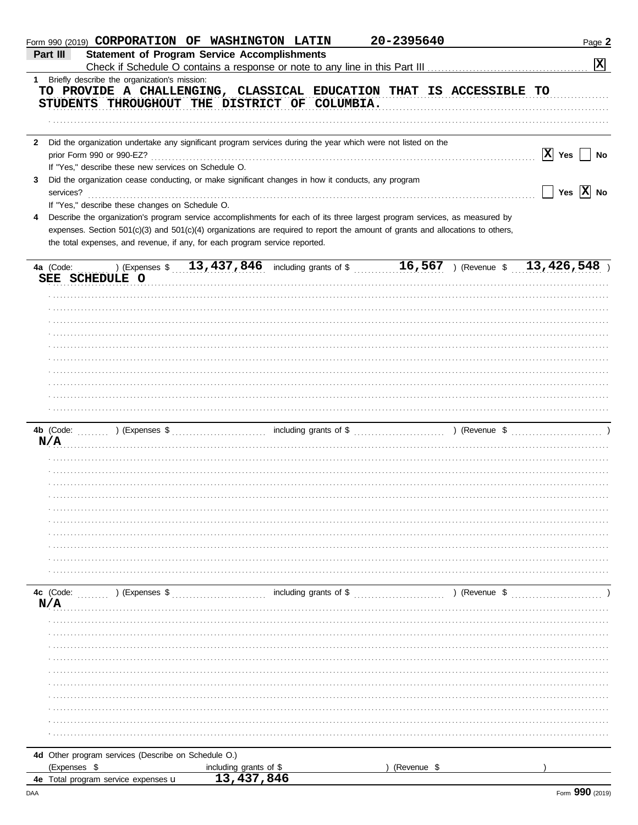|   | 20-2395640<br>Form 990 (2019) CORPORATION OF WASHINGTON LATIN                                                                                                                                                                                              | Page 2                      |
|---|------------------------------------------------------------------------------------------------------------------------------------------------------------------------------------------------------------------------------------------------------------|-----------------------------|
|   | <b>Statement of Program Service Accomplishments</b><br>Part III                                                                                                                                                                                            |                             |
|   |                                                                                                                                                                                                                                                            | $\mathbf{x}$                |
|   | 1 Briefly describe the organization's mission:<br>TO PROVIDE A CHALLENGING, CLASSICAL EDUCATION THAT IS ACCESSIBLE TO<br>STUDENTS THROUGHOUT THE DISTRICT OF COLUMBIA.                                                                                     |                             |
|   |                                                                                                                                                                                                                                                            |                             |
|   | 2 Did the organization undertake any significant program services during the year which were not listed on the                                                                                                                                             |                             |
|   | prior Form 990 or 990-EZ?<br>If "Yes," describe these new services on Schedule O.                                                                                                                                                                          | $ X $ Yes<br>No             |
| 3 | Did the organization cease conducting, or make significant changes in how it conducts, any program<br>services?                                                                                                                                            | Yes $\boxed{\mathbf{X}}$ No |
|   | If "Yes," describe these changes on Schedule O.                                                                                                                                                                                                            |                             |
|   | Describe the organization's program service accomplishments for each of its three largest program services, as measured by                                                                                                                                 |                             |
|   | expenses. Section 501(c)(3) and 501(c)(4) organizations are required to report the amount of grants and allocations to others,<br>the total expenses, and revenue, if any, for each program service reported.                                              |                             |
|   |                                                                                                                                                                                                                                                            |                             |
|   | ) (Expenses \$ 13,437,846 including grants of \$ 16,567 ) (Revenue \$ 13,426,548<br>4a (Code:<br>SEE SCHEDULE O                                                                                                                                            |                             |
|   |                                                                                                                                                                                                                                                            |                             |
|   |                                                                                                                                                                                                                                                            |                             |
|   |                                                                                                                                                                                                                                                            |                             |
|   |                                                                                                                                                                                                                                                            |                             |
|   |                                                                                                                                                                                                                                                            |                             |
|   |                                                                                                                                                                                                                                                            |                             |
|   |                                                                                                                                                                                                                                                            |                             |
|   |                                                                                                                                                                                                                                                            |                             |
|   |                                                                                                                                                                                                                                                            |                             |
|   | ) (Expenses $\frac{1}{2}$ (Expenses $\frac{1}{2}$ molume section of $\frac{1}{2}$ molume section of $\frac{1}{2}$ molecular molecular molecular molecular molecular molecular molecular molecular molecular molecular molecular molecular mol<br>4b (Code: |                             |
|   | N/A                                                                                                                                                                                                                                                        |                             |
|   |                                                                                                                                                                                                                                                            |                             |
|   |                                                                                                                                                                                                                                                            |                             |
|   |                                                                                                                                                                                                                                                            |                             |
|   |                                                                                                                                                                                                                                                            |                             |
|   |                                                                                                                                                                                                                                                            |                             |
|   |                                                                                                                                                                                                                                                            |                             |
|   |                                                                                                                                                                                                                                                            |                             |
|   |                                                                                                                                                                                                                                                            |                             |
|   |                                                                                                                                                                                                                                                            |                             |
|   |                                                                                                                                                                                                                                                            |                             |
|   | 4c (Code:<br>including grants of \$<br>) (Revenue \$<br>) (Expenses \$<br>N/A                                                                                                                                                                              |                             |
|   |                                                                                                                                                                                                                                                            |                             |
|   |                                                                                                                                                                                                                                                            |                             |
|   |                                                                                                                                                                                                                                                            |                             |
|   |                                                                                                                                                                                                                                                            |                             |
|   |                                                                                                                                                                                                                                                            |                             |
|   |                                                                                                                                                                                                                                                            |                             |
|   |                                                                                                                                                                                                                                                            |                             |
|   |                                                                                                                                                                                                                                                            |                             |
|   |                                                                                                                                                                                                                                                            |                             |
|   |                                                                                                                                                                                                                                                            |                             |
|   | 4d Other program services (Describe on Schedule O.)                                                                                                                                                                                                        |                             |
|   | (Expenses \$<br>including grants of \$<br>(Revenue \$                                                                                                                                                                                                      |                             |
|   | 13,437,846<br>4e Total program service expenses u                                                                                                                                                                                                          |                             |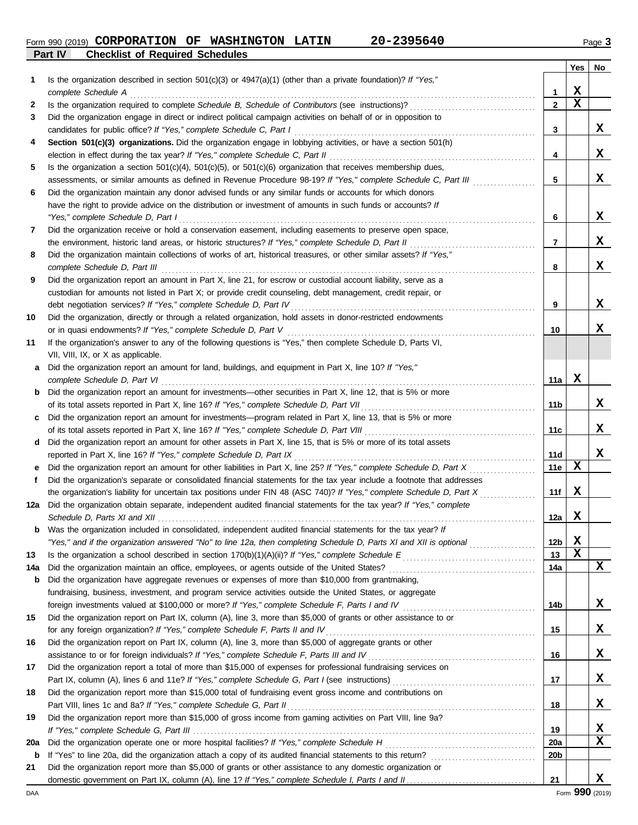**Part IV Checklist of Required Schedules Form 990 (2019) CORPORATION OF WASHINGTON LATIN 20-2395640** Page 3

|     |                                                                                                                                                                                                                                        |                 | Yes         | No |
|-----|----------------------------------------------------------------------------------------------------------------------------------------------------------------------------------------------------------------------------------------|-----------------|-------------|----|
| 1   | Is the organization described in section $501(c)(3)$ or $4947(a)(1)$ (other than a private foundation)? If "Yes,"<br>complete Schedule A                                                                                               | 1               | X           |    |
| 2   |                                                                                                                                                                                                                                        | $\mathbf{2}$    | $\mathbf x$ |    |
| 3   | Did the organization engage in direct or indirect political campaign activities on behalf of or in opposition to                                                                                                                       |                 |             |    |
|     | candidates for public office? If "Yes," complete Schedule C, Part I                                                                                                                                                                    | 3               |             | X  |
| 4   | Section 501(c)(3) organizations. Did the organization engage in lobbying activities, or have a section 501(h)                                                                                                                          |                 |             | X  |
|     | election in effect during the tax year? If "Yes," complete Schedule C, Part II                                                                                                                                                         | 4               |             |    |
| 5   | Is the organization a section $501(c)(4)$ , $501(c)(5)$ , or $501(c)(6)$ organization that receives membership dues,<br>assessments, or similar amounts as defined in Revenue Procedure 98-19? If "Yes," complete Schedule C, Part III | 5               |             | X  |
| 6   | Did the organization maintain any donor advised funds or any similar funds or accounts for which donors                                                                                                                                |                 |             |    |
|     | have the right to provide advice on the distribution or investment of amounts in such funds or accounts? If                                                                                                                            |                 |             |    |
|     | "Yes," complete Schedule D, Part I                                                                                                                                                                                                     | 6               |             | X  |
| 7   | Did the organization receive or hold a conservation easement, including easements to preserve open space,                                                                                                                              |                 |             |    |
|     | the environment, historic land areas, or historic structures? If "Yes," complete Schedule D, Part II                                                                                                                                   | 7               |             | X  |
| 8   | Did the organization maintain collections of works of art, historical treasures, or other similar assets? If "Yes,"                                                                                                                    |                 |             |    |
|     | complete Schedule D, Part III                                                                                                                                                                                                          | 8               |             | X  |
| 9   | Did the organization report an amount in Part X, line 21, for escrow or custodial account liability, serve as a                                                                                                                        |                 |             |    |
|     | custodian for amounts not listed in Part X; or provide credit counseling, debt management, credit repair, or                                                                                                                           |                 |             |    |
|     | debt negotiation services? If "Yes," complete Schedule D, Part IV                                                                                                                                                                      | 9               |             | x  |
| 10  | Did the organization, directly or through a related organization, hold assets in donor-restricted endowments                                                                                                                           |                 |             |    |
|     | or in quasi endowments? If "Yes," complete Schedule D, Part V                                                                                                                                                                          | 10              |             | х  |
| 11  | If the organization's answer to any of the following questions is "Yes," then complete Schedule D, Parts VI,                                                                                                                           |                 |             |    |
|     | VII, VIII, IX, or X as applicable.                                                                                                                                                                                                     |                 |             |    |
| a   | Did the organization report an amount for land, buildings, and equipment in Part X, line 10? If "Yes,"                                                                                                                                 |                 |             |    |
|     | complete Schedule D, Part VI                                                                                                                                                                                                           | 11a             | х           |    |
| b   | Did the organization report an amount for investments—other securities in Part X, line 12, that is 5% or more<br>of its total assets reported in Part X, line 16? If "Yes," complete Schedule D, Part VII                              | 11b             |             | x  |
|     | Did the organization report an amount for investments—program related in Part X, line 13, that is 5% or more                                                                                                                           |                 |             |    |
|     | of its total assets reported in Part X, line 16? If "Yes," complete Schedule D, Part VIII                                                                                                                                              | 11c             |             | x  |
| d   | Did the organization report an amount for other assets in Part X, line 15, that is 5% or more of its total assets                                                                                                                      |                 |             |    |
|     | reported in Part X, line 16? If "Yes," complete Schedule D, Part IX                                                                                                                                                                    | 11d             |             | х  |
| е   |                                                                                                                                                                                                                                        | 11e             | X           |    |
| f   | Did the organization's separate or consolidated financial statements for the tax year include a footnote that addresses                                                                                                                |                 |             |    |
|     | the organization's liability for uncertain tax positions under FIN 48 (ASC 740)? If "Yes," complete Schedule D, Part X [[[[[[[[[[[[[[[[[[[[[[[[[[[]]]]]]]]]                                                                            | 11f             | X           |    |
| 12a | Did the organization obtain separate, independent audited financial statements for the tax year? If "Yes," complete                                                                                                                    |                 |             |    |
|     |                                                                                                                                                                                                                                        | 12a             | X           |    |
|     | <b>b</b> Was the organization included in consolidated, independent audited financial statements for the tax year? If                                                                                                                  |                 |             |    |
|     | "Yes," and if the organization answered "No" to line 12a, then completing Schedule D, Parts XI and XII is optional                                                                                                                     | 12 <sub>b</sub> | х           |    |
| 13  |                                                                                                                                                                                                                                        | 13              | X           |    |
| 14a |                                                                                                                                                                                                                                        | 14a             |             | X  |
| b   | Did the organization have aggregate revenues or expenses of more than \$10,000 from grantmaking,<br>fundraising, business, investment, and program service activities outside the United States, or aggregate                          |                 |             |    |
|     |                                                                                                                                                                                                                                        | 14b             |             | X  |
| 15  | Did the organization report on Part IX, column (A), line 3, more than \$5,000 of grants or other assistance to or                                                                                                                      |                 |             |    |
|     | for any foreign organization? If "Yes," complete Schedule F, Parts II and IV                                                                                                                                                           | 15              |             | X  |
| 16  | Did the organization report on Part IX, column (A), line 3, more than \$5,000 of aggregate grants or other                                                                                                                             |                 |             |    |
|     | assistance to or for foreign individuals? If "Yes," complete Schedule F, Parts III and IV [[[[[[[[[[[[[[[[[[[                                                                                                                          | 16              |             | X  |
| 17  | Did the organization report a total of more than \$15,000 of expenses for professional fundraising services on                                                                                                                         |                 |             |    |
|     |                                                                                                                                                                                                                                        | 17              |             | X  |
| 18  | Did the organization report more than \$15,000 total of fundraising event gross income and contributions on                                                                                                                            |                 |             |    |
|     |                                                                                                                                                                                                                                        | 18              |             | X  |
| 19  | Did the organization report more than \$15,000 of gross income from gaming activities on Part VIII, line 9a?                                                                                                                           |                 |             |    |
|     |                                                                                                                                                                                                                                        | 19              |             | х  |
| 20a |                                                                                                                                                                                                                                        | <b>20a</b>      |             | X  |
| b   |                                                                                                                                                                                                                                        | 20 <sub>b</sub> |             |    |
| 21  | Did the organization report more than \$5,000 of grants or other assistance to any domestic organization or                                                                                                                            |                 |             |    |
|     |                                                                                                                                                                                                                                        | 21              |             | X  |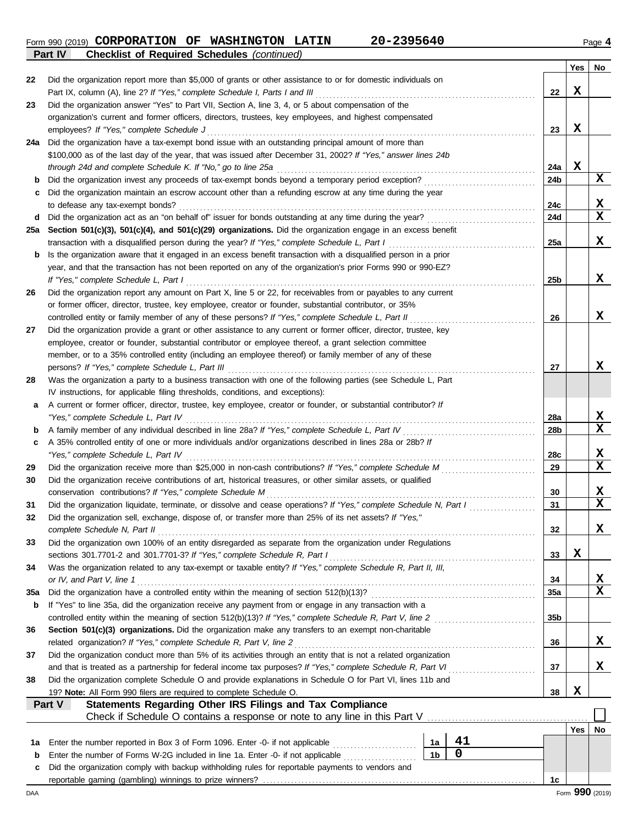**Form 990 (2019) CORPORATION OF WASHINGTON LATIN 20-2395640** Page 4 **Part IV Checklist of Required Schedules** *(continued)*

|             |                                                                                                                                                                                                                   |                 | Yes | No     |
|-------------|-------------------------------------------------------------------------------------------------------------------------------------------------------------------------------------------------------------------|-----------------|-----|--------|
| 22          | Did the organization report more than \$5,000 of grants or other assistance to or for domestic individuals on                                                                                                     |                 |     |        |
|             | Part IX, column (A), line 2? If "Yes," complete Schedule I, Parts I and III                                                                                                                                       | 22              | x   |        |
| 23          | Did the organization answer "Yes" to Part VII, Section A, line 3, 4, or 5 about compensation of the                                                                                                               |                 |     |        |
|             | organization's current and former officers, directors, trustees, key employees, and highest compensated                                                                                                           |                 |     |        |
|             | employees? If "Yes," complete Schedule J                                                                                                                                                                          | 23              | х   |        |
| 24a         | Did the organization have a tax-exempt bond issue with an outstanding principal amount of more than                                                                                                               |                 |     |        |
|             | \$100,000 as of the last day of the year, that was issued after December 31, 2002? If "Yes," answer lines 24b                                                                                                     |                 |     |        |
|             | through 24d and complete Schedule K. If "No," go to line 25a                                                                                                                                                      | 24a             | X   |        |
| b           | Did the organization invest any proceeds of tax-exempt bonds beyond a temporary period exception?                                                                                                                 | 24 <sub>b</sub> |     | X      |
| c           | Did the organization maintain an escrow account other than a refunding escrow at any time during the year                                                                                                         |                 |     |        |
|             | to defease any tax-exempt bonds?                                                                                                                                                                                  | 24c             |     | х<br>X |
| d           | Did the organization act as an "on behalf of" issuer for bonds outstanding at any time during the year?                                                                                                           | 24d             |     |        |
| 25a         | Section 501(c)(3), 501(c)(4), and 501(c)(29) organizations. Did the organization engage in an excess benefit                                                                                                      |                 |     | X      |
|             | transaction with a disqualified person during the year? If "Yes," complete Schedule L, Part I<br>Is the organization aware that it engaged in an excess benefit transaction with a disqualified person in a prior | 25a             |     |        |
| b           | year, and that the transaction has not been reported on any of the organization's prior Forms 990 or 990-EZ?                                                                                                      |                 |     |        |
|             | If "Yes," complete Schedule L, Part I                                                                                                                                                                             | 25 <sub>b</sub> |     | x      |
| 26          | Did the organization report any amount on Part X, line 5 or 22, for receivables from or payables to any current                                                                                                   |                 |     |        |
|             | or former officer, director, trustee, key employee, creator or founder, substantial contributor, or 35%                                                                                                           |                 |     |        |
|             | controlled entity or family member of any of these persons? If "Yes," complete Schedule L, Part II                                                                                                                | 26              |     | x      |
| 27          | Did the organization provide a grant or other assistance to any current or former officer, director, trustee, key                                                                                                 |                 |     |        |
|             | employee, creator or founder, substantial contributor or employee thereof, a grant selection committee                                                                                                            |                 |     |        |
|             | member, or to a 35% controlled entity (including an employee thereof) or family member of any of these                                                                                                            |                 |     |        |
|             | persons? If "Yes," complete Schedule L, Part III                                                                                                                                                                  | 27              |     | x      |
| 28          | Was the organization a party to a business transaction with one of the following parties (see Schedule L, Part                                                                                                    |                 |     |        |
|             | IV instructions, for applicable filing thresholds, conditions, and exceptions):                                                                                                                                   |                 |     |        |
| a           | A current or former officer, director, trustee, key employee, creator or founder, or substantial contributor? If                                                                                                  |                 |     |        |
|             | "Yes," complete Schedule L, Part IV                                                                                                                                                                               | 28a             |     | X      |
| b           |                                                                                                                                                                                                                   | 28b             |     | X      |
| c           | A 35% controlled entity of one or more individuals and/or organizations described in lines 28a or 28b? If                                                                                                         |                 |     |        |
|             | "Yes," complete Schedule L, Part IV                                                                                                                                                                               | 28c             |     | x      |
| 29          |                                                                                                                                                                                                                   | 29              |     | X      |
| 30          | Did the organization receive contributions of art, historical treasures, or other similar assets, or qualified                                                                                                    |                 |     |        |
|             | conservation contributions? If "Yes," complete Schedule M                                                                                                                                                         | 30              |     | x      |
| 31          | Did the organization liquidate, terminate, or dissolve and cease operations? If "Yes," complete Schedule N, Part I                                                                                                | 31              |     | X      |
| 32          | Did the organization sell, exchange, dispose of, or transfer more than 25% of its net assets? If "Yes,"                                                                                                           |                 |     | X      |
|             | complete Schedule N, Part II<br>Did the organization own 100% of an entity disregarded as separate from the organization under Regulations                                                                        | 32              |     |        |
| 33          | sections 301.7701-2 and 301.7701-3? If "Yes," complete Schedule R, Part I                                                                                                                                         | 33              | X   |        |
| 34          | Was the organization related to any tax-exempt or taxable entity? If "Yes," complete Schedule R, Part II, III,                                                                                                    |                 |     |        |
|             | or IV, and Part V, line 1                                                                                                                                                                                         | 34              |     | X      |
| 35a         |                                                                                                                                                                                                                   | 35a             |     | X      |
| b           | If "Yes" to line 35a, did the organization receive any payment from or engage in any transaction with a                                                                                                           |                 |     |        |
|             |                                                                                                                                                                                                                   | 35 <sub>b</sub> |     |        |
| 36          | Section 501(c)(3) organizations. Did the organization make any transfers to an exempt non-charitable                                                                                                              |                 |     |        |
|             | related organization? If "Yes," complete Schedule R, Part V, line 2                                                                                                                                               | 36              |     | x      |
| 37          | Did the organization conduct more than 5% of its activities through an entity that is not a related organization                                                                                                  |                 |     |        |
|             |                                                                                                                                                                                                                   | 37              |     | x      |
| 38          | Did the organization complete Schedule O and provide explanations in Schedule O for Part VI, lines 11b and                                                                                                        |                 |     |        |
|             | 19? Note: All Form 990 filers are required to complete Schedule O.                                                                                                                                                | 38              | X   |        |
|             | Statements Regarding Other IRS Filings and Tax Compliance<br>Part V                                                                                                                                               |                 |     |        |
|             | Check if Schedule O contains a response or note to any line in this Part V                                                                                                                                        |                 |     |        |
|             |                                                                                                                                                                                                                   |                 | Yes | No     |
| 1а          | 41<br>Enter the number reported in Box 3 of Form 1096. Enter -0- if not applicable<br>1a                                                                                                                          |                 |     |        |
| $\mathbf b$ | 0<br>1 <sub>b</sub>                                                                                                                                                                                               |                 |     |        |
| c           | Did the organization comply with backup withholding rules for reportable payments to vendors and                                                                                                                  |                 |     |        |
|             |                                                                                                                                                                                                                   | 1с              |     |        |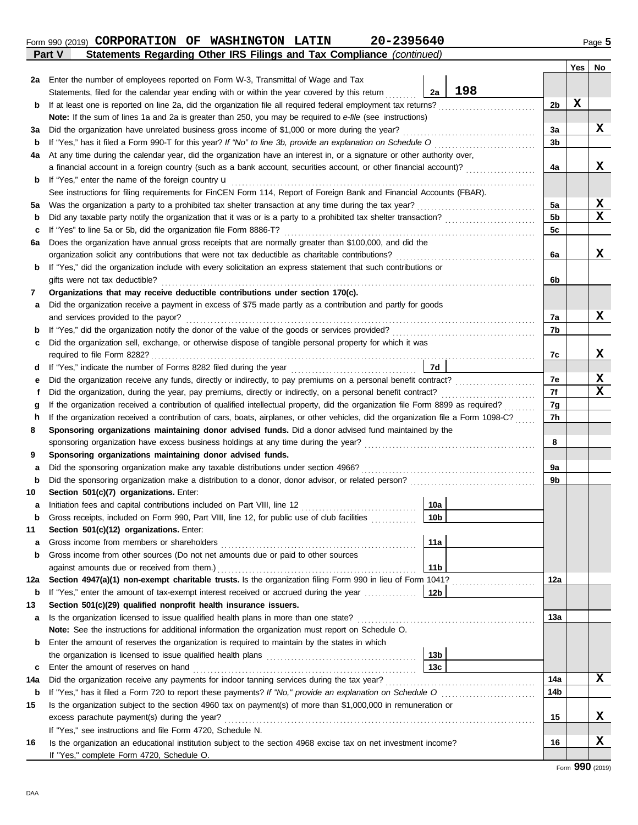If "Yes," see instructions and file Form 4720, Schedule N.

If "Yes," complete Form 4720, Schedule O.

DAA

|        | 20-2395640<br>Form 990 (2019) CORPORATION OF WASHINGTON LATIN                                                                                                                                                                                                          |                 |     |                |     |        |  |  |  |  |  |
|--------|------------------------------------------------------------------------------------------------------------------------------------------------------------------------------------------------------------------------------------------------------------------------|-----------------|-----|----------------|-----|--------|--|--|--|--|--|
|        | Part V<br>Statements Regarding Other IRS Filings and Tax Compliance (continued)                                                                                                                                                                                        |                 |     |                |     | Page 5 |  |  |  |  |  |
|        |                                                                                                                                                                                                                                                                        |                 |     |                | Yes | No.    |  |  |  |  |  |
|        | 2a Enter the number of employees reported on Form W-3, Transmittal of Wage and Tax                                                                                                                                                                                     |                 |     |                |     |        |  |  |  |  |  |
|        | Statements, filed for the calendar year ending with or within the year covered by this return                                                                                                                                                                          | 2a              | 198 |                |     |        |  |  |  |  |  |
| b      | If at least one is reported on line 2a, did the organization file all required federal employment tax returns?                                                                                                                                                         |                 |     | 2b             | X   |        |  |  |  |  |  |
|        | Note: If the sum of lines 1a and 2a is greater than 250, you may be required to e-file (see instructions)                                                                                                                                                              |                 |     |                |     |        |  |  |  |  |  |
| За     | Did the organization have unrelated business gross income of \$1,000 or more during the year?                                                                                                                                                                          |                 |     |                |     |        |  |  |  |  |  |
| b      | If "Yes," has it filed a Form 990-T for this year? If "No" to line 3b, provide an explanation on Schedule O                                                                                                                                                            |                 |     |                |     |        |  |  |  |  |  |
| 4a     | At any time during the calendar year, did the organization have an interest in, or a signature or other authority over,                                                                                                                                                |                 |     |                |     |        |  |  |  |  |  |
|        | a financial account in a foreign country (such as a bank account, securities account, or other financial account)?                                                                                                                                                     |                 |     | 4a             |     | x      |  |  |  |  |  |
| b      | If "Yes," enter the name of the foreign country <b>u</b>                                                                                                                                                                                                               |                 |     |                |     |        |  |  |  |  |  |
|        | See instructions for filing requirements for FinCEN Form 114, Report of Foreign Bank and Financial Accounts (FBAR).                                                                                                                                                    |                 |     |                |     |        |  |  |  |  |  |
| 5a     | Was the organization a party to a prohibited tax shelter transaction at any time during the tax year?                                                                                                                                                                  |                 |     | 5a             |     | X      |  |  |  |  |  |
| b      |                                                                                                                                                                                                                                                                        |                 |     |                |     |        |  |  |  |  |  |
| c      | If "Yes" to line 5a or 5b, did the organization file Form 8886-T?                                                                                                                                                                                                      |                 |     | 5 <sub>c</sub> |     |        |  |  |  |  |  |
| 6a     | Does the organization have annual gross receipts that are normally greater than \$100,000, and did the                                                                                                                                                                 |                 |     |                |     |        |  |  |  |  |  |
|        |                                                                                                                                                                                                                                                                        |                 |     | 6a             |     | x      |  |  |  |  |  |
| b      | If "Yes," did the organization include with every solicitation an express statement that such contributions or                                                                                                                                                         |                 |     |                |     |        |  |  |  |  |  |
|        | gifts were not tax deductible?                                                                                                                                                                                                                                         |                 |     | 6b             |     |        |  |  |  |  |  |
| 7      | Organizations that may receive deductible contributions under section 170(c).                                                                                                                                                                                          |                 |     |                |     |        |  |  |  |  |  |
| а      | Did the organization receive a payment in excess of \$75 made partly as a contribution and partly for goods                                                                                                                                                            |                 |     |                |     |        |  |  |  |  |  |
|        | and services provided to the payor?                                                                                                                                                                                                                                    |                 |     | 7a             |     | x      |  |  |  |  |  |
| b      | If "Yes," did the organization notify the donor of the value of the goods or services provided?                                                                                                                                                                        |                 |     | 7b             |     |        |  |  |  |  |  |
| c      | Did the organization sell, exchange, or otherwise dispose of tangible personal property for which it was                                                                                                                                                               |                 |     |                |     |        |  |  |  |  |  |
|        | required to file Form 8282?                                                                                                                                                                                                                                            |                 |     | 7c             |     | x      |  |  |  |  |  |
| d      |                                                                                                                                                                                                                                                                        | 7d              |     |                |     |        |  |  |  |  |  |
| е      |                                                                                                                                                                                                                                                                        |                 |     | 7e<br>7f       |     | X<br>x |  |  |  |  |  |
| f      | Did the organization, during the year, pay premiums, directly or indirectly, on a personal benefit contract?                                                                                                                                                           |                 |     |                |     |        |  |  |  |  |  |
| a<br>h | If the organization received a contribution of qualified intellectual property, did the organization file Form 8899 as required?<br>If the organization received a contribution of cars, boats, airplanes, or other vehicles, did the organization file a Form 1098-C? |                 |     | 7g<br>7h       |     |        |  |  |  |  |  |
| 8      | Sponsoring organizations maintaining donor advised funds. Did a donor advised fund maintained by the                                                                                                                                                                   |                 |     |                |     |        |  |  |  |  |  |
|        |                                                                                                                                                                                                                                                                        |                 |     | 8              |     |        |  |  |  |  |  |
| 9      | Sponsoring organizations maintaining donor advised funds.                                                                                                                                                                                                              |                 |     |                |     |        |  |  |  |  |  |
| а      | Did the sponsoring organization make any taxable distributions under section 4966?                                                                                                                                                                                     |                 |     | 9a             |     |        |  |  |  |  |  |
| b      | Did the sponsoring organization make a distribution to a donor, donor advisor, or related person?                                                                                                                                                                      |                 |     | 9b             |     |        |  |  |  |  |  |
| 10     | Section 501(c)(7) organizations. Enter:                                                                                                                                                                                                                                |                 |     |                |     |        |  |  |  |  |  |
| а      | Initiation fees and capital contributions included on Part VIII, line 12                                                                                                                                                                                               | 10a             |     |                |     |        |  |  |  |  |  |
| b      | Gross receipts, included on Form 990, Part VIII, line 12, for public use of club facilities                                                                                                                                                                            | 10 <sub>b</sub> |     |                |     |        |  |  |  |  |  |
| 11     | Section 501(c)(12) organizations. Enter:                                                                                                                                                                                                                               |                 |     |                |     |        |  |  |  |  |  |
| a      | Gross income from members or shareholders                                                                                                                                                                                                                              | 11a             |     |                |     |        |  |  |  |  |  |
| b      | Gross income from other sources (Do not net amounts due or paid to other sources                                                                                                                                                                                       |                 |     |                |     |        |  |  |  |  |  |
|        | against amounts due or received from them.)                                                                                                                                                                                                                            | 11 <sub>b</sub> |     |                |     |        |  |  |  |  |  |
| 12a    | Section 4947(a)(1) non-exempt charitable trusts. Is the organization filing Form 990 in lieu of Form 1041?                                                                                                                                                             |                 |     | 12a            |     |        |  |  |  |  |  |
| b      | If "Yes," enter the amount of tax-exempt interest received or accrued during the year                                                                                                                                                                                  | 12b             |     |                |     |        |  |  |  |  |  |
| 13     | Section 501(c)(29) qualified nonprofit health insurance issuers.                                                                                                                                                                                                       |                 |     |                |     |        |  |  |  |  |  |
| а      | Is the organization licensed to issue qualified health plans in more than one state?                                                                                                                                                                                   |                 |     | 13а            |     |        |  |  |  |  |  |
|        | Note: See the instructions for additional information the organization must report on Schedule O.                                                                                                                                                                      |                 |     |                |     |        |  |  |  |  |  |
| b      | Enter the amount of reserves the organization is required to maintain by the states in which                                                                                                                                                                           |                 |     |                |     |        |  |  |  |  |  |
|        |                                                                                                                                                                                                                                                                        | 13b             |     |                |     |        |  |  |  |  |  |
| c      | Enter the amount of reserves on hand<br>14a Did the organization receive any payments for indoor tanning services during the tax year?                                                                                                                                 | 13 <sub>c</sub> |     | 14a            |     | x      |  |  |  |  |  |
|        |                                                                                                                                                                                                                                                                        |                 |     |                |     |        |  |  |  |  |  |

**b 14b** If "Yes," has it filed a Form 720 to report these payments? *If "No," provide an explanation on Schedule O* . . . . . . . . . . . . . . . . . . . . . . . . . . .

excess parachute payment(s) during the year? . . . . . . . . . . . . . . . . . . . . . . . . . . . . . . . . . . . . . . . . . . . . . . . . . . . . . . . . . . . . . . . . . . . . . . . . . . . . . . . . . . . . . . . . .

**15** Is the organization subject to the section 4960 tax on payment(s) of more than \$1,000,000 in remuneration or

**16** Is the organization an educational institution subject to the section 4968 excise tax on net investment income?

Form **990** (2019)

**X**

**X**

**15**

**16**

|    | Statements Regarding Other IRS Filings and Tax Compliance (continued)<br>Part V                                         |    |     |  |
|----|-------------------------------------------------------------------------------------------------------------------------|----|-----|--|
|    |                                                                                                                         |    |     |  |
| 2a | Enter the number of employees reported on Form W-3, Transmittal of Wage and Tax                                         |    |     |  |
|    | Statements, filed for the calendar year ending with or within the year covered by this return                           | 2a | 198 |  |
|    | <b>b</b> If at least one is reported on line 2a, did the organization file all required federal employment tax returns? |    |     |  |
|    | <b>Note:</b> If the sum of lines 1a and 2a is greater than 250, you may be required to e-file (see instructions)        |    |     |  |
|    | 3a Did the organization have unrelated business gross income of \$1,000 or more during the year?                        |    |     |  |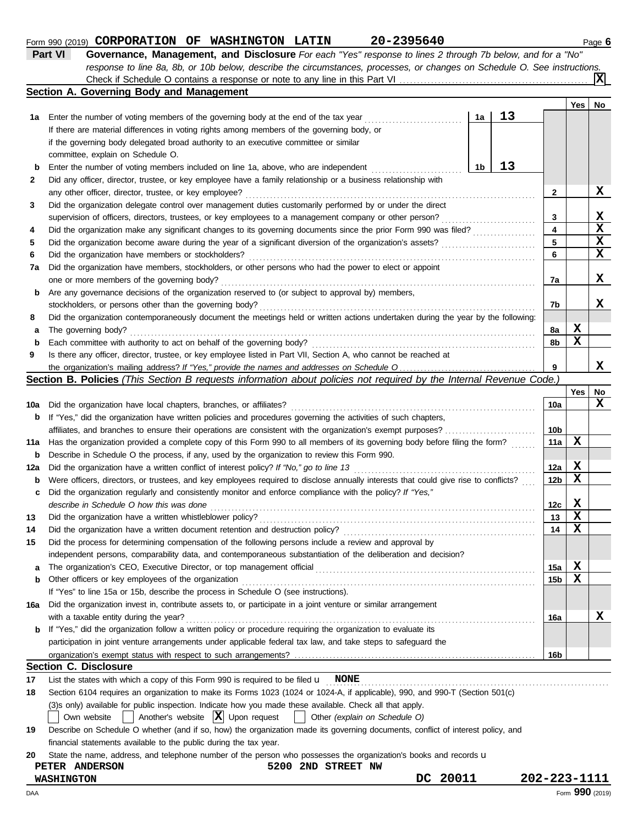### **Form 990 (2019) CORPORATION OF WASHINGTON LATIN 20-2395640** Page 6

| <b>Part VI</b> | Governance, Management, and Disclosure For each "Yes" response to lines 2 through 7b below, and for a "No"                |
|----------------|---------------------------------------------------------------------------------------------------------------------------|
|                | response to line 8a, 8b, or 10b below, describe the circumstances, processes, or changes on Schedule O. See instructions. |
|                | $\sqrt{\mathbf{x}}$                                                                                                       |
|                | Section A. Governing Body and Management                                                                                  |

|              |                                                                                                                                                                   |                         | Yes         | No          |
|--------------|-------------------------------------------------------------------------------------------------------------------------------------------------------------------|-------------------------|-------------|-------------|
| 1а           | 13<br>1a<br>Enter the number of voting members of the governing body at the end of the tax year                                                                   |                         |             |             |
|              | If there are material differences in voting rights among members of the governing body, or                                                                        |                         |             |             |
|              | if the governing body delegated broad authority to an executive committee or similar                                                                              |                         |             |             |
|              | committee, explain on Schedule O.                                                                                                                                 |                         |             |             |
| b            | 13<br>1b<br>Enter the number of voting members included on line 1a, above, who are independent                                                                    |                         |             |             |
| $\mathbf{2}$ | Did any officer, director, trustee, or key employee have a family relationship or a business relationship with                                                    |                         |             |             |
|              | any other officer, director, trustee, or key employee?                                                                                                            | $\mathbf{2}$            |             | X           |
| 3            | Did the organization delegate control over management duties customarily performed by or under the direct                                                         |                         |             |             |
|              | supervision of officers, directors, trustees, or key employees to a management company or other person?                                                           | 3                       |             | х           |
| 4            | Did the organization make any significant changes to its governing documents since the prior Form 990 was filed?                                                  | $\overline{\mathbf{4}}$ |             | $\mathbf x$ |
| 5            |                                                                                                                                                                   | 5                       |             | $\mathbf x$ |
| 6            |                                                                                                                                                                   | 6                       |             | $\mathbf x$ |
| 7a           | Did the organization have members, stockholders, or other persons who had the power to elect or appoint                                                           |                         |             |             |
|              | one or more members of the governing body?                                                                                                                        | 7a                      |             | х           |
| b            | Are any governance decisions of the organization reserved to (or subject to approval by) members,                                                                 |                         |             |             |
|              | stockholders, or persons other than the governing body?                                                                                                           | 7b                      |             | x           |
| 8            | Did the organization contemporaneously document the meetings held or written actions undertaken during the year by the following:                                 |                         |             |             |
| а            | The governing body?                                                                                                                                               | 8a                      | X           |             |
| b            | Each committee with authority to act on behalf of the governing body?                                                                                             | 8b                      | $\mathbf x$ |             |
| 9            | Is there any officer, director, trustee, or key employee listed in Part VII, Section A, who cannot be reached at                                                  |                         |             |             |
|              |                                                                                                                                                                   | 9                       |             | X           |
|              | Section B. Policies (This Section B requests information about policies not required by the Internal Revenue Code.)                                               |                         |             |             |
|              |                                                                                                                                                                   |                         | Yes         | No          |
|              | 10a Did the organization have local chapters, branches, or affiliates?                                                                                            | 10a                     |             | X           |
|              | <b>b</b> If "Yes," did the organization have written policies and procedures governing the activities of such chapters,                                           |                         |             |             |
|              | affiliates, and branches to ensure their operations are consistent with the organization's exempt purposes?                                                       | 10 <sub>b</sub>         |             |             |
|              | 11a Has the organization provided a complete copy of this Form 990 to all members of its governing body before filing the form?                                   | 11a                     | X           |             |
| b            | Describe in Schedule O the process, if any, used by the organization to review this Form 990.                                                                     |                         |             |             |
| 12a          |                                                                                                                                                                   | 12a                     | X           |             |
| b            | Were officers, directors, or trustees, and key employees required to disclose annually interests that could give rise to conflicts?                               | 12 <sub>b</sub>         | $\mathbf x$ |             |
| c            | Did the organization regularly and consistently monitor and enforce compliance with the policy? If "Yes,"                                                         |                         |             |             |
|              | describe in Schedule O how this was done                                                                                                                          | 12c                     | X           |             |
| 13           | Did the organization have a written whistleblower policy?                                                                                                         | 13                      | X           |             |
| 14           |                                                                                                                                                                   | 14                      | X           |             |
| 15           | Did the process for determining compensation of the following persons include a review and approval by                                                            |                         |             |             |
|              | independent persons, comparability data, and contemporaneous substantiation of the deliberation and decision?                                                     |                         |             |             |
| a            |                                                                                                                                                                   | 15a                     | X.          |             |
| b            | Other officers or key employees of the organization                                                                                                               | 15b                     | х           |             |
|              | If "Yes" to line 15a or 15b, describe the process in Schedule O (see instructions).                                                                               |                         |             |             |
| 16a          | Did the organization invest in, contribute assets to, or participate in a joint venture or similar arrangement                                                    |                         |             | X           |
|              | with a taxable entity during the year?<br><b>b</b> If "Yes," did the organization follow a written policy or procedure requiring the organization to evaluate its | 16a                     |             |             |
|              | participation in joint venture arrangements under applicable federal tax law, and take steps to safeguard the                                                     |                         |             |             |
|              |                                                                                                                                                                   |                         |             |             |
|              | <b>Section C. Disclosure</b>                                                                                                                                      | 16b                     |             |             |
| 17           | List the states with which a copy of this Form 990 is required to be filed $\mathbf{u}$ NONE                                                                      |                         |             |             |
| 18           | Section 6104 requires an organization to make its Forms 1023 (1024 or 1024-A, if applicable), 990, and 990-T (Section 501(c)                                      |                         |             |             |
|              | (3)s only) available for public inspection. Indicate how you made these available. Check all that apply.                                                          |                         |             |             |
|              | Another's website $ \mathbf{X} $ Upon request<br>Own website<br>Other (explain on Schedule O)                                                                     |                         |             |             |
| 19           | Describe on Schedule O whether (and if so, how) the organization made its governing documents, conflict of interest policy, and                                   |                         |             |             |
|              | financial statements available to the public during the tax year.                                                                                                 |                         |             |             |
| 20           | State the name, address, and telephone number of the person who possesses the organization's books and records u                                                  |                         |             |             |
|              |                                                                                                                                                                   |                         |             |             |

# **PETER ANDERSON 5200 2ND STREET NW**<br>WASHINGTON

**DC** 20011 **202-223-1111**<br>Form **990** (2019)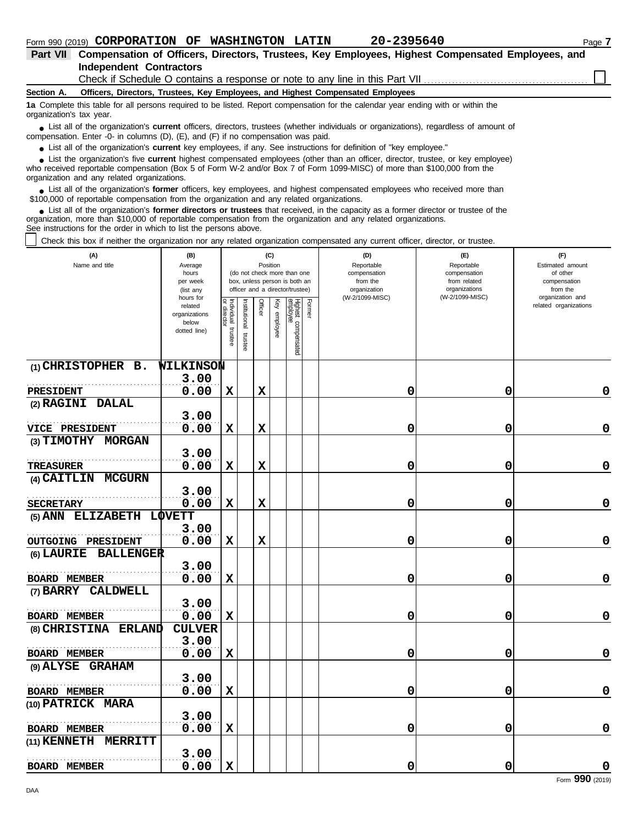| Part VII Compensation of Officers, Directors, Trustees, Key Employees, Highest Compensated Employees, and |
|-----------------------------------------------------------------------------------------------------------|
| Independent Contractors                                                                                   |
| Check if Schedule O contains a response or note to any line in this Part VII.                             |

#### **Section A. Officers, Directors, Trustees, Key Employees, and Highest Compensated Employees**

**1a** Complete this table for all persons required to be listed. Report compensation for the calendar year ending with or within the organization's tax year.

■ List all of the organization's **current** officers, directors, trustees (whether individuals or organizations), regardless of amount of the companies of amount of compensation. Enter -0- in columns (D), (E), and (F) if no compensation was paid.

● List all of the organization's **current** key employees, if any. See instructions for definition of "key employee."

■ List the organization's five **current** highest compensated employees (other than an officer, director, trustee, or key employee)<br> **•** Preceived reportable compensation (Box 5 of Form W.2 and/or Box 7 of Form 1000 MISC)

who received reportable compensation (Box 5 of Form W-2 and/or Box 7 of Form 1099-MISC) of more than \$100,000 from the organization and any related organizations.

■ List all of the organization's **former** officers, key employees, and highest compensated employees who received more than<br> **•** 00,000 of reportable compensation from the ergonization and any related ergonizations \$100,000 of reportable compensation from the organization and any related organizations.

■ List all of the organization's **former directors or trustees** that received, in the capacity as a former director or trustee of the<br>paization, more than \$10,000 of reportable compensation from the organization and any r organization, more than \$10,000 of reportable compensation from the organization and any related organizations. See instructions for the order in which to list the persons above.

Check this box if neither the organization nor any related organization compensated any current officer, director, or trustee.

| (A)<br>Name and title                    | (B)<br>Average<br>hours<br>per week<br>(list any               |                         |                         | (C)<br>Position |                 | (do not check more than one<br>box, unless person is both an<br>officer and a director/trustee) |        | (D)<br>Reportable<br>compensation<br>from the<br>organization | (E)<br>Reportable<br>compensation<br>from related<br>organizations | (F)<br>Estimated amount<br>of other<br>compensation<br>from the |
|------------------------------------------|----------------------------------------------------------------|-------------------------|-------------------------|-----------------|-----------------|-------------------------------------------------------------------------------------------------|--------|---------------------------------------------------------------|--------------------------------------------------------------------|-----------------------------------------------------------------|
|                                          | hours for<br>related<br>organizations<br>below<br>dotted line) | Individual trustee<br>ŏ | nstitutional<br>trustee | Officer         | Key<br>employee | Highest compensated<br>employee                                                                 | Former | (W-2/1099-MISC)                                               | (W-2/1099-MISC)                                                    | organization and<br>related organizations                       |
| $(1)$ CHRISTOPHER B.                     | WILKINSON                                                      |                         |                         |                 |                 |                                                                                                 |        |                                                               |                                                                    |                                                                 |
|                                          | 3.00                                                           |                         |                         |                 |                 |                                                                                                 |        |                                                               |                                                                    |                                                                 |
| PRESIDENT                                | 0.00                                                           | $\mathbf x$             |                         | $\mathbf x$     |                 |                                                                                                 |        | 0                                                             | 0                                                                  | 0                                                               |
| (2) RAGINI DALAL                         |                                                                |                         |                         |                 |                 |                                                                                                 |        |                                                               |                                                                    |                                                                 |
|                                          | 3.00                                                           |                         |                         |                 |                 |                                                                                                 |        |                                                               |                                                                    | $\mathbf 0$                                                     |
| VICE PRESIDENT<br>(3) TIMOTHY MORGAN     | 0.00                                                           | $\mathbf x$             |                         | $\mathbf x$     |                 |                                                                                                 |        | 0                                                             | 0                                                                  |                                                                 |
|                                          | 3.00                                                           |                         |                         |                 |                 |                                                                                                 |        |                                                               |                                                                    |                                                                 |
| <b>TREASURER</b>                         | 0.00                                                           | $\mathbf x$             |                         | $\mathbf x$     |                 |                                                                                                 |        | 0                                                             | $\mathbf 0$                                                        | $\mathbf 0$                                                     |
| (4) CAITLIN MCGURN                       |                                                                |                         |                         |                 |                 |                                                                                                 |        |                                                               |                                                                    |                                                                 |
|                                          | 3.00                                                           |                         |                         |                 |                 |                                                                                                 |        |                                                               |                                                                    |                                                                 |
| <b>SECRETARY</b>                         | 0.00                                                           | $\mathbf x$             |                         | $\mathbf x$     |                 |                                                                                                 |        | 0                                                             | 0                                                                  | 0                                                               |
| (5) ANN ELIZABETH                        | <b>LOVETT</b>                                                  |                         |                         |                 |                 |                                                                                                 |        |                                                               |                                                                    |                                                                 |
|                                          | 3.00                                                           |                         |                         |                 |                 |                                                                                                 |        |                                                               |                                                                    |                                                                 |
| <b>OUTGOING PRESIDENT</b>                | 0.00                                                           | $\mathbf x$             |                         | $\mathbf x$     |                 |                                                                                                 |        | 0                                                             | 0                                                                  | $\mathbf 0$                                                     |
| (6) LAURIE BALLENGER                     |                                                                |                         |                         |                 |                 |                                                                                                 |        |                                                               |                                                                    |                                                                 |
|                                          | 3.00                                                           |                         |                         |                 |                 |                                                                                                 |        |                                                               |                                                                    |                                                                 |
| <b>BOARD MEMBER</b>                      | 0.00                                                           | $\mathbf x$             |                         |                 |                 |                                                                                                 |        | 0                                                             | 0                                                                  | 0                                                               |
| (7) BARRY<br><b>CALDWELL</b>             |                                                                |                         |                         |                 |                 |                                                                                                 |        |                                                               |                                                                    |                                                                 |
|                                          | 3.00                                                           |                         |                         |                 |                 |                                                                                                 |        |                                                               |                                                                    |                                                                 |
| <b>BOARD MEMBER</b>                      | 0.00                                                           | $\mathbf x$             |                         |                 |                 |                                                                                                 |        | 0                                                             | 0                                                                  | $\mathbf 0$                                                     |
| (8) CHRISTINA ERLAND                     | <b>CULVER</b>                                                  |                         |                         |                 |                 |                                                                                                 |        |                                                               |                                                                    |                                                                 |
|                                          | 3.00                                                           |                         |                         |                 |                 |                                                                                                 |        |                                                               |                                                                    |                                                                 |
| <b>BOARD MEMBER</b>                      | 0.00                                                           | $\mathbf x$             |                         |                 |                 |                                                                                                 |        | 0                                                             | 0                                                                  | 0                                                               |
| (9) ALYSE GRAHAM                         |                                                                |                         |                         |                 |                 |                                                                                                 |        |                                                               |                                                                    |                                                                 |
|                                          | 3.00<br>0.00                                                   |                         |                         |                 |                 |                                                                                                 |        |                                                               |                                                                    | $\mathbf 0$                                                     |
| <b>BOARD MEMBER</b><br>(10) PATRICK MARA |                                                                | $\mathbf x$             |                         |                 |                 |                                                                                                 |        | 0                                                             | 0                                                                  |                                                                 |
|                                          | 3.00                                                           |                         |                         |                 |                 |                                                                                                 |        |                                                               |                                                                    |                                                                 |
| <b>BOARD MEMBER</b>                      | 0.00                                                           | $\mathbf x$             |                         |                 |                 |                                                                                                 |        | 0                                                             | 0                                                                  | 0                                                               |
| (11) <b>KENNETH</b><br><b>MERRITT</b>    |                                                                |                         |                         |                 |                 |                                                                                                 |        |                                                               |                                                                    |                                                                 |
|                                          | 3.00                                                           |                         |                         |                 |                 |                                                                                                 |        |                                                               |                                                                    |                                                                 |
| <b>BOARD MEMBER</b>                      | 0.00                                                           | $\mathbf x$             |                         |                 |                 |                                                                                                 |        | 0                                                             | 0                                                                  | 0                                                               |
|                                          |                                                                |                         |                         |                 |                 |                                                                                                 |        |                                                               |                                                                    | Form 990 (2019)                                                 |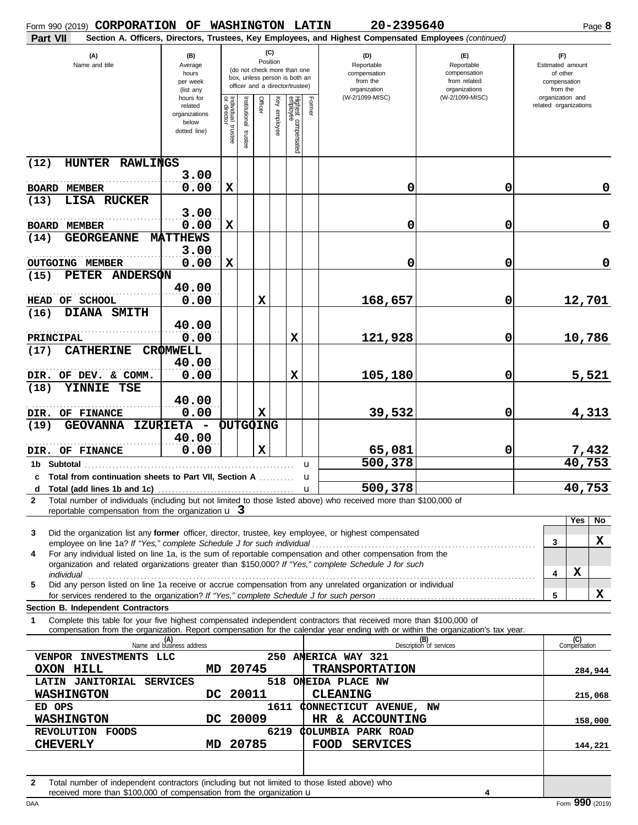| Form 990 (2019) CORPORATION OF                                                                                                                                          |                                                                |                    |                         | <b>WASHINGTON LATIN</b>                                                                                            |                                 |        | 20-2395640                                                    |                                                                                                        |                                                                 | Page 8                 |
|-------------------------------------------------------------------------------------------------------------------------------------------------------------------------|----------------------------------------------------------------|--------------------|-------------------------|--------------------------------------------------------------------------------------------------------------------|---------------------------------|--------|---------------------------------------------------------------|--------------------------------------------------------------------------------------------------------|-----------------------------------------------------------------|------------------------|
| Part VII                                                                                                                                                                |                                                                |                    |                         |                                                                                                                    |                                 |        |                                                               | Section A. Officers, Directors, Trustees, Key Employees, and Highest Compensated Employees (continued) |                                                                 |                        |
| (A)<br>Name and title                                                                                                                                                   | (B)<br>Average<br>hours<br>per week<br>(list any               |                    |                         | (C)<br>Position<br>(do not check more than one<br>box, unless person is both an<br>officer and a director/trustee) |                                 |        | (D)<br>Reportable<br>compensation<br>from the<br>organization | (F)<br>Reportable<br>compensation<br>from related<br>organizations                                     | (F)<br>Estimated amount<br>of other<br>compensation<br>from the |                        |
|                                                                                                                                                                         | hours for<br>related<br>organizations<br>below<br>dotted line) | Individual trustee | nstitutional<br>trustee | Officer<br>Key employee                                                                                            | Highest compensated<br>employee | Former | (W-2/1099-MISC)                                               | (W-2/1099-MISC)                                                                                        | organization and<br>related organizations                       |                        |
| <b>HUNTER</b><br><b>RAWLINGS</b><br>(12)                                                                                                                                |                                                                |                    |                         |                                                                                                                    |                                 |        |                                                               |                                                                                                        |                                                                 |                        |
|                                                                                                                                                                         | 3.00                                                           |                    |                         |                                                                                                                    |                                 |        |                                                               |                                                                                                        |                                                                 |                        |
| <b>BOARD MEMBER</b><br><b>LISA RUCKER</b><br>(13)                                                                                                                       | 0.00                                                           | $\mathbf x$        |                         |                                                                                                                    |                                 |        | 0                                                             | 0                                                                                                      |                                                                 | 0                      |
|                                                                                                                                                                         | 3.00                                                           |                    |                         |                                                                                                                    |                                 |        |                                                               |                                                                                                        |                                                                 |                        |
| <b>BOARD MEMBER</b>                                                                                                                                                     | 0.00                                                           | $\mathbf x$        |                         |                                                                                                                    |                                 |        | 0                                                             | 0                                                                                                      |                                                                 | $\mathbf 0$            |
| <b>GEORGEANNE</b><br>(14)                                                                                                                                               | <b>MATTHEWS</b>                                                |                    |                         |                                                                                                                    |                                 |        |                                                               |                                                                                                        |                                                                 |                        |
|                                                                                                                                                                         | 3.00                                                           |                    |                         |                                                                                                                    |                                 |        |                                                               |                                                                                                        |                                                                 |                        |
| <b>OUTGOING MEMBER</b><br><b>ANDERSON</b><br>(15)<br><b>PETER</b>                                                                                                       | 0.00                                                           | $\mathbf x$        |                         |                                                                                                                    |                                 |        | 0                                                             | 0                                                                                                      |                                                                 | $\mathbf 0$            |
|                                                                                                                                                                         | 40.00                                                          |                    |                         |                                                                                                                    |                                 |        |                                                               |                                                                                                        |                                                                 |                        |
| <b>HEAD OF SCHOOL</b>                                                                                                                                                   | 0.00                                                           |                    |                         | $\mathbf x$                                                                                                        |                                 |        | 168,657                                                       | 0                                                                                                      |                                                                 | 12,701                 |
| DIANA SMITH<br>(16)                                                                                                                                                     |                                                                |                    |                         |                                                                                                                    |                                 |        |                                                               |                                                                                                        |                                                                 |                        |
|                                                                                                                                                                         | 40.00                                                          |                    |                         |                                                                                                                    |                                 |        |                                                               |                                                                                                        |                                                                 |                        |
| PRINCIPAL<br><b>CATHERINE</b><br>(17)                                                                                                                                   | 0.00<br><b>CROMWELL</b>                                        |                    |                         |                                                                                                                    | X                               |        | 121,928                                                       | 0                                                                                                      |                                                                 | 10,786                 |
|                                                                                                                                                                         | 40.00                                                          |                    |                         |                                                                                                                    |                                 |        |                                                               |                                                                                                        |                                                                 |                        |
| DIR.<br>OF DEV. & COMM.                                                                                                                                                 | 0.00                                                           |                    |                         |                                                                                                                    | X                               |        | 105,180                                                       | 0                                                                                                      |                                                                 | 5,521                  |
| TSE<br>(18)<br><b>YINNIE</b>                                                                                                                                            |                                                                |                    |                         |                                                                                                                    |                                 |        |                                                               |                                                                                                        |                                                                 |                        |
|                                                                                                                                                                         | 40.00                                                          |                    |                         |                                                                                                                    |                                 |        |                                                               |                                                                                                        |                                                                 |                        |
| DIR.<br>OF FINANCE<br><b>GEOVANNA</b><br>(19)                                                                                                                           | 0.00<br>IZURIETA -                                             |                    | <b>OUTGOING</b>         | $\mathbf x$                                                                                                        |                                 |        | 39,532                                                        | 0                                                                                                      |                                                                 | 4,313                  |
|                                                                                                                                                                         | 40.00                                                          |                    |                         |                                                                                                                    |                                 |        |                                                               |                                                                                                        |                                                                 |                        |
| DIR. OF FINANCE                                                                                                                                                         | 0.00                                                           |                    |                         | $\mathbf x$                                                                                                        |                                 |        | 65,081                                                        | 0                                                                                                      |                                                                 |                        |
| 1b Subtotal                                                                                                                                                             |                                                                |                    |                         |                                                                                                                    | u                               |        | 500,378                                                       |                                                                                                        |                                                                 | $\frac{7,432}{40,753}$ |
| c Total from continuation sheets to Part VII, Section A                                                                                                                 |                                                                |                    |                         |                                                                                                                    | u                               |        |                                                               |                                                                                                        |                                                                 |                        |
| Total number of individuals (including but not limited to those listed above) who received more than \$100,000 of<br>2                                                  |                                                                |                    |                         |                                                                                                                    |                                 |        | 500,378                                                       |                                                                                                        |                                                                 | 40,753                 |
| reportable compensation from the organization $\mathbf{u}$ 3                                                                                                            |                                                                |                    |                         |                                                                                                                    |                                 |        |                                                               |                                                                                                        |                                                                 |                        |
|                                                                                                                                                                         |                                                                |                    |                         |                                                                                                                    |                                 |        |                                                               |                                                                                                        |                                                                 | Yes<br>No              |
| Did the organization list any former officer, director, trustee, key employee, or highest compensated<br>3                                                              |                                                                |                    |                         |                                                                                                                    |                                 |        |                                                               |                                                                                                        | 3                                                               | X                      |
| For any individual listed on line 1a, is the sum of reportable compensation and other compensation from the<br>4                                                        |                                                                |                    |                         |                                                                                                                    |                                 |        |                                                               |                                                                                                        |                                                                 |                        |
| organization and related organizations greater than \$150,000? If "Yes," complete Schedule J for such                                                                   |                                                                |                    |                         |                                                                                                                    |                                 |        |                                                               |                                                                                                        | 4                                                               | X                      |
| Did any person listed on line 1a receive or accrue compensation from any unrelated organization or individual<br>5                                                      |                                                                |                    |                         |                                                                                                                    |                                 |        |                                                               |                                                                                                        |                                                                 |                        |
|                                                                                                                                                                         |                                                                |                    |                         |                                                                                                                    |                                 |        |                                                               |                                                                                                        | 5                                                               | X                      |
| Section B. Independent Contractors<br>Complete this table for your five highest compensated independent contractors that received more than \$100,000 of<br>$\mathbf 1$ |                                                                |                    |                         |                                                                                                                    |                                 |        |                                                               |                                                                                                        |                                                                 |                        |
| compensation from the organization. Report compensation for the calendar year ending with or within the organization's tax year.                                        |                                                                |                    |                         |                                                                                                                    |                                 |        |                                                               |                                                                                                        |                                                                 |                        |
|                                                                                                                                                                         | (A)<br>Name and business address                               |                    |                         |                                                                                                                    |                                 |        |                                                               | (B)<br>Description of services                                                                         |                                                                 | (C)<br>Compensation    |
| VENPOR INVESTMENTS LLC                                                                                                                                                  |                                                                |                    |                         |                                                                                                                    |                                 |        | 250 AMERICA WAY 321                                           |                                                                                                        |                                                                 |                        |
| OXON HILL<br>LATIN JANITORIAL SERVICES                                                                                                                                  | MD                                                             |                    | 20745                   |                                                                                                                    |                                 |        | <b>TRANSPORTATION</b><br>518 ONEIDA PLACE NW                  |                                                                                                        |                                                                 | 284,944                |
| <b>WASHINGTON</b>                                                                                                                                                       |                                                                |                    | DC 20011                |                                                                                                                    |                                 |        | <b>CLEANING</b>                                               |                                                                                                        |                                                                 | 215,068                |
| ED OPS                                                                                                                                                                  |                                                                |                    |                         |                                                                                                                    |                                 |        | 1611 CONNECTICUT AVENUE, NW                                   |                                                                                                        |                                                                 |                        |
| <b>WASHINGTON</b>                                                                                                                                                       | DC.                                                            |                    | 20009                   |                                                                                                                    |                                 |        | HR & ACCOUNTING                                               |                                                                                                        |                                                                 | 158,000                |
| REVOLUTION FOODS                                                                                                                                                        |                                                                |                    |                         |                                                                                                                    |                                 |        | 6219 COLUMBIA PARK ROAD                                       |                                                                                                        |                                                                 |                        |
| <b>CHEVERLY</b>                                                                                                                                                         | MD.                                                            |                    | 20785                   |                                                                                                                    |                                 |        | FOOD SERVICES                                                 |                                                                                                        |                                                                 | 144,221                |
|                                                                                                                                                                         |                                                                |                    |                         |                                                                                                                    |                                 |        |                                                               |                                                                                                        |                                                                 |                        |
| Total number of independent contractors (including but not limited to those listed above) who<br>$\mathbf{2}$                                                           |                                                                |                    |                         |                                                                                                                    |                                 |        |                                                               |                                                                                                        |                                                                 |                        |

| roldi nambor or indopondont contractors (incidently but not immedite those lictual doors) who |  |
|-----------------------------------------------------------------------------------------------|--|
| received more than \$100,000 of compensation from the organization <b>u</b>                   |  |

**4**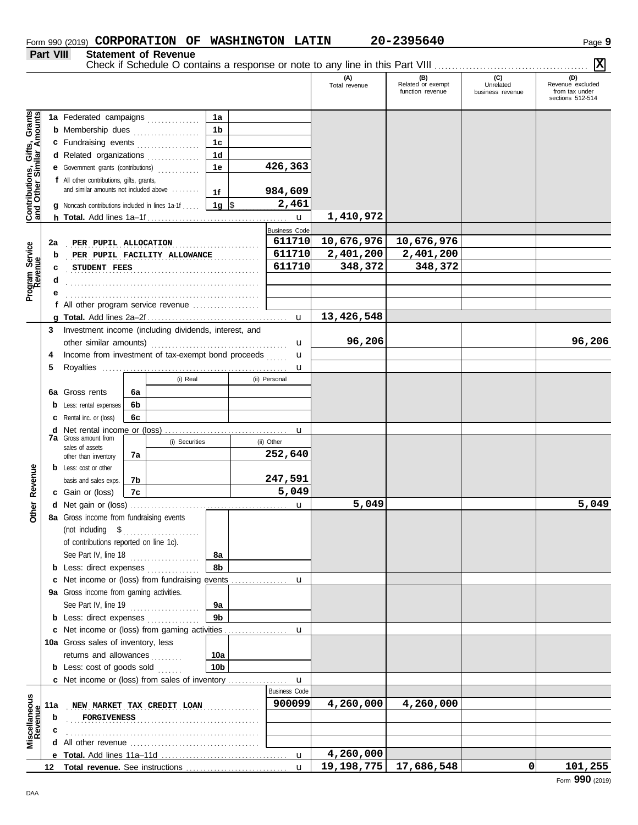### **Form 990 (2019) CORPORATION OF WASHINGTON LATIN 20-2395640** Page 9

### **Part VIII Statement of Revenue**

Check if Schedule O contains a response or note to any line in this Part VIII . . . . . . . . . . . . . . . . . . . . . . . . . . . . . . . . . . . . . . . . . . . . **X**

|                                                                  |     |                                                                                     |                                                    |                              |                |                      | (A)<br>Total revenue | (B)<br>Related or exempt<br>function revenue | (C)<br>Unrelated<br>business revenue | (D)<br>Revenue excluded<br>from tax under<br>sections 512-514 |
|------------------------------------------------------------------|-----|-------------------------------------------------------------------------------------|----------------------------------------------------|------------------------------|----------------|----------------------|----------------------|----------------------------------------------|--------------------------------------|---------------------------------------------------------------|
|                                                                  |     | 1a Federated campaigns                                                              |                                                    |                              | 1a             |                      |                      |                                              |                                      |                                                               |
| <b>Contributions, Gifts, Grants</b><br>and Other Similar Amounts |     |                                                                                     |                                                    |                              | 1 <sub>b</sub> |                      |                      |                                              |                                      |                                                               |
|                                                                  |     | <b>b</b> Membership dues                                                            |                                                    |                              | 1 <sub>c</sub> |                      |                      |                                              |                                      |                                                               |
|                                                                  |     | c Fundraising events                                                                |                                                    |                              | 1 <sub>d</sub> |                      |                      |                                              |                                      |                                                               |
|                                                                  |     | d Related organizations                                                             |                                                    |                              | 1e             | 426,363              |                      |                                              |                                      |                                                               |
|                                                                  |     | e Government grants (contributions)                                                 |                                                    |                              |                |                      |                      |                                              |                                      |                                                               |
|                                                                  |     | f All other contributions, gifts, grants,<br>and similar amounts not included above |                                                    |                              |                |                      |                      |                                              |                                      |                                                               |
|                                                                  |     |                                                                                     |                                                    |                              | 1f             | 984,609<br>2,461     |                      |                                              |                                      |                                                               |
|                                                                  |     | g Noncash contributions included in lines 1a-1f                                     |                                                    |                              | 1g $ $ \$      |                      |                      |                                              |                                      |                                                               |
|                                                                  |     |                                                                                     |                                                    |                              |                | $\mathbf u$          | 1,410,972            |                                              |                                      |                                                               |
|                                                                  |     |                                                                                     |                                                    |                              |                | <b>Business Code</b> |                      |                                              |                                      |                                                               |
|                                                                  | 2a  | PER PUPIL ALLOCATION                                                                |                                                    |                              |                | 611710               | 10,676,976           | 10,676,976                                   |                                      |                                                               |
|                                                                  | b   |                                                                                     |                                                    | PER PUPIL FACILITY ALLOWANCE |                | 611710               | 2,401,200            | 2,401,200                                    |                                      |                                                               |
|                                                                  |     | STUDENT FEES                                                                        |                                                    |                              |                | 611710               | 348,372              | 348,372                                      |                                      |                                                               |
| Program Service<br>Revenue                                       |     |                                                                                     |                                                    |                              |                |                      |                      |                                              |                                      |                                                               |
|                                                                  |     |                                                                                     |                                                    |                              |                |                      |                      |                                              |                                      |                                                               |
|                                                                  |     | f All other program service revenue $\ldots$ , $\ldots$ , $\ldots$                  |                                                    |                              |                |                      |                      |                                              |                                      |                                                               |
|                                                                  |     |                                                                                     |                                                    |                              |                | $\mathbf{u}$         | 13,426,548           |                                              |                                      |                                                               |
|                                                                  | 3   | Investment income (including dividends, interest, and                               |                                                    |                              |                |                      |                      |                                              |                                      |                                                               |
|                                                                  |     |                                                                                     | Income from investment of tax-exempt bond proceeds |                              |                | u                    | 96,206               |                                              |                                      | 96,206                                                        |
|                                                                  | 4   |                                                                                     |                                                    |                              | u              |                      |                      |                                              |                                      |                                                               |
|                                                                  | 5   | Royalties<br>(i) Real                                                               |                                                    |                              | u              |                      |                      |                                              |                                      |                                                               |
|                                                                  |     |                                                                                     |                                                    |                              |                | (ii) Personal        |                      |                                              |                                      |                                                               |
|                                                                  |     | 6a Gross rents                                                                      | 6a                                                 |                              |                |                      |                      |                                              |                                      |                                                               |
|                                                                  |     | Less: rental expenses                                                               | 6b                                                 |                              |                |                      |                      |                                              |                                      |                                                               |
|                                                                  |     | Rental inc. or (loss)                                                               | 6с                                                 |                              |                |                      |                      |                                              |                                      |                                                               |
|                                                                  | d   | <b>7a</b> Gross amount from                                                         |                                                    | (i) Securities               |                | u<br>(ii) Other      |                      |                                              |                                      |                                                               |
|                                                                  |     | sales of assets                                                                     |                                                    |                              |                | 252,640              |                      |                                              |                                      |                                                               |
|                                                                  |     | other than inventory<br><b>b</b> Less: cost or other                                | 7a                                                 |                              |                |                      |                      |                                              |                                      |                                                               |
| Revenue                                                          |     |                                                                                     | 7b                                                 |                              |                | 247,591              |                      |                                              |                                      |                                                               |
|                                                                  |     | basis and sales exps.<br>c Gain or (loss)                                           | 7c                                                 |                              |                | 5,049                |                      |                                              |                                      |                                                               |
|                                                                  |     |                                                                                     |                                                    |                              |                |                      | 5,049                |                                              |                                      | 5,049                                                         |
| Other                                                            |     | 8a Gross income from fundraising events                                             |                                                    |                              |                | u                    |                      |                                              |                                      |                                                               |
|                                                                  |     | (not including<br>$\mathfrak s$                                                     |                                                    |                              |                |                      |                      |                                              |                                      |                                                               |
|                                                                  |     | of contributions reported on line 1c).                                              |                                                    |                              |                |                      |                      |                                              |                                      |                                                               |
|                                                                  |     | See Part IV, line 18 $\ldots$                                                       |                                                    |                              | 8а             |                      |                      |                                              |                                      |                                                               |
|                                                                  |     | <b>b</b> Less: direct expenses                                                      |                                                    |                              | 8b             |                      |                      |                                              |                                      |                                                               |
|                                                                  | c   | Net income or (loss) from fundraising events                                        |                                                    |                              |                | u                    |                      |                                              |                                      |                                                               |
|                                                                  |     | 9a Gross income from gaming activities.                                             |                                                    |                              |                |                      |                      |                                              |                                      |                                                               |
|                                                                  |     | See Part IV, line 19                                                                |                                                    |                              | 9а             |                      |                      |                                              |                                      |                                                               |
|                                                                  |     | <b>b</b> Less: direct expenses                                                      |                                                    |                              | 9 <sub>b</sub> |                      |                      |                                              |                                      |                                                               |
|                                                                  |     | c Net income or (loss) from gaming activities                                       |                                                    |                              |                | u                    |                      |                                              |                                      |                                                               |
|                                                                  |     | 10a Gross sales of inventory, less                                                  |                                                    |                              |                |                      |                      |                                              |                                      |                                                               |
|                                                                  |     | returns and allowances                                                              |                                                    |                              | 10a            |                      |                      |                                              |                                      |                                                               |
|                                                                  |     | <b>b</b> Less: cost of goods sold                                                   |                                                    |                              | 10b            |                      |                      |                                              |                                      |                                                               |
|                                                                  |     | <b>c</b> Net income or (loss) from sales of inventory                               |                                                    |                              |                | $\mathbf{u}$         |                      |                                              |                                      |                                                               |
|                                                                  |     |                                                                                     |                                                    |                              |                | <b>Business Code</b> |                      |                                              |                                      |                                                               |
| Miscellaneous<br>Revenue                                         | 11a | NEW MARKET TAX CREDIT LOAN                                                          |                                                    |                              |                | 900099               | 4,260,000            | 4,260,000                                    |                                      |                                                               |
|                                                                  | b   | <b>FORGIVENESS</b>                                                                  |                                                    |                              |                |                      |                      |                                              |                                      |                                                               |
|                                                                  |     |                                                                                     |                                                    |                              |                |                      |                      |                                              |                                      |                                                               |
|                                                                  |     |                                                                                     |                                                    |                              |                |                      |                      |                                              |                                      |                                                               |
|                                                                  |     |                                                                                     |                                                    |                              |                | u                    | 4,260,000            |                                              |                                      |                                                               |
|                                                                  |     |                                                                                     |                                                    |                              |                | $\mathbf{u}$         | 19, 198, 775         | 17,686,548                                   | 0                                    | 101,255                                                       |
|                                                                  |     |                                                                                     |                                                    |                              |                |                      |                      |                                              |                                      | Form 990 (2019)                                               |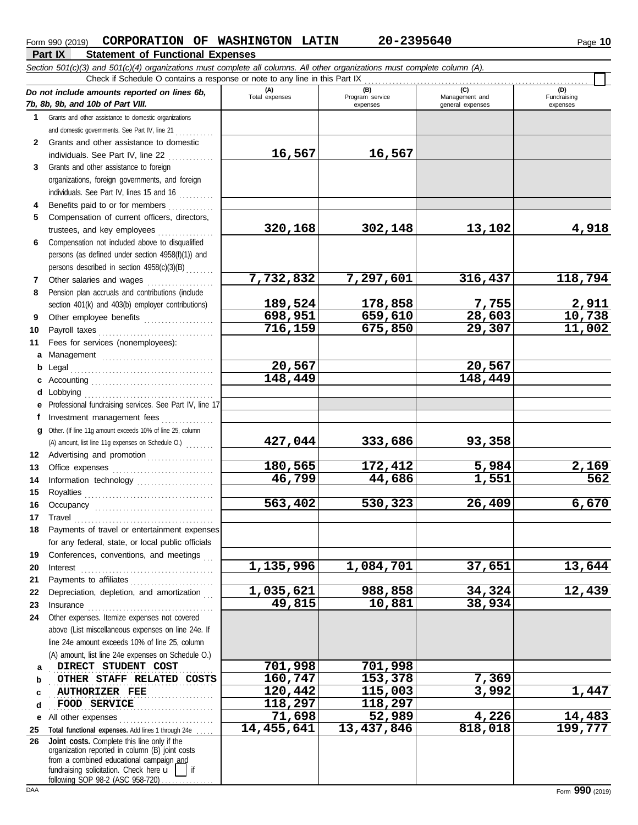| Form 990 (2019) | <b>CORPORATION OF</b> | WASHINGTON | <b>LATIN</b> | -2395640<br>20– | 10<br>Page |
|-----------------|-----------------------|------------|--------------|-----------------|------------|
|                 |                       |            |              |                 |            |

**Part IX Statement of Functional Expenses** *Section 501(c)(3) and 501(c)(4) organizations must complete all columns. All other organizations must complete column (A).* Check if Schedule O contains a response or note to any line in this Part IX

|              | Do not include amounts reported on lines 6b,<br>7b, 8b, 9b, and 10b of Part VIII.                                                                                                                                                                                                                                                                                                                                                                                                                                           | (A)<br>Total expenses | (B)<br>Program service<br>expenses | (C)<br>Management and<br>general expenses | (D)<br>Fundraising<br>expenses |
|--------------|-----------------------------------------------------------------------------------------------------------------------------------------------------------------------------------------------------------------------------------------------------------------------------------------------------------------------------------------------------------------------------------------------------------------------------------------------------------------------------------------------------------------------------|-----------------------|------------------------------------|-------------------------------------------|--------------------------------|
|              | 1 Grants and other assistance to domestic organizations                                                                                                                                                                                                                                                                                                                                                                                                                                                                     |                       |                                    |                                           |                                |
|              | and domestic governments. See Part IV, line 21                                                                                                                                                                                                                                                                                                                                                                                                                                                                              |                       |                                    |                                           |                                |
| $\mathbf{2}$ | Grants and other assistance to domestic                                                                                                                                                                                                                                                                                                                                                                                                                                                                                     |                       |                                    |                                           |                                |
|              | individuals. See Part IV, line 22                                                                                                                                                                                                                                                                                                                                                                                                                                                                                           | 16,567                | 16,567                             |                                           |                                |
| 3            | Grants and other assistance to foreign                                                                                                                                                                                                                                                                                                                                                                                                                                                                                      |                       |                                    |                                           |                                |
|              | organizations, foreign governments, and foreign                                                                                                                                                                                                                                                                                                                                                                                                                                                                             |                       |                                    |                                           |                                |
|              | individuals. See Part IV, lines 15 and 16                                                                                                                                                                                                                                                                                                                                                                                                                                                                                   |                       |                                    |                                           |                                |
| 4            | Benefits paid to or for members                                                                                                                                                                                                                                                                                                                                                                                                                                                                                             |                       |                                    |                                           |                                |
| 5            | Compensation of current officers, directors,                                                                                                                                                                                                                                                                                                                                                                                                                                                                                |                       |                                    |                                           |                                |
|              | trustees, and key employees                                                                                                                                                                                                                                                                                                                                                                                                                                                                                                 | 320,168               | 302,148                            | 13,102                                    | 4,918                          |
| 6            | Compensation not included above to disqualified                                                                                                                                                                                                                                                                                                                                                                                                                                                                             |                       |                                    |                                           |                                |
|              | persons (as defined under section 4958(f)(1)) and                                                                                                                                                                                                                                                                                                                                                                                                                                                                           |                       |                                    |                                           |                                |
|              | persons described in section 4958(c)(3)(B)                                                                                                                                                                                                                                                                                                                                                                                                                                                                                  |                       |                                    |                                           |                                |
| 7            | Other salaries and wages                                                                                                                                                                                                                                                                                                                                                                                                                                                                                                    | 7,732,832             | 7,297,601                          | 316,437                                   | 118,794                        |
| 8            | Pension plan accruals and contributions (include                                                                                                                                                                                                                                                                                                                                                                                                                                                                            |                       |                                    |                                           |                                |
|              | section 401(k) and 403(b) employer contributions)                                                                                                                                                                                                                                                                                                                                                                                                                                                                           | 189,524               | 178,858                            | 7,755                                     | 2,911                          |
| 9            | Other employee benefits                                                                                                                                                                                                                                                                                                                                                                                                                                                                                                     | 698,951               | 659,610                            | 28,603                                    | 10,738                         |
| 10           |                                                                                                                                                                                                                                                                                                                                                                                                                                                                                                                             | 716,159               | 675,850                            | 29,307                                    | 11,002                         |
| 11           | Fees for services (nonemployees):                                                                                                                                                                                                                                                                                                                                                                                                                                                                                           |                       |                                    |                                           |                                |
| a            |                                                                                                                                                                                                                                                                                                                                                                                                                                                                                                                             |                       |                                    |                                           |                                |
| b            |                                                                                                                                                                                                                                                                                                                                                                                                                                                                                                                             | 20,567                |                                    | 20,567                                    |                                |
| c            |                                                                                                                                                                                                                                                                                                                                                                                                                                                                                                                             | 148,449               |                                    | 148,449                                   |                                |
| d            |                                                                                                                                                                                                                                                                                                                                                                                                                                                                                                                             |                       |                                    |                                           |                                |
| е            | Professional fundraising services. See Part IV, line 17                                                                                                                                                                                                                                                                                                                                                                                                                                                                     |                       |                                    |                                           |                                |
| f            | Investment management fees                                                                                                                                                                                                                                                                                                                                                                                                                                                                                                  |                       |                                    |                                           |                                |
| a            | Other. (If line 11g amount exceeds 10% of line 25, column                                                                                                                                                                                                                                                                                                                                                                                                                                                                   |                       |                                    |                                           |                                |
|              |                                                                                                                                                                                                                                                                                                                                                                                                                                                                                                                             | 427,044               | 333,686                            | 93,358                                    |                                |
| 12           | Advertising and promotion                                                                                                                                                                                                                                                                                                                                                                                                                                                                                                   |                       |                                    |                                           |                                |
| 13           |                                                                                                                                                                                                                                                                                                                                                                                                                                                                                                                             | 180,565               | 172,412                            | 5,984                                     | 2,169                          |
| 14           | Information technology                                                                                                                                                                                                                                                                                                                                                                                                                                                                                                      | 46,799                | 44,686                             | 1,551                                     | 562                            |
| 15           |                                                                                                                                                                                                                                                                                                                                                                                                                                                                                                                             |                       |                                    |                                           |                                |
| 16           |                                                                                                                                                                                                                                                                                                                                                                                                                                                                                                                             | 563,402               | 530,323                            | 26,409                                    | 6,670                          |
| 17           | $\begin{minipage}[c]{0.9\linewidth} \begin{tabular}{l} \textbf{Travel} \end{tabular} \end{minipage} \end{minipage} \begin{minipage}[c]{0.9\linewidth} \begin{tabular}{l} \textbf{True} \end{tabular} \end{minipage} \end{minipage} \begin{minipage}[c]{0.9\linewidth} \begin{tabular}{l} \textbf{True} \end{tabular} \end{minipage} \end{minipage} \begin{minipage}[c]{0.9\linewidth} \begin{tabular}{l} \textbf{True} \end{tabular} \end{minipage} \end{minipage} \begin{minipage}[c]{0.9\linewidth} \begin{tabular}{l} \$ |                       |                                    |                                           |                                |
| 18           | Payments of travel or entertainment expenses                                                                                                                                                                                                                                                                                                                                                                                                                                                                                |                       |                                    |                                           |                                |
|              | for any federal, state, or local public officials                                                                                                                                                                                                                                                                                                                                                                                                                                                                           |                       |                                    |                                           |                                |
| 19           | Conferences, conventions, and meetings                                                                                                                                                                                                                                                                                                                                                                                                                                                                                      |                       |                                    |                                           |                                |
| 20           | Interest                                                                                                                                                                                                                                                                                                                                                                                                                                                                                                                    | 1,135,996             | 1,084,701                          | 37,651                                    | 13,644                         |
| 21           | Payments to affiliates                                                                                                                                                                                                                                                                                                                                                                                                                                                                                                      |                       |                                    |                                           |                                |
| 22           | Depreciation, depletion, and amortization                                                                                                                                                                                                                                                                                                                                                                                                                                                                                   | 1,035,621             | 988,858                            | 34,324                                    | 12,439                         |
| 23           | Insurance                                                                                                                                                                                                                                                                                                                                                                                                                                                                                                                   | 49,815                | 10,881                             | 38,934                                    |                                |
| 24           | Other expenses. Itemize expenses not covered                                                                                                                                                                                                                                                                                                                                                                                                                                                                                |                       |                                    |                                           |                                |
|              | above (List miscellaneous expenses on line 24e. If                                                                                                                                                                                                                                                                                                                                                                                                                                                                          |                       |                                    |                                           |                                |
|              | line 24e amount exceeds 10% of line 25, column                                                                                                                                                                                                                                                                                                                                                                                                                                                                              |                       |                                    |                                           |                                |
|              | (A) amount, list line 24e expenses on Schedule O.)                                                                                                                                                                                                                                                                                                                                                                                                                                                                          |                       |                                    |                                           |                                |
| a            | DIRECT STUDENT COST                                                                                                                                                                                                                                                                                                                                                                                                                                                                                                         | 701,998               | 701,998                            |                                           |                                |
| b            | OTHER STAFF RELATED COSTS                                                                                                                                                                                                                                                                                                                                                                                                                                                                                                   | 160,747               | 153,378                            | 7,369                                     |                                |
| c            | <b>AUTHORIZER FEE</b>                                                                                                                                                                                                                                                                                                                                                                                                                                                                                                       | 120,442               | 115,003                            | 3,992                                     | 1,447                          |
| d            | FOOD SERVICE                                                                                                                                                                                                                                                                                                                                                                                                                                                                                                                | 118,297               | 118,297                            |                                           |                                |
| е            | All other expenses                                                                                                                                                                                                                                                                                                                                                                                                                                                                                                          | $\overline{7}1,698$   | 52,989                             | 4,226                                     | 14,483                         |
| 25           | Total functional expenses. Add lines 1 through 24e                                                                                                                                                                                                                                                                                                                                                                                                                                                                          | 14,455,641            | 13,437,846                         | 818,018                                   | 199,777                        |
| 26           | Joint costs. Complete this line only if the<br>organization reported in column (B) joint costs<br>from a combined educational campaign and<br>fundraising solicitation. Check here u<br>if<br>following SOP 98-2 (ASC 958-720)                                                                                                                                                                                                                                                                                              |                       |                                    |                                           |                                |
|              |                                                                                                                                                                                                                                                                                                                                                                                                                                                                                                                             |                       |                                    |                                           |                                |

 $\Box$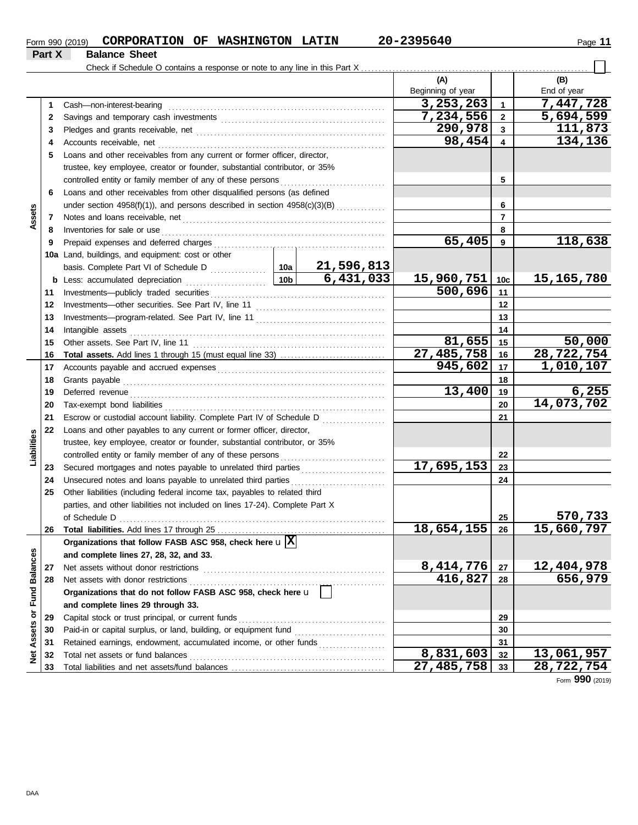| Form 990 (2019) | CORPORATION OF       | <b>WASHINGTON LATIN</b> | 20-2395640 | Page |
|-----------------|----------------------|-------------------------|------------|------|
| Part X          | <b>Balance Sheet</b> |                         |            |      |

|                 |    |                                                                                                                                                                                                                                      |  |            | (A)                    |                 | (B)               |  |  |  |
|-----------------|----|--------------------------------------------------------------------------------------------------------------------------------------------------------------------------------------------------------------------------------------|--|------------|------------------------|-----------------|-------------------|--|--|--|
|                 |    |                                                                                                                                                                                                                                      |  |            | Beginning of year      |                 | End of year       |  |  |  |
|                 | 1  | Cash-non-interest-bearing                                                                                                                                                                                                            |  |            | $\overline{3,253,263}$ | $\mathbf{1}$    | 7,447,728         |  |  |  |
|                 | 2  |                                                                                                                                                                                                                                      |  |            | 7,234,556              | $\mathbf{2}$    | 5,694,599         |  |  |  |
|                 | 3  |                                                                                                                                                                                                                                      |  |            | 290,978                | $\mathbf{3}$    | 111,873           |  |  |  |
|                 | 4  | Accounts receivable, net                                                                                                                                                                                                             |  |            | 98,454                 | 4               | 134,136           |  |  |  |
|                 | 5  | Loans and other receivables from any current or former officer, director,                                                                                                                                                            |  |            |                        |                 |                   |  |  |  |
|                 |    | trustee, key employee, creator or founder, substantial contributor, or 35%                                                                                                                                                           |  |            |                        |                 |                   |  |  |  |
|                 |    | controlled entity or family member of any of these persons                                                                                                                                                                           |  | 5          |                        |                 |                   |  |  |  |
|                 | 6  | Loans and other receivables from other disqualified persons (as defined                                                                                                                                                              |  |            |                        |                 |                   |  |  |  |
|                 |    | under section 4958(f)(1)), and persons described in section 4958(c)(3)(B)                                                                                                                                                            |  |            |                        | 6               |                   |  |  |  |
| Assets          | 7  |                                                                                                                                                                                                                                      |  |            |                        | 7               |                   |  |  |  |
|                 | 8  | Inventories for sale or use <i>communication</i> and the state of the state or use of the state or the state or the state or the state or the state or the state or the state or the state or the state or the state or the state o  |  |            |                        | 8               |                   |  |  |  |
|                 | 9  |                                                                                                                                                                                                                                      |  |            | 65,405                 | 9               | 118,638           |  |  |  |
|                 |    | 10a Land, buildings, and equipment: cost or other                                                                                                                                                                                    |  |            |                        |                 |                   |  |  |  |
|                 |    |                                                                                                                                                                                                                                      |  | 21,596,813 |                        |                 |                   |  |  |  |
|                 |    |                                                                                                                                                                                                                                      |  | 6,431,033  | 15,960,751             | 10 <sub>c</sub> | 15,165,780        |  |  |  |
|                 | 11 |                                                                                                                                                                                                                                      |  |            | 500,696                | 11              |                   |  |  |  |
|                 | 12 |                                                                                                                                                                                                                                      |  |            |                        |                 |                   |  |  |  |
|                 | 13 |                                                                                                                                                                                                                                      |  |            | 13                     |                 |                   |  |  |  |
|                 | 14 | Intangible assets                                                                                                                                                                                                                    |  |            | 14                     |                 |                   |  |  |  |
|                 | 15 |                                                                                                                                                                                                                                      |  | 81,655     | 15                     | 50,000          |                   |  |  |  |
|                 | 16 |                                                                                                                                                                                                                                      |  |            | 27,485,758             | 16              | 28,722,754        |  |  |  |
|                 | 17 |                                                                                                                                                                                                                                      |  | 945,602    | 17                     | 1,010,107       |                   |  |  |  |
|                 | 18 |                                                                                                                                                                                                                                      |  | 18         |                        |                 |                   |  |  |  |
|                 | 19 | Deferred revenue <b>contract and the contract of the contract of the contract of the contract of the contract of the contract of the contract of the contract of the contract of the contract of the contract of the contract of</b> |  |            | 13,400                 | 19              | 6,255             |  |  |  |
|                 | 20 |                                                                                                                                                                                                                                      |  |            |                        | 20              | 14,073,702        |  |  |  |
|                 | 21 | Escrow or custodial account liability. Complete Part IV of Schedule D                                                                                                                                                                |  |            |                        | 21              |                   |  |  |  |
|                 | 22 | Loans and other payables to any current or former officer, director,                                                                                                                                                                 |  |            |                        |                 |                   |  |  |  |
| Liabilities     |    | trustee, key employee, creator or founder, substantial contributor, or 35%                                                                                                                                                           |  |            |                        |                 |                   |  |  |  |
|                 |    |                                                                                                                                                                                                                                      |  |            |                        | 22              |                   |  |  |  |
|                 | 23 |                                                                                                                                                                                                                                      |  |            | 17,695,153             | 23              |                   |  |  |  |
|                 | 24 | Unsecured notes and loans payable to unrelated third parties                                                                                                                                                                         |  |            |                        | 24              |                   |  |  |  |
|                 | 25 | Other liabilities (including federal income tax, payables to related third                                                                                                                                                           |  |            |                        |                 |                   |  |  |  |
|                 |    | parties, and other liabilities not included on lines 17-24). Complete Part X                                                                                                                                                         |  |            |                        |                 |                   |  |  |  |
|                 |    |                                                                                                                                                                                                                                      |  |            |                        | 25              | 570,733           |  |  |  |
|                 | 26 |                                                                                                                                                                                                                                      |  |            | 18,654,155             | 26              | <u>15,660,797</u> |  |  |  |
|                 |    | Organizations that follow FASB ASC 958, check here $\mathbf{u} \times$                                                                                                                                                               |  |            |                        |                 |                   |  |  |  |
| <b>Balances</b> |    | and complete lines 27, 28, 32, and 33.                                                                                                                                                                                               |  |            |                        |                 |                   |  |  |  |
|                 | 27 | Net assets without donor restrictions                                                                                                                                                                                                |  |            | 8,414,776              | 27              | 12,404,978        |  |  |  |
|                 | 28 | Net assets with donor restrictions                                                                                                                                                                                                   |  |            | 416,827                | 28              | 656,979           |  |  |  |
| Fund            |    | Organizations that do not follow FASB ASC 958, check here u                                                                                                                                                                          |  |            |                        |                 |                   |  |  |  |
|                 |    | and complete lines 29 through 33.                                                                                                                                                                                                    |  |            |                        |                 |                   |  |  |  |
| ŏ               | 29 | Capital stock or trust principal, or current funds                                                                                                                                                                                   |  |            |                        | 29              |                   |  |  |  |
| Assets          | 30 |                                                                                                                                                                                                                                      |  |            |                        | 30              |                   |  |  |  |
|                 | 31 | Retained earnings, endowment, accumulated income, or other funds                                                                                                                                                                     |  |            |                        | 31              |                   |  |  |  |
| ğ               | 32 | Total net assets or fund balances                                                                                                                                                                                                    |  |            | 8,831,603              | 32              | 13,061,957        |  |  |  |
|                 | 33 |                                                                                                                                                                                                                                      |  |            | 27,485,758             | 33              | 28,722,754        |  |  |  |

Form **990** (2019)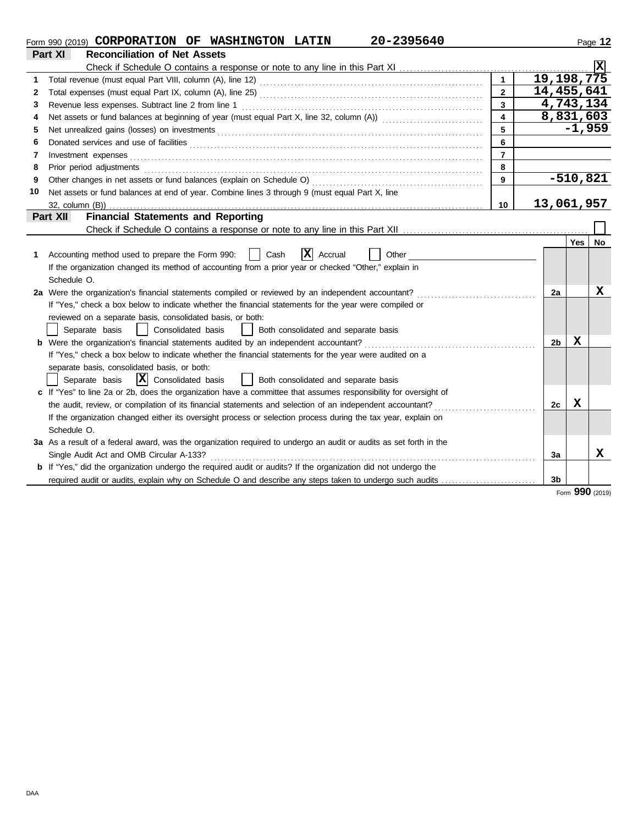|    | 20-2395640<br>Form 990 (2019) CORPORATION OF WASHINGTON LATIN                                                                                                                                                                  |                         |                |              | Page 12 |
|----|--------------------------------------------------------------------------------------------------------------------------------------------------------------------------------------------------------------------------------|-------------------------|----------------|--------------|---------|
|    | Part XI<br><b>Reconciliation of Net Assets</b>                                                                                                                                                                                 |                         |                |              |         |
|    | Check if Schedule O contains a response or note to any line in this Part XI                                                                                                                                                    |                         |                |              |         |
| 1  |                                                                                                                                                                                                                                | $\mathbf{1}$            |                | 19, 198, 775 |         |
| 2  |                                                                                                                                                                                                                                | $\overline{2}$          |                | 14,455,641   |         |
| 3  | Revenue less expenses. Subtract line 2 from line 1                                                                                                                                                                             | $\overline{3}$          |                | 4,743,134    |         |
| 4  | Net assets or fund balances at beginning of year (must equal Part X, line 32, column (A)) [[[[[[[[[[[[[[[[[[[                                                                                                                  | $\overline{\mathbf{4}}$ |                | 8,831,603    |         |
| 5  | Net unrealized gains (losses) on investments [11] match and the contract of the state of the state of the state of the state of the state of the state of the state of the state of the state of the state of the state of the | 5                       |                | $-1,959$     |         |
| 6  |                                                                                                                                                                                                                                | 6                       |                |              |         |
| 7  | Investment expenses <b>contract and the expenses</b>                                                                                                                                                                           | $\overline{7}$          |                |              |         |
| 8  | Prior period adjustments                                                                                                                                                                                                       | 8                       |                |              |         |
| 9  |                                                                                                                                                                                                                                | 9                       |                | $-510,821$   |         |
| 10 | Net assets or fund balances at end of year. Combine lines 3 through 9 (must equal Part X, line                                                                                                                                 |                         |                |              |         |
|    | 32, column (B))                                                                                                                                                                                                                | 10                      |                | 13,061,957   |         |
|    | <b>Financial Statements and Reporting</b><br>Part XII                                                                                                                                                                          |                         |                |              |         |
|    |                                                                                                                                                                                                                                |                         |                |              |         |
|    |                                                                                                                                                                                                                                |                         |                | Yes          | No      |
| 1  | $ \mathbf{X} $ Accrual<br>Cash<br>Accounting method used to prepare the Form 990:<br>Other                                                                                                                                     |                         |                |              |         |
|    | If the organization changed its method of accounting from a prior year or checked "Other," explain in                                                                                                                          |                         |                |              |         |
|    | Schedule O.                                                                                                                                                                                                                    |                         |                |              |         |
|    | 2a Were the organization's financial statements compiled or reviewed by an independent accountant?                                                                                                                             |                         | 2a             |              | X       |
|    | If "Yes," check a box below to indicate whether the financial statements for the year were compiled or                                                                                                                         |                         |                |              |         |
|    | reviewed on a separate basis, consolidated basis, or both:                                                                                                                                                                     |                         |                |              |         |
|    | Separate basis<br>Consolidated basis<br>Both consolidated and separate basis                                                                                                                                                   |                         |                |              |         |
|    | <b>b</b> Were the organization's financial statements audited by an independent accountant?                                                                                                                                    |                         | 2 <sub>b</sub> | x            |         |
|    | If "Yes," check a box below to indicate whether the financial statements for the year were audited on a                                                                                                                        |                         |                |              |         |
|    | separate basis, consolidated basis, or both:                                                                                                                                                                                   |                         |                |              |         |
|    | $ \mathbf{X} $ Consolidated basis<br>  Both consolidated and separate basis<br>Separate basis                                                                                                                                  |                         |                |              |         |
|    | c If "Yes" to line 2a or 2b, does the organization have a committee that assumes responsibility for oversight of                                                                                                               |                         |                |              |         |
|    | the audit, review, or compilation of its financial statements and selection of an independent accountant?                                                                                                                      |                         | 2c             | $\mathbf x$  |         |
|    | If the organization changed either its oversight process or selection process during the tax year, explain on                                                                                                                  |                         |                |              |         |
|    | Schedule O.                                                                                                                                                                                                                    |                         |                |              |         |
|    | 3a As a result of a federal award, was the organization required to undergo an audit or audits as set forth in the                                                                                                             |                         |                |              |         |
|    | Single Audit Act and OMB Circular A-133?                                                                                                                                                                                       |                         | 3a             |              | x       |
|    | <b>b</b> If "Yes," did the organization undergo the required audit or audits? If the organization did not undergo the                                                                                                          |                         |                |              |         |
|    | required audit or audits, explain why on Schedule O and describe any steps taken to undergo such audits                                                                                                                        |                         | 3 <sub>b</sub> |              |         |

Form **990** (2019)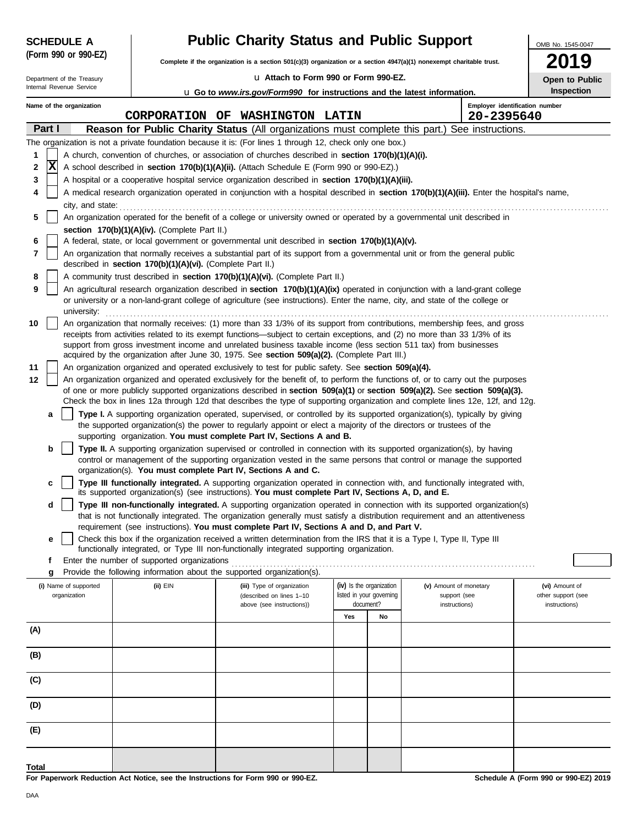| <b>SCHEDULE A</b>                     | <b>Public Charity Status and Public Support</b>                                                   | OMB No. 1545-0047                                                                                                                                                                                                                                                                                                                                                               |                                                         |                                              |                                      |  |  |  |  |  |  |
|---------------------------------------|---------------------------------------------------------------------------------------------------|---------------------------------------------------------------------------------------------------------------------------------------------------------------------------------------------------------------------------------------------------------------------------------------------------------------------------------------------------------------------------------|---------------------------------------------------------|----------------------------------------------|--------------------------------------|--|--|--|--|--|--|
| (Form 990 or 990-EZ)                  |                                                                                                   | Complete if the organization is a section 501(c)(3) organization or a section 4947(a)(1) nonexempt charitable trust.                                                                                                                                                                                                                                                            |                                                         | 19                                           |                                      |  |  |  |  |  |  |
| Department of the Treasury            |                                                                                                   |                                                                                                                                                                                                                                                                                                                                                                                 | La Attach to Form 990 or Form 990-EZ.<br>Open to Public |                                              |                                      |  |  |  |  |  |  |
| Internal Revenue Service              |                                                                                                   | <b>u</b> Go to www.irs.gov/Form990 for instructions and the latest information.                                                                                                                                                                                                                                                                                                 |                                                         |                                              | Inspection                           |  |  |  |  |  |  |
| Name of the organization              |                                                                                                   |                                                                                                                                                                                                                                                                                                                                                                                 |                                                         | Employer identification number<br>20-2395640 |                                      |  |  |  |  |  |  |
| Part I                                |                                                                                                   | CORPORATION OF WASHINGTON LATIN<br>Reason for Public Charity Status (All organizations must complete this part.) See instructions.                                                                                                                                                                                                                                              |                                                         |                                              |                                      |  |  |  |  |  |  |
|                                       |                                                                                                   | The organization is not a private foundation because it is: (For lines 1 through 12, check only one box.)                                                                                                                                                                                                                                                                       |                                                         |                                              |                                      |  |  |  |  |  |  |
| 1                                     |                                                                                                   | A church, convention of churches, or association of churches described in section 170(b)(1)(A)(i).                                                                                                                                                                                                                                                                              |                                                         |                                              |                                      |  |  |  |  |  |  |
| $\overline{\textbf{x}}$<br>2          |                                                                                                   | A school described in section 170(b)(1)(A)(ii). (Attach Schedule E (Form 990 or 990-EZ).)                                                                                                                                                                                                                                                                                       |                                                         |                                              |                                      |  |  |  |  |  |  |
| 3                                     | A hospital or a cooperative hospital service organization described in section 170(b)(1)(A)(iii). |                                                                                                                                                                                                                                                                                                                                                                                 |                                                         |                                              |                                      |  |  |  |  |  |  |
| 4                                     |                                                                                                   | A medical research organization operated in conjunction with a hospital described in section 170(b)(1)(A)(iii). Enter the hospital's name,                                                                                                                                                                                                                                      |                                                         |                                              |                                      |  |  |  |  |  |  |
|                                       | city, and state:                                                                                  |                                                                                                                                                                                                                                                                                                                                                                                 |                                                         |                                              |                                      |  |  |  |  |  |  |
| 5                                     |                                                                                                   | An organization operated for the benefit of a college or university owned or operated by a governmental unit described in                                                                                                                                                                                                                                                       |                                                         |                                              |                                      |  |  |  |  |  |  |
|                                       | section 170(b)(1)(A)(iv). (Complete Part II.)                                                     |                                                                                                                                                                                                                                                                                                                                                                                 |                                                         |                                              |                                      |  |  |  |  |  |  |
| 6                                     |                                                                                                   | A federal, state, or local government or governmental unit described in section 170(b)(1)(A)(v).                                                                                                                                                                                                                                                                                |                                                         |                                              |                                      |  |  |  |  |  |  |
| 7                                     | described in section 170(b)(1)(A)(vi). (Complete Part II.)                                        | An organization that normally receives a substantial part of its support from a governmental unit or from the general public                                                                                                                                                                                                                                                    |                                                         |                                              |                                      |  |  |  |  |  |  |
| 8                                     |                                                                                                   | A community trust described in section 170(b)(1)(A)(vi). (Complete Part II.)                                                                                                                                                                                                                                                                                                    |                                                         |                                              |                                      |  |  |  |  |  |  |
| 9<br>university:                      |                                                                                                   | An agricultural research organization described in <b>section 170(b)(1)(A)(ix)</b> operated in conjunction with a land-grant college<br>or university or a non-land-grant college of agriculture (see instructions). Enter the name, city, and state of the college or                                                                                                          |                                                         |                                              |                                      |  |  |  |  |  |  |
| 10                                    |                                                                                                   | An organization that normally receives: (1) more than 33 1/3% of its support from contributions, membership fees, and gross<br>receipts from activities related to its exempt functions-subject to certain exceptions, and (2) no more than 33 1/3% of its<br>support from gross investment income and unrelated business taxable income (less section 511 tax) from businesses |                                                         |                                              |                                      |  |  |  |  |  |  |
|                                       |                                                                                                   | acquired by the organization after June 30, 1975. See section 509(a)(2). (Complete Part III.)                                                                                                                                                                                                                                                                                   |                                                         |                                              |                                      |  |  |  |  |  |  |
| 11                                    |                                                                                                   | An organization organized and operated exclusively to test for public safety. See section 509(a)(4).                                                                                                                                                                                                                                                                            |                                                         |                                              |                                      |  |  |  |  |  |  |
| 12                                    |                                                                                                   | An organization organized and operated exclusively for the benefit of, to perform the functions of, or to carry out the purposes<br>of one or more publicly supported organizations described in section 509(a)(1) or section 509(a)(2). See section 509(a)(3).                                                                                                                 |                                                         |                                              |                                      |  |  |  |  |  |  |
|                                       |                                                                                                   | Check the box in lines 12a through 12d that describes the type of supporting organization and complete lines 12e, 12f, and 12g.                                                                                                                                                                                                                                                 |                                                         |                                              |                                      |  |  |  |  |  |  |
| a                                     |                                                                                                   | Type I. A supporting organization operated, supervised, or controlled by its supported organization(s), typically by giving                                                                                                                                                                                                                                                     |                                                         |                                              |                                      |  |  |  |  |  |  |
|                                       |                                                                                                   | the supported organization(s) the power to regularly appoint or elect a majority of the directors or trustees of the                                                                                                                                                                                                                                                            |                                                         |                                              |                                      |  |  |  |  |  |  |
| b                                     |                                                                                                   | supporting organization. You must complete Part IV, Sections A and B.<br>Type II. A supporting organization supervised or controlled in connection with its supported organization(s), by having                                                                                                                                                                                |                                                         |                                              |                                      |  |  |  |  |  |  |
|                                       |                                                                                                   | control or management of the supporting organization vested in the same persons that control or manage the supported                                                                                                                                                                                                                                                            |                                                         |                                              |                                      |  |  |  |  |  |  |
|                                       |                                                                                                   | organization(s). You must complete Part IV, Sections A and C.                                                                                                                                                                                                                                                                                                                   |                                                         |                                              |                                      |  |  |  |  |  |  |
| c                                     |                                                                                                   | Type III functionally integrated. A supporting organization operated in connection with, and functionally integrated with,<br>its supported organization(s) (see instructions). You must complete Part IV, Sections A, D, and E.                                                                                                                                                |                                                         |                                              |                                      |  |  |  |  |  |  |
| d                                     |                                                                                                   | Type III non-functionally integrated. A supporting organization operated in connection with its supported organization(s)                                                                                                                                                                                                                                                       |                                                         |                                              |                                      |  |  |  |  |  |  |
|                                       |                                                                                                   | that is not functionally integrated. The organization generally must satisfy a distribution requirement and an attentiveness<br>requirement (see instructions). You must complete Part IV, Sections A and D, and Part V.                                                                                                                                                        |                                                         |                                              |                                      |  |  |  |  |  |  |
| е                                     |                                                                                                   | Check this box if the organization received a written determination from the IRS that it is a Type I, Type II, Type III                                                                                                                                                                                                                                                         |                                                         |                                              |                                      |  |  |  |  |  |  |
|                                       |                                                                                                   | functionally integrated, or Type III non-functionally integrated supporting organization.                                                                                                                                                                                                                                                                                       |                                                         |                                              |                                      |  |  |  |  |  |  |
| f                                     | Enter the number of supported organizations                                                       |                                                                                                                                                                                                                                                                                                                                                                                 |                                                         |                                              |                                      |  |  |  |  |  |  |
| g                                     |                                                                                                   | Provide the following information about the supported organization(s).                                                                                                                                                                                                                                                                                                          |                                                         |                                              |                                      |  |  |  |  |  |  |
| (i) Name of supported<br>organization | (ii) EIN                                                                                          | (iii) Type of organization<br>(described on lines 1-10                                                                                                                                                                                                                                                                                                                          | (iv) Is the organization<br>listed in your governing    | (v) Amount of monetary<br>support (see       | (vi) Amount of<br>other support (see |  |  |  |  |  |  |
|                                       |                                                                                                   | above (see instructions))                                                                                                                                                                                                                                                                                                                                                       | document?                                               | instructions)                                | instructions)                        |  |  |  |  |  |  |
|                                       |                                                                                                   |                                                                                                                                                                                                                                                                                                                                                                                 | Yes<br>No                                               |                                              |                                      |  |  |  |  |  |  |
| (A)                                   |                                                                                                   |                                                                                                                                                                                                                                                                                                                                                                                 |                                                         |                                              |                                      |  |  |  |  |  |  |
| (B)                                   |                                                                                                   |                                                                                                                                                                                                                                                                                                                                                                                 |                                                         |                                              |                                      |  |  |  |  |  |  |
| (C)                                   |                                                                                                   |                                                                                                                                                                                                                                                                                                                                                                                 |                                                         |                                              |                                      |  |  |  |  |  |  |
| (D)                                   |                                                                                                   |                                                                                                                                                                                                                                                                                                                                                                                 |                                                         |                                              |                                      |  |  |  |  |  |  |
| (E)                                   |                                                                                                   |                                                                                                                                                                                                                                                                                                                                                                                 |                                                         |                                              |                                      |  |  |  |  |  |  |
| Total                                 |                                                                                                   |                                                                                                                                                                                                                                                                                                                                                                                 |                                                         |                                              |                                      |  |  |  |  |  |  |
|                                       |                                                                                                   |                                                                                                                                                                                                                                                                                                                                                                                 |                                                         |                                              | 0 <sup>0</sup><br>000E2004           |  |  |  |  |  |  |

**For Paperwork Reduction Act Notice, see the Instructions for Form 990 or 990-EZ.**

**Schedule A (Form 990 or 990-EZ) 2019**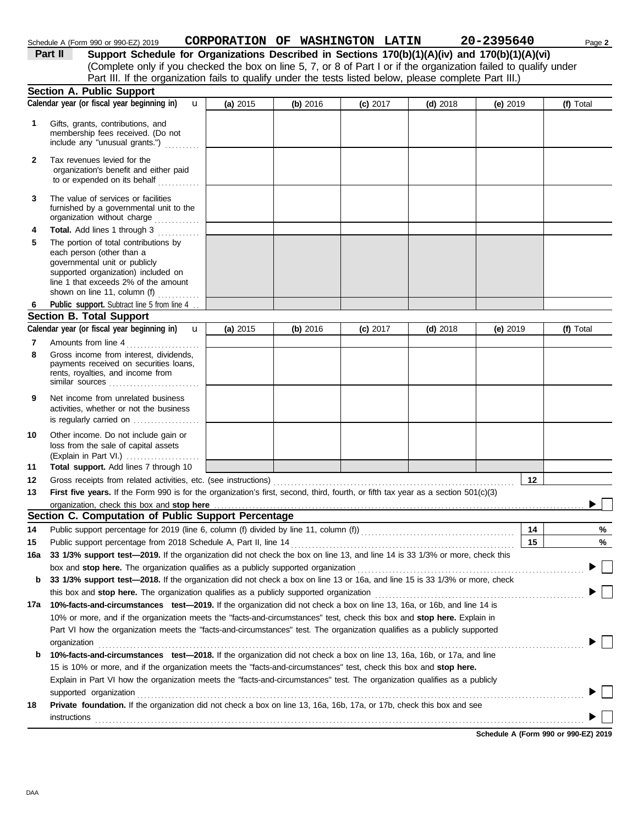|    | (Complete only if you checked the box on line 5, 7, or 8 of Part I or if the organization failed to qualify under<br>Part III. If the organization fails to qualify under the tests listed below, please complete Part III.) |          |          |            |            |            |           |
|----|------------------------------------------------------------------------------------------------------------------------------------------------------------------------------------------------------------------------------|----------|----------|------------|------------|------------|-----------|
|    | <b>Section A. Public Support</b>                                                                                                                                                                                             |          |          |            |            |            |           |
|    | Calendar year (or fiscal year beginning in)<br>$\mathbf{u}$                                                                                                                                                                  | (a) 2015 | (b) 2016 | $(c)$ 2017 | $(d)$ 2018 | (e) $2019$ | (f) Total |
| 1  | Gifts, grants, contributions, and<br>membership fees received. (Do not<br>include any "unusual grants.")                                                                                                                     |          |          |            |            |            |           |
| 2  | Tax revenues levied for the<br>organization's benefit and either paid<br>to or expended on its behalf                                                                                                                        |          |          |            |            |            |           |
| 3  | The value of services or facilities<br>furnished by a governmental unit to the<br>organization without charge                                                                                                                |          |          |            |            |            |           |
| 4  | Total. Add lines 1 through 3                                                                                                                                                                                                 |          |          |            |            |            |           |
| 5  | The portion of total contributions by<br>each person (other than a<br>governmental unit or publicly<br>supported organization) included on<br>line 1 that exceeds 2% of the amount<br>shown on line 11, column (f) $\ldots$  |          |          |            |            |            |           |
| 6. | Public support. Subtract line 5 from line 4                                                                                                                                                                                  |          |          |            |            |            |           |
|    | <b>Section B. Total Support</b>                                                                                                                                                                                              |          |          |            |            |            |           |
|    | Calendar year (or fiscal year beginning in)<br>$\mathbf{u}$                                                                                                                                                                  | (a) 2015 | (b) 2016 | $(c)$ 2017 | $(d)$ 2018 | (e) 2019   | (f) Total |
| 7  | Amounts from line 4<br><u> 1966 - Johann Stoff, Amerikaansk kanton (</u>                                                                                                                                                     |          |          |            |            |            |           |
| 8  | Gross income from interest, dividends,<br>payments received on securities loans,<br>rents, royalties, and income from<br>similar sources                                                                                     |          |          |            |            |            |           |
| 9  | Net income from unrelated business<br>activities, whether or not the business<br>is regularly carried on                                                                                                                     |          |          |            |            |            |           |
| 10 | Other income. Do not include gain or<br>loss from the sale of capital assets<br>(Explain in Part VI.)                                                                                                                        |          |          |            |            |            |           |
| 11 | Total support. Add lines 7 through 10                                                                                                                                                                                        |          |          |            |            |            |           |
| 12 | Gross receipts from related activities, etc. (see instructions)                                                                                                                                                              |          |          |            |            | 12         |           |

Schedule A (Form 990 or 990-EZ) 2019 **CORPORATION OF WASHINGTON LATIN** 20-2395640 Page 2

**Part II** Support Schedule for Organizations Described in Sections 170(b)(1)(A)(iv) and 170(b)(1)(A)(vi)

| 13  | First five years. If the Form 990 is for the organization's first, second, third, fourth, or fifth tax year as a section 501(c)(3)        |    |   |
|-----|-------------------------------------------------------------------------------------------------------------------------------------------|----|---|
|     |                                                                                                                                           |    |   |
|     | Section C. Computation of Public Support Percentage                                                                                       |    |   |
| 14  | Public support percentage for 2019 (line 6, column (f) divided by line 11, column (f) [[[[[[[[[[[[[[[[[[[[[[[                             | 14 | % |
| 15  | Public support percentage from 2018 Schedule A, Part II, line 14                                                                          | 15 | % |
| 16a | 33 1/3% support test-2019. If the organization did not check the box on line 13, and line 14 is 33 1/3% or more, check this               |    |   |
|     | box and stop here. The organization qualifies as a publicly supported organization                                                        |    |   |
| b   | 33 1/3% support test—2018. If the organization did not check a box on line 13 or 16a, and line 15 is 33 1/3% or more, check               |    |   |
|     | this box and <b>stop here.</b> The organization qualifies as a publicly supported organization                                            |    |   |
| 17a | 10%-facts-and-circumstances test-2019. If the organization did not check a box on line 13, 16a, or 16b, and line 14 is                    |    |   |
|     | 10% or more, and if the organization meets the "facts-and-circumstances" test, check this box and <b>stop here.</b> Explain in            |    |   |
|     | Part VI how the organization meets the "facts-and-circumstances" test. The organization qualifies as a publicly supported<br>organization |    |   |
| b   | 10%-facts-and-circumstances test-2018. If the organization did not check a box on line 13, 16a, 16b, or 17a, and line                     |    |   |
|     | 15 is 10% or more, and if the organization meets the "facts-and-circumstances" test, check this box and <b>stop here.</b>                 |    |   |
|     | Explain in Part VI how the organization meets the "facts-and-circumstances" test. The organization qualifies as a publicly                |    |   |
|     | supported organization                                                                                                                    |    |   |
| 18  | Private foundation. If the organization did not check a box on line 13, 16a, 16b, 17a, or 17b, check this box and see                     |    |   |
|     | instructions                                                                                                                              |    |   |

**Schedule A (Form 990 or 990-EZ) 2019**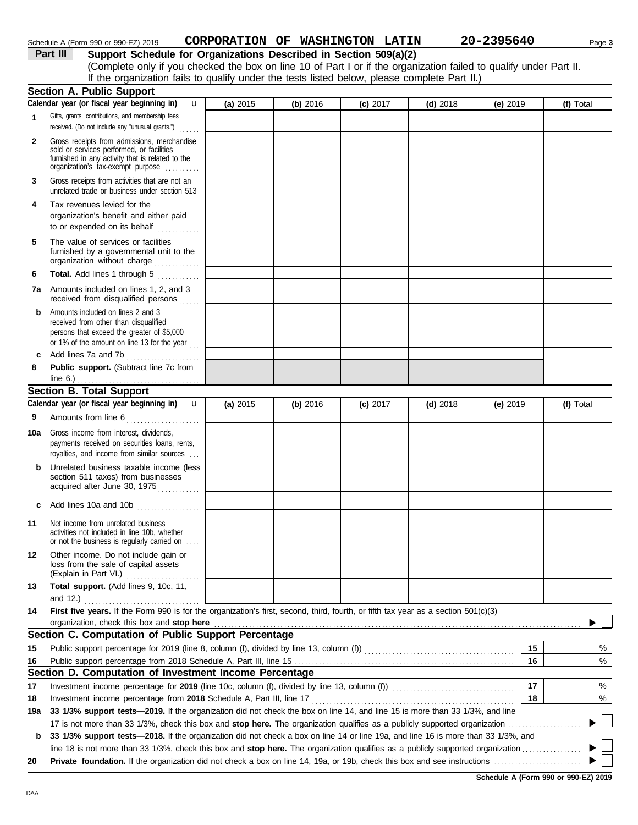|              | <b>Section A. Public Support</b>                                                                                                                                                  |          |            |            |            |            |           |
|--------------|-----------------------------------------------------------------------------------------------------------------------------------------------------------------------------------|----------|------------|------------|------------|------------|-----------|
|              | Calendar year (or fiscal year beginning in)<br>u                                                                                                                                  | (a) 2015 | (b) 2016   | $(c)$ 2017 | $(d)$ 2018 | (e) $2019$ | (f) Total |
| 1            | Gifts, grants, contributions, and membership fees<br>received. (Do not include any "unusual grants.")                                                                             |          |            |            |            |            |           |
| $\mathbf{2}$ | Gross receipts from admissions, merchandise<br>sold or services performed, or facilities<br>furnished in any activity that is related to the<br>organization's tax-exempt purpose |          |            |            |            |            |           |
| 3            | Gross receipts from activities that are not an<br>unrelated trade or business under section 513                                                                                   |          |            |            |            |            |           |
| 4            | Tax revenues levied for the<br>organization's benefit and either paid<br>to or expended on its behalf                                                                             |          |            |            |            |            |           |
| 5            | The value of services or facilities<br>furnished by a governmental unit to the<br>organization without charge                                                                     |          |            |            |            |            |           |
| 6            | Total. Add lines 1 through 5                                                                                                                                                      |          |            |            |            |            |           |
| 7а           | Amounts included on lines 1, 2, and 3<br>received from disqualified persons                                                                                                       |          |            |            |            |            |           |
| b            | Amounts included on lines 2 and 3<br>received from other than disqualified<br>persons that exceed the greater of \$5,000<br>or 1% of the amount on line 13 for the year $\ldots$  |          |            |            |            |            |           |
| c            | Add lines 7a and 7b                                                                                                                                                               |          |            |            |            |            |           |
| 8            | Public support. (Subtract line 7c from<br>line $6.$ )                                                                                                                             |          |            |            |            |            |           |
|              | .<br><b>Section B. Total Support</b>                                                                                                                                              |          |            |            |            |            |           |
|              | Calendar year (or fiscal year beginning in) <b>u</b>                                                                                                                              | (a) 2015 | (b) $2016$ | $(c)$ 2017 | $(d)$ 2018 | (e) $2019$ | (f) Total |
| 9            | Amounts from line 6                                                                                                                                                               |          |            |            |            |            |           |
| 10a          | Gross income from interest, dividends,<br>payments received on securities loans, rents,<br>royalties, and income from similar sources                                             |          |            |            |            |            |           |
| b            | Unrelated business taxable income (less<br>section 511 taxes) from businesses                                                                                                     |          |            |            |            |            |           |
|              | Add lines 10a and 10b                                                                                                                                                             |          |            |            |            |            |           |
| 11           | Net income from unrelated business<br>activities not included in line 10b, whether<br>or not the business is regularly carried on                                                 |          |            |            |            |            |           |
| 12           | Other income. Do not include gain or<br>loss from the sale of capital assets                                                                                                      |          |            |            |            |            |           |
| 13           | Total support. (Add lines 9, 10c, 11,<br>and 12.) $\ldots$                                                                                                                        |          |            |            |            |            |           |
| 14           | First five years. If the Form 990 is for the organization's first, second, third, fourth, or fifth tax year as a section 501(c)(3)                                                |          |            |            |            |            |           |
|              | organization, check this box and stop here<br>Section C. Computation of Public Support Percentage                                                                                 |          |            |            |            |            |           |
| 15           |                                                                                                                                                                                   |          |            |            |            | 15         | %         |
| 16           |                                                                                                                                                                                   |          |            |            |            | 16         | %         |
|              | Section D. Computation of Investment Income Percentage                                                                                                                            |          |            |            |            |            |           |
| 17           | Investment income percentage for 2019 (line 10c, column (f), divided by line 13, column (f)) [[[[[[[[[[[[[[[[[                                                                    |          |            |            |            | 17         | %         |
| 18           |                                                                                                                                                                                   |          |            |            |            | 18         | %         |
| 19a          | 33 1/3% support tests-2019. If the organization did not check the box on line 14, and line 15 is more than 33 1/3%, and line                                                      |          |            |            |            |            |           |
|              |                                                                                                                                                                                   |          |            |            |            |            |           |
| b            | 33 1/3% support tests-2018. If the organization did not check a box on line 14 or line 19a, and line 16 is more than 33 1/3%, and                                                 |          |            |            |            |            |           |
|              |                                                                                                                                                                                   |          |            |            |            |            |           |
| 20           |                                                                                                                                                                                   |          |            |            |            |            |           |

**Schedule A (Form 990 or 990-EZ) 2019**

### **Part III** Support Schedule for Organizations Described in Section 509(a)(2) Schedule A (Form 990 or 990-EZ) 2019 **CORPORATION OF WASHINGTON LATIN** 20-2395640 Page 3

(Complete only if you checked the box on line 10 of Part I or if the organization failed to qualify under Part II. If the organization fails to qualify under the tests listed below, please complete Part II.)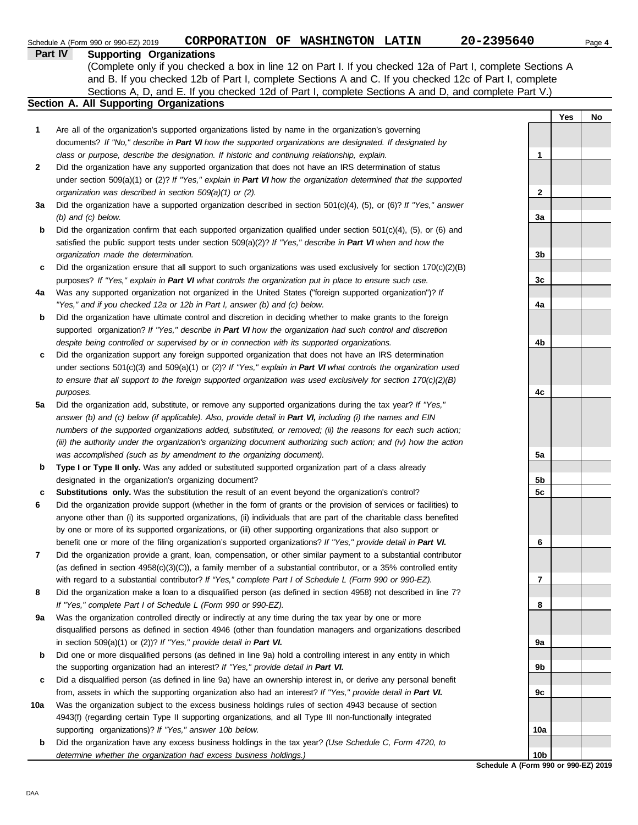|     | CORPORATION OF WASHINGTON LATIN<br>Schedule A (Form 990 or 990-EZ) 2019                                                  | 20-2395640                                      |     | Page 4 |
|-----|--------------------------------------------------------------------------------------------------------------------------|-------------------------------------------------|-----|--------|
|     | Part IV<br><b>Supporting Organizations</b>                                                                               |                                                 |     |        |
|     | (Complete only if you checked a box in line 12 on Part I. If you checked 12a of Part I, complete Sections A              |                                                 |     |        |
|     | and B. If you checked 12b of Part I, complete Sections A and C. If you checked 12c of Part I, complete                   |                                                 |     |        |
|     | Sections A, D, and E. If you checked 12d of Part I, complete Sections A and D, and complete Part V.)                     |                                                 |     |        |
|     | Section A. All Supporting Organizations                                                                                  |                                                 |     |        |
|     |                                                                                                                          |                                                 | Yes | No     |
| 1   | Are all of the organization's supported organizations listed by name in the organization's governing                     |                                                 |     |        |
|     | documents? If "No," describe in Part VI how the supported organizations are designated. If designated by                 |                                                 |     |        |
|     | class or purpose, describe the designation. If historic and continuing relationship, explain.                            | 1                                               |     |        |
| 2   | Did the organization have any supported organization that does not have an IRS determination of status                   |                                                 |     |        |
|     | under section 509(a)(1) or (2)? If "Yes," explain in Part VI how the organization determined that the supported          |                                                 |     |        |
|     | organization was described in section 509(a)(1) or (2).                                                                  | $\mathbf{2}$                                    |     |        |
| За  | Did the organization have a supported organization described in section $501(c)(4)$ , (5), or (6)? If "Yes," answer      |                                                 |     |        |
|     | $(b)$ and $(c)$ below.                                                                                                   | 3a                                              |     |        |
| b   | Did the organization confirm that each supported organization qualified under section $501(c)(4)$ , $(5)$ , or $(6)$ and |                                                 |     |        |
|     | satisfied the public support tests under section 509(a)(2)? If "Yes," describe in Part VI when and how the               |                                                 |     |        |
|     | organization made the determination.                                                                                     | 3 <sub>b</sub>                                  |     |        |
| c   | Did the organization ensure that all support to such organizations was used exclusively for section $170(c)(2)(B)$       |                                                 |     |        |
|     | purposes? If "Yes," explain in Part VI what controls the organization put in place to ensure such use.                   | 3c                                              |     |        |
| 4a  | Was any supported organization not organized in the United States ("foreign supported organization")? If                 |                                                 |     |        |
|     | "Yes," and if you checked 12a or 12b in Part I, answer (b) and (c) below.                                                | 4a                                              |     |        |
| b   | Did the organization have ultimate control and discretion in deciding whether to make grants to the foreign              |                                                 |     |        |
|     | supported organization? If "Yes," describe in Part VI how the organization had such control and discretion               |                                                 |     |        |
|     | despite being controlled or supervised by or in connection with its supported organizations.                             | 4b                                              |     |        |
| c   | Did the organization support any foreign supported organization that does not have an IRS determination                  |                                                 |     |        |
|     | under sections $501(c)(3)$ and $509(a)(1)$ or (2)? If "Yes," explain in Part VI what controls the organization used      |                                                 |     |        |
|     | to ensure that all support to the foreign supported organization was used exclusively for section $170(c)(2)(B)$         |                                                 |     |        |
|     | purposes.                                                                                                                | 4с                                              |     |        |
| 5a  | Did the organization add, substitute, or remove any supported organizations during the tax year? If "Yes,"               |                                                 |     |        |
|     | answer (b) and (c) below (if applicable). Also, provide detail in Part VI, including (i) the names and EIN               |                                                 |     |        |
|     | numbers of the supported organizations added, substituted, or removed; (ii) the reasons for each such action;            |                                                 |     |        |
|     | (iii) the authority under the organization's organizing document authorizing such action; and (iv) how the action        |                                                 |     |        |
|     | was accomplished (such as by amendment to the organizing document).                                                      | 5а                                              |     |        |
| b   | Type I or Type II only. Was any added or substituted supported organization part of a class already                      |                                                 |     |        |
|     | designated in the organization's organizing document?                                                                    | 5b                                              |     |        |
| c   | Substitutions only. Was the substitution the result of an event beyond the organization's control?                       | 5c                                              |     |        |
|     | Did the organization provide support (whether in the form of grants or the provision of services or facilities) to       |                                                 |     |        |
|     | anyone other than (i) its supported organizations, (ii) individuals that are part of the charitable class benefited      |                                                 |     |        |
|     | by one or more of its supported organizations, or (iii) other supporting organizations that also support or              |                                                 |     |        |
|     | benefit one or more of the filing organization's supported organizations? If "Yes," provide detail in Part VI.           | 6                                               |     |        |
| 7   | Did the organization provide a grant, loan, compensation, or other similar payment to a substantial contributor          |                                                 |     |        |
|     | (as defined in section $4958(c)(3)(C)$ ), a family member of a substantial contributor, or a 35% controlled entity       |                                                 |     |        |
|     | with regard to a substantial contributor? If "Yes," complete Part I of Schedule L (Form 990 or 990-EZ).                  | 7                                               |     |        |
| 8   | Did the organization make a loan to a disqualified person (as defined in section 4958) not described in line 7?          |                                                 |     |        |
|     | If "Yes," complete Part I of Schedule L (Form 990 or 990-EZ).                                                            | 8                                               |     |        |
| 9a  | Was the organization controlled directly or indirectly at any time during the tax year by one or more                    |                                                 |     |        |
|     | disqualified persons as defined in section 4946 (other than foundation managers and organizations described              |                                                 |     |        |
|     | in section $509(a)(1)$ or (2))? If "Yes," provide detail in Part VI.                                                     | 9а                                              |     |        |
| b   | Did one or more disqualified persons (as defined in line 9a) hold a controlling interest in any entity in which          |                                                 |     |        |
|     | the supporting organization had an interest? If "Yes," provide detail in Part VI.                                        | 9b                                              |     |        |
| c   | Did a disqualified person (as defined in line 9a) have an ownership interest in, or derive any personal benefit          |                                                 |     |        |
|     | from, assets in which the supporting organization also had an interest? If "Yes," provide detail in Part VI.             | 9с                                              |     |        |
| 10a | Was the organization subject to the excess business holdings rules of section 4943 because of section                    |                                                 |     |        |
|     | 4943(f) (regarding certain Type II supporting organizations, and all Type III non-functionally integrated                |                                                 |     |        |
|     | supporting organizations)? If "Yes," answer 10b below.                                                                   | 10a                                             |     |        |
| b   | Did the organization have any excess business holdings in the tax year? (Use Schedule C, Form 4720, to                   |                                                 |     |        |
|     | determine whether the organization had excess business holdings.)                                                        | 10 <sub>b</sub>                                 |     |        |
|     |                                                                                                                          | $A$ (Faxes 000 av 000 EZ) 20<br><b>Cohodulo</b> |     |        |

**Schedule A (Form 990 or 990-EZ) 2019**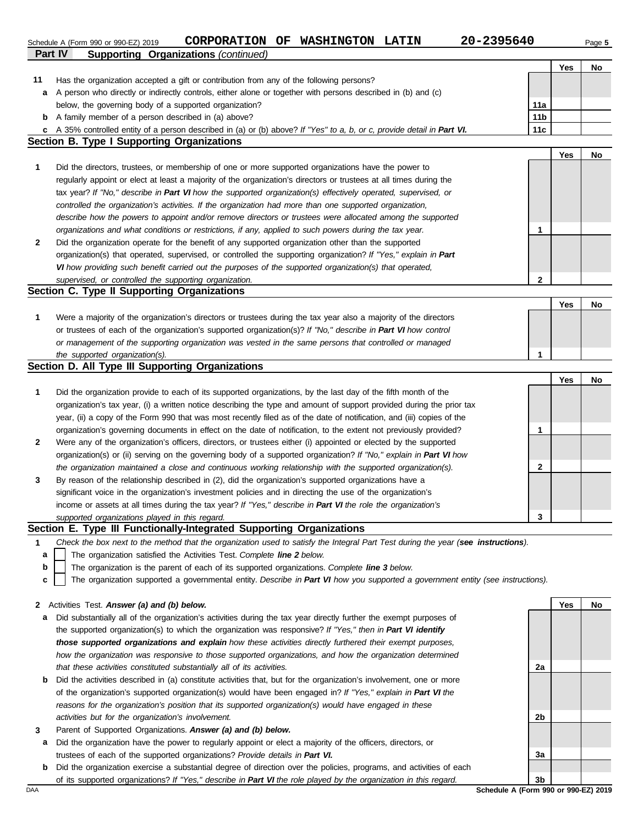|        | 20-2395640<br>CORPORATION OF WASHINGTON LATIN<br>Schedule A (Form 990 or 990-EZ) 2019                                             |     | Page 5 |
|--------|-----------------------------------------------------------------------------------------------------------------------------------|-----|--------|
|        | <b>Supporting Organizations (continued)</b><br><b>Part IV</b>                                                                     |     |        |
|        |                                                                                                                                   | Yes | No     |
| 11     | Has the organization accepted a gift or contribution from any of the following persons?                                           |     |        |
| а      | A person who directly or indirectly controls, either alone or together with persons described in (b) and (c)                      |     |        |
|        | below, the governing body of a supported organization?<br>11a                                                                     |     |        |
| b      | A family member of a person described in (a) above?<br>11 <sub>b</sub>                                                            |     |        |
| c      | 11c<br>A 35% controlled entity of a person described in (a) or (b) above? If "Yes" to a, b, or c, provide detail in Part VI.      |     |        |
|        | <b>Section B. Type I Supporting Organizations</b>                                                                                 |     |        |
|        |                                                                                                                                   | Yes | No     |
| 1      | Did the directors, trustees, or membership of one or more supported organizations have the power to                               |     |        |
|        | regularly appoint or elect at least a majority of the organization's directors or trustees at all times during the                |     |        |
|        | tax year? If "No," describe in Part VI how the supported organization(s) effectively operated, supervised, or                     |     |        |
|        | controlled the organization's activities. If the organization had more than one supported organization,                           |     |        |
|        | describe how the powers to appoint and/or remove directors or trustees were allocated among the supported                         |     |        |
|        | organizations and what conditions or restrictions, if any, applied to such powers during the tax year.<br>1                       |     |        |
| 2      | Did the organization operate for the benefit of any supported organization other than the supported                               |     |        |
|        | organization(s) that operated, supervised, or controlled the supporting organization? If "Yes," explain in Part                   |     |        |
|        | VI how providing such benefit carried out the purposes of the supported organization(s) that operated,                            |     |        |
|        | 2<br>supervised, or controlled the supporting organization.                                                                       |     |        |
|        | Section C. Type II Supporting Organizations                                                                                       |     |        |
|        |                                                                                                                                   | Yes | No     |
| 1      | Were a majority of the organization's directors or trustees during the tax year also a majority of the directors                  |     |        |
|        | or trustees of each of the organization's supported organization(s)? If "No," describe in Part VI how control                     |     |        |
|        | or management of the supporting organization was vested in the same persons that controlled or managed                            |     |        |
|        | the supported organization(s).<br>1                                                                                               |     |        |
|        | Section D. All Type III Supporting Organizations                                                                                  |     |        |
|        |                                                                                                                                   | Yes | No     |
| 1      | Did the organization provide to each of its supported organizations, by the last day of the fifth month of the                    |     |        |
|        | organization's tax year, (i) a written notice describing the type and amount of support provided during the prior tax             |     |        |
|        | year, (ii) a copy of the Form 990 that was most recently filed as of the date of notification, and (iii) copies of the            |     |        |
|        | organization's governing documents in effect on the date of notification, to the extent not previously provided?<br>1             |     |        |
| 2      | Were any of the organization's officers, directors, or trustees either (i) appointed or elected by the supported                  |     |        |
|        | organization(s) or (ii) serving on the governing body of a supported organization? If "No," explain in Part VI how                |     |        |
|        | the organization maintained a close and continuous working relationship with the supported organization(s).<br>2                  |     |        |
| 3      | By reason of the relationship described in (2), did the organization's supported organizations have a                             |     |        |
|        | significant voice in the organization's investment policies and in directing the use of the organization's                        |     |        |
|        | income or assets at all times during the tax year? If "Yes," describe in Part VI the role the organization's                      |     |        |
|        | supported organizations played in this regard.<br>3                                                                               |     |        |
|        | Section E. Type III Functionally-Integrated Supporting Organizations                                                              |     |        |
| 1      | Check the box next to the method that the organization used to satisfy the Integral Part Test during the year (see instructions). |     |        |
|        | The organization satisfied the Activities Test. Complete line 2 below.                                                            |     |        |
| а<br>b | The organization is the parent of each of its supported organizations. Complete line 3 below.                                     |     |        |
|        |                                                                                                                                   |     |        |
| с      | The organization supported a governmental entity. Describe in Part VI how you supported a government entity (see instructions).   |     |        |

**2** Activities Test. *Answer (a) and (b) below.*

- **a** Did substantially all of the organization's activities during the tax year directly further the exempt purposes of the supported organization(s) to which the organization was responsive? *If "Yes," then in Part VI identify those supported organizations and explain how these activities directly furthered their exempt purposes, how the organization was responsive to those supported organizations, and how the organization determined that these activities constituted substantially all of its activities.*
- **b** Did the activities described in (a) constitute activities that, but for the organization's involvement, one or more of the organization's supported organization(s) would have been engaged in? *If "Yes," explain in Part VI the reasons for the organization's position that its supported organization(s) would have engaged in these activities but for the organization's involvement.*
- **3** Parent of Supported Organizations. *Answer (a) and (b) below.*
	- **a** Did the organization have the power to regularly appoint or elect a majority of the officers, directors, or trustees of each of the supported organizations? *Provide details in Part VI.*
	- **b** Did the organization exercise a substantial degree of direction over the policies, programs, and activities of each of its supported organizations? *If "Yes," describe in Part VI the role played by the organization in this regard.*

**2a 2b 3a 3b**

**Yes No**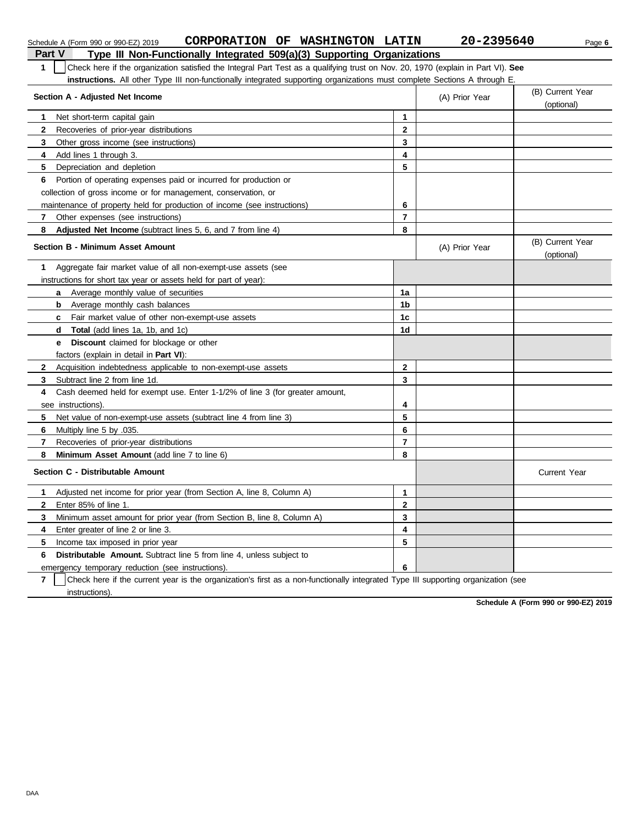|              | CORPORATION OF WASHINGTON LATIN<br>Schedule A (Form 990 or 990-EZ) 2019                                                          |                | 20-2395640     | Page 6                         |
|--------------|----------------------------------------------------------------------------------------------------------------------------------|----------------|----------------|--------------------------------|
| Part V       | Type III Non-Functionally Integrated 509(a)(3) Supporting Organizations                                                          |                |                |                                |
| $\mathbf{1}$ | Check here if the organization satisfied the Integral Part Test as a qualifying trust on Nov. 20, 1970 (explain in Part VI). See |                |                |                                |
|              | instructions. All other Type III non-functionally integrated supporting organizations must complete Sections A through E         |                |                |                                |
|              | Section A - Adjusted Net Income                                                                                                  |                | (A) Prior Year | (B) Current Year<br>(optional) |
| 1            | Net short-term capital gain                                                                                                      | $\mathbf{1}$   |                |                                |
| 2            | Recoveries of prior-year distributions                                                                                           | $\mathbf{2}$   |                |                                |
| 3            | Other gross income (see instructions)                                                                                            | 3              |                |                                |
| 4            | Add lines 1 through 3.                                                                                                           | 4              |                |                                |
| 5            | Depreciation and depletion                                                                                                       | 5              |                |                                |
| 6            | Portion of operating expenses paid or incurred for production or                                                                 |                |                |                                |
|              | collection of gross income or for management, conservation, or                                                                   |                |                |                                |
|              | maintenance of property held for production of income (see instructions)                                                         | 6              |                |                                |
| 7            | Other expenses (see instructions)                                                                                                | $\overline{7}$ |                |                                |
| 8            | Adjusted Net Income (subtract lines 5, 6, and 7 from line 4)                                                                     | 8              |                |                                |
|              | Section B - Minimum Asset Amount                                                                                                 |                | (A) Prior Year | (B) Current Year<br>(optional) |
| 1            | Aggregate fair market value of all non-exempt-use assets (see                                                                    |                |                |                                |
|              | instructions for short tax year or assets held for part of year):                                                                |                |                |                                |
|              | <b>a</b> Average monthly value of securities                                                                                     | 1a             |                |                                |
|              | Average monthly cash balances<br>b                                                                                               | 1b             |                |                                |
|              | Fair market value of other non-exempt-use assets<br>C                                                                            | 1 <sub>c</sub> |                |                                |
|              | <b>Total</b> (add lines 1a, 1b, and 1c)<br>d                                                                                     | 1d             |                |                                |
|              | <b>Discount</b> claimed for blockage or other<br>е                                                                               |                |                |                                |
|              | factors (explain in detail in <b>Part VI)</b> :                                                                                  |                |                |                                |
| $\mathbf{2}$ | Acquisition indebtedness applicable to non-exempt-use assets                                                                     | $\mathbf{2}$   |                |                                |
| 3            | Subtract line 2 from line 1d.                                                                                                    | 3              |                |                                |
| 4            | Cash deemed held for exempt use. Enter 1-1/2% of line 3 (for greater amount,                                                     |                |                |                                |
|              | see instructions)                                                                                                                | 4              |                |                                |
| 5            | Net value of non-exempt-use assets (subtract line 4 from line 3)                                                                 | 5              |                |                                |
| 6            | Multiply line 5 by .035.                                                                                                         | 6              |                |                                |
| 7            | Recoveries of prior-year distributions                                                                                           | $\overline{7}$ |                |                                |
| 8            | Minimum Asset Amount (add line 7 to line 6)                                                                                      | 8              |                |                                |
|              | Section C - Distributable Amount                                                                                                 |                |                | <b>Current Year</b>            |
| 1            | Adjusted net income for prior year (from Section A, line 8, Column A)                                                            | $\mathbf{1}$   |                |                                |
| $\mathbf{2}$ | Enter 85% of line 1.                                                                                                             | $\mathbf{2}$   |                |                                |
| 3            | Minimum asset amount for prior year (from Section B, line 8, Column A)                                                           | 3              |                |                                |
| 4            | Enter greater of line 2 or line 3.                                                                                               | 4              |                |                                |
| 5            | Income tax imposed in prior year                                                                                                 | 5              |                |                                |
| 6            | Distributable Amount. Subtract line 5 from line 4, unless subject to                                                             |                |                |                                |
|              | emergency temporary reduction (see instructions).                                                                                | 6              |                |                                |
|              |                                                                                                                                  |                |                |                                |

**7** | Check here if the current year is the organization's first as a non-functionally integrated Type III supporting organization (see instructions).

**Schedule A (Form 990 or 990-EZ) 2019**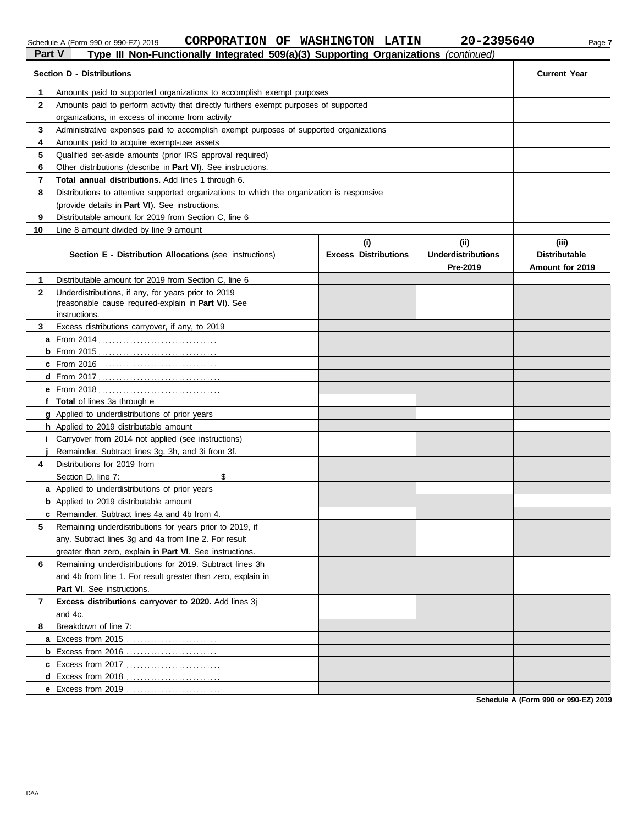| <b>Part V</b> | CORPORATION OF WASHINGTON LATIN<br>Schedule A (Form 990 or 990-EZ) 2019<br>Type III Non-Functionally Integrated 509(a)(3) Supporting Organizations |                                    | 20-2395640<br>(continued)                     | Page 7                                           |
|---------------|----------------------------------------------------------------------------------------------------------------------------------------------------|------------------------------------|-----------------------------------------------|--------------------------------------------------|
|               | <b>Section D - Distributions</b>                                                                                                                   |                                    |                                               | <b>Current Year</b>                              |
| 1             | Amounts paid to supported organizations to accomplish exempt purposes                                                                              |                                    |                                               |                                                  |
| 2             | Amounts paid to perform activity that directly furthers exempt purposes of supported                                                               |                                    |                                               |                                                  |
|               | organizations, in excess of income from activity                                                                                                   |                                    |                                               |                                                  |
| 3             | Administrative expenses paid to accomplish exempt purposes of supported organizations                                                              |                                    |                                               |                                                  |
| 4             | Amounts paid to acquire exempt-use assets                                                                                                          |                                    |                                               |                                                  |
| 5             | Qualified set-aside amounts (prior IRS approval required)                                                                                          |                                    |                                               |                                                  |
| 6             | Other distributions (describe in <b>Part VI</b> ). See instructions.                                                                               |                                    |                                               |                                                  |
| 7             | <b>Total annual distributions.</b> Add lines 1 through 6.                                                                                          |                                    |                                               |                                                  |
| 8             | Distributions to attentive supported organizations to which the organization is responsive                                                         |                                    |                                               |                                                  |
|               | (provide details in Part VI). See instructions.                                                                                                    |                                    |                                               |                                                  |
| 9             | Distributable amount for 2019 from Section C. line 6                                                                                               |                                    |                                               |                                                  |
| 10            | Line 8 amount divided by line 9 amount                                                                                                             |                                    |                                               |                                                  |
|               | <b>Section E - Distribution Allocations (see instructions)</b>                                                                                     | (i)<br><b>Excess Distributions</b> | (ii)<br><b>Underdistributions</b><br>Pre-2019 | (iii)<br><b>Distributable</b><br>Amount for 2019 |
| 1             | Distributable amount for 2019 from Section C, line 6                                                                                               |                                    |                                               |                                                  |
| 2             | Underdistributions, if any, for years prior to 2019<br>(reasonable cause required-explain in Part VI). See<br>instructions.                        |                                    |                                               |                                                  |
| 3             | Excess distributions carryover, if any, to 2019                                                                                                    |                                    |                                               |                                                  |
|               |                                                                                                                                                    |                                    |                                               |                                                  |
|               |                                                                                                                                                    |                                    |                                               |                                                  |
|               |                                                                                                                                                    |                                    |                                               |                                                  |
|               |                                                                                                                                                    |                                    |                                               |                                                  |
|               | <b>e</b> From 2018                                                                                                                                 |                                    |                                               |                                                  |
|               | f Total of lines 3a through e                                                                                                                      |                                    |                                               |                                                  |
|               | <b>g</b> Applied to underdistributions of prior years                                                                                              |                                    |                                               |                                                  |
|               | h Applied to 2019 distributable amount                                                                                                             |                                    |                                               |                                                  |
|               | <i>i</i> Carryover from 2014 not applied (see instructions)                                                                                        |                                    |                                               |                                                  |
|               | Remainder. Subtract lines 3g, 3h, and 3i from 3f.                                                                                                  |                                    |                                               |                                                  |
| 4             | Distributions for 2019 from                                                                                                                        |                                    |                                               |                                                  |
|               | \$<br>Section D, line 7:                                                                                                                           |                                    |                                               |                                                  |
|               | a Applied to underdistributions of prior years                                                                                                     |                                    |                                               |                                                  |
|               | <b>b</b> Applied to 2019 distributable amount<br>c Remainder. Subtract lines 4a and 4b from 4.                                                     |                                    |                                               |                                                  |
| 5             | Remaining underdistributions for years prior to 2019, if                                                                                           |                                    |                                               |                                                  |
|               | any. Subtract lines 3g and 4a from line 2. For result                                                                                              |                                    |                                               |                                                  |
|               | greater than zero, explain in Part VI. See instructions.                                                                                           |                                    |                                               |                                                  |
| 6             | Remaining underdistributions for 2019. Subtract lines 3h.                                                                                          |                                    |                                               |                                                  |
|               | and 4b from line 1. For result greater than zero, explain in                                                                                       |                                    |                                               |                                                  |
|               | Part VI. See instructions.                                                                                                                         |                                    |                                               |                                                  |

**Schedule A (Form 990 or 990-EZ) 2019**

**8**

and 4c.

Breakdown of line 7:

**7 Excess distributions carryover to 2020.** Add lines 3j

**a** Excess from 2015 . . . . . . . . . . . . . . . . . . . . . . . . . . **b** Excess from 2016 . . . . . . . . . . . . . . . . . . . . . . . . . . **c** Excess from 2017 . . . . . . . . . . . . . . . . . . . . . . . . . . . **d** Excess from 2018 . . . . . . . . . . . . . . . . . . . . . . . . . . . **e** Excess from 2019 . . . . . . . . . . . . . . . . . . . . . . . . . . .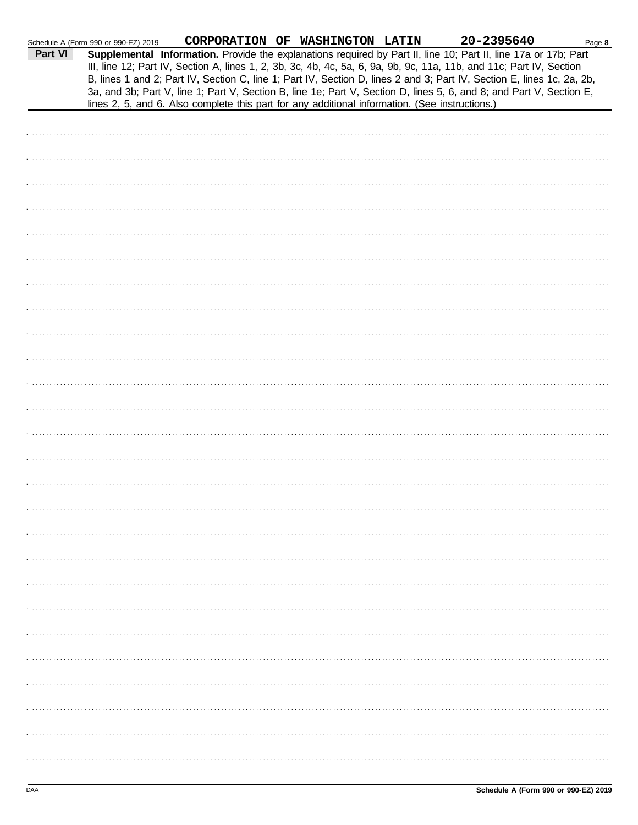|         | Schedule A (Form 990 or 990-EZ) 2019 | CORPORATION OF WASHINGTON LATIN                                                                                                                                                                                                                                                                                                                                                                                                                                                                                                                                                             |  | 20-2395640 | Page 8 |
|---------|--------------------------------------|---------------------------------------------------------------------------------------------------------------------------------------------------------------------------------------------------------------------------------------------------------------------------------------------------------------------------------------------------------------------------------------------------------------------------------------------------------------------------------------------------------------------------------------------------------------------------------------------|--|------------|--------|
| Part VI |                                      | Supplemental Information. Provide the explanations required by Part II, line 10; Part II, line 17a or 17b; Part<br>III, line 12; Part IV, Section A, lines 1, 2, 3b, 3c, 4b, 4c, 5a, 6, 9a, 9b, 9c, 11a, 11b, and 11c; Part IV, Section<br>B, lines 1 and 2; Part IV, Section C, line 1; Part IV, Section D, lines 2 and 3; Part IV, Section E, lines 1c, 2a, 2b,<br>3a, and 3b; Part V, line 1; Part V, Section B, line 1e; Part V, Section D, lines 5, 6, and 8; and Part V, Section E,<br>lines 2, 5, and 6. Also complete this part for any additional information. (See instructions.) |  |            |        |
|         |                                      |                                                                                                                                                                                                                                                                                                                                                                                                                                                                                                                                                                                             |  |            |        |
|         |                                      |                                                                                                                                                                                                                                                                                                                                                                                                                                                                                                                                                                                             |  |            |        |
|         |                                      |                                                                                                                                                                                                                                                                                                                                                                                                                                                                                                                                                                                             |  |            |        |
|         |                                      |                                                                                                                                                                                                                                                                                                                                                                                                                                                                                                                                                                                             |  |            |        |
|         |                                      |                                                                                                                                                                                                                                                                                                                                                                                                                                                                                                                                                                                             |  |            |        |
|         |                                      |                                                                                                                                                                                                                                                                                                                                                                                                                                                                                                                                                                                             |  |            |        |
|         |                                      |                                                                                                                                                                                                                                                                                                                                                                                                                                                                                                                                                                                             |  |            |        |
|         |                                      |                                                                                                                                                                                                                                                                                                                                                                                                                                                                                                                                                                                             |  |            |        |
|         |                                      |                                                                                                                                                                                                                                                                                                                                                                                                                                                                                                                                                                                             |  |            |        |
|         |                                      |                                                                                                                                                                                                                                                                                                                                                                                                                                                                                                                                                                                             |  |            |        |
|         |                                      |                                                                                                                                                                                                                                                                                                                                                                                                                                                                                                                                                                                             |  |            |        |
|         |                                      |                                                                                                                                                                                                                                                                                                                                                                                                                                                                                                                                                                                             |  |            |        |
|         |                                      |                                                                                                                                                                                                                                                                                                                                                                                                                                                                                                                                                                                             |  |            |        |
|         |                                      |                                                                                                                                                                                                                                                                                                                                                                                                                                                                                                                                                                                             |  |            |        |
|         |                                      |                                                                                                                                                                                                                                                                                                                                                                                                                                                                                                                                                                                             |  |            |        |
|         |                                      |                                                                                                                                                                                                                                                                                                                                                                                                                                                                                                                                                                                             |  |            |        |
|         |                                      |                                                                                                                                                                                                                                                                                                                                                                                                                                                                                                                                                                                             |  |            |        |
|         |                                      |                                                                                                                                                                                                                                                                                                                                                                                                                                                                                                                                                                                             |  |            |        |
|         |                                      |                                                                                                                                                                                                                                                                                                                                                                                                                                                                                                                                                                                             |  |            |        |
|         |                                      |                                                                                                                                                                                                                                                                                                                                                                                                                                                                                                                                                                                             |  |            |        |
|         |                                      |                                                                                                                                                                                                                                                                                                                                                                                                                                                                                                                                                                                             |  |            |        |
|         |                                      |                                                                                                                                                                                                                                                                                                                                                                                                                                                                                                                                                                                             |  |            |        |
|         |                                      |                                                                                                                                                                                                                                                                                                                                                                                                                                                                                                                                                                                             |  |            |        |
|         |                                      |                                                                                                                                                                                                                                                                                                                                                                                                                                                                                                                                                                                             |  |            |        |
|         |                                      |                                                                                                                                                                                                                                                                                                                                                                                                                                                                                                                                                                                             |  |            |        |
|         |                                      |                                                                                                                                                                                                                                                                                                                                                                                                                                                                                                                                                                                             |  |            |        |
|         |                                      |                                                                                                                                                                                                                                                                                                                                                                                                                                                                                                                                                                                             |  |            |        |
|         |                                      |                                                                                                                                                                                                                                                                                                                                                                                                                                                                                                                                                                                             |  |            |        |
|         |                                      |                                                                                                                                                                                                                                                                                                                                                                                                                                                                                                                                                                                             |  |            |        |
|         |                                      |                                                                                                                                                                                                                                                                                                                                                                                                                                                                                                                                                                                             |  |            |        |
|         |                                      |                                                                                                                                                                                                                                                                                                                                                                                                                                                                                                                                                                                             |  |            |        |
|         |                                      |                                                                                                                                                                                                                                                                                                                                                                                                                                                                                                                                                                                             |  |            |        |
|         |                                      |                                                                                                                                                                                                                                                                                                                                                                                                                                                                                                                                                                                             |  |            |        |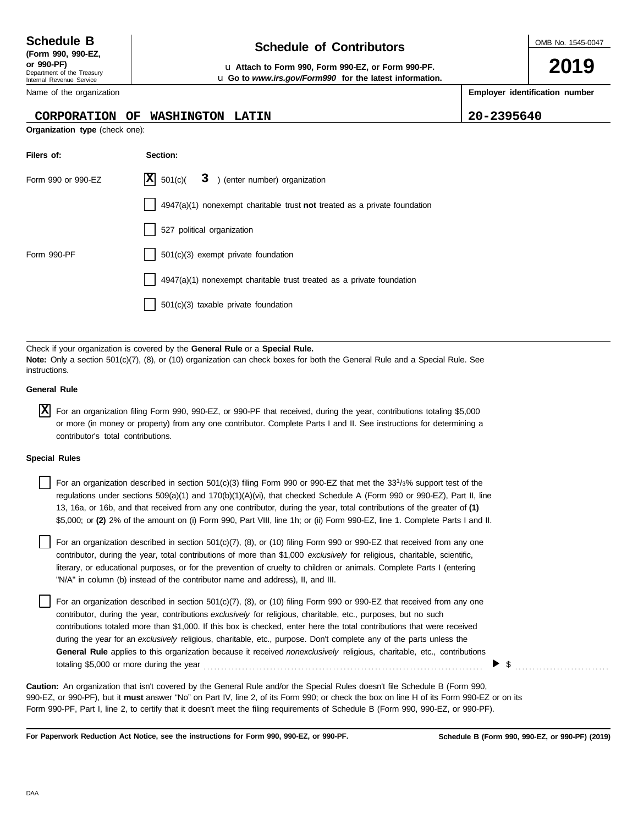### **Schedule of Contributors**

**or 990-PF)** u **Attach to Form 990, Form 990-EZ, or Form 990-PF.** u **Go to** *www.irs.gov/Form990* **for the latest information.** OMB No. 1545-0047

**Employer identification number**

| Schedule B |                    |
|------------|--------------------|
|            | (Form 990, 990-EZ, |

Department of the Treasury

Internal Revenue Service Name of the organization

### **CORPORATION OF WASHINGTON LATIN 20-2395640**

**Organization type** (check one):

| Filers of:         | Section:                                                                    |
|--------------------|-----------------------------------------------------------------------------|
| Form 990 or 990-EZ | $ \mathbf{X} $ 501(c)( $3$ ) (enter number) organization                    |
|                    | $4947(a)(1)$ nonexempt charitable trust not treated as a private foundation |
|                    | 527 political organization                                                  |
| Form 990-PF        | 501(c)(3) exempt private foundation                                         |
|                    | 4947(a)(1) nonexempt charitable trust treated as a private foundation       |
|                    | $501(c)(3)$ taxable private foundation                                      |

Check if your organization is covered by the **General Rule** or a **Special Rule. Note:** Only a section 501(c)(7), (8), or (10) organization can check boxes for both the General Rule and a Special Rule. See instructions.

### **General Rule**

For an organization filing Form 990, 990-EZ, or 990-PF that received, during the year, contributions totaling \$5,000 **X**or more (in money or property) from any one contributor. Complete Parts I and II. See instructions for determining a contributor's total contributions.

### **Special Rules**

| For an organization described in section 501(c)(3) filing Form 990 or 990-EZ that met the 33 <sup>1</sup> /3% support test of the |
|-----------------------------------------------------------------------------------------------------------------------------------|
| regulations under sections 509(a)(1) and 170(b)(1)(A)(vi), that checked Schedule A (Form 990 or 990-EZ), Part II, line            |
| 13, 16a, or 16b, and that received from any one contributor, during the year, total contributions of the greater of (1)           |
| \$5,000; or (2) 2% of the amount on (i) Form 990, Part VIII, line 1h; or (ii) Form 990-EZ, line 1. Complete Parts I and II.       |

literary, or educational purposes, or for the prevention of cruelty to children or animals. Complete Parts I (entering For an organization described in section 501(c)(7), (8), or (10) filing Form 990 or 990-EZ that received from any one contributor, during the year, total contributions of more than \$1,000 *exclusively* for religious, charitable, scientific, "N/A" in column (b) instead of the contributor name and address), II, and III.

For an organization described in section 501(c)(7), (8), or (10) filing Form 990 or 990-EZ that received from any one contributor, during the year, contributions *exclusively* for religious, charitable, etc., purposes, but no such contributions totaled more than \$1,000. If this box is checked, enter here the total contributions that were received during the year for an *exclusively* religious, charitable, etc., purpose. Don't complete any of the parts unless the **General Rule** applies to this organization because it received *nonexclusively* religious, charitable, etc., contributions totaling \$5,000 or more during the year . . . . . . . . . . . . . . . . . . . . . . . . . . . . . . . . . . . . . . . . . . . . . . . . . . . . . . . . . . . . . . . . . . . . . . . . . . . . . . . .

990-EZ, or 990-PF), but it **must** answer "No" on Part IV, line 2, of its Form 990; or check the box on line H of its Form 990-EZ or on its Form 990-PF, Part I, line 2, to certify that it doesn't meet the filing requirements of Schedule B (Form 990, 990-EZ, or 990-PF). **Caution:** An organization that isn't covered by the General Rule and/or the Special Rules doesn't file Schedule B (Form 990,

**For Paperwork Reduction Act Notice, see the instructions for Form 990, 990-EZ, or 990-PF.**

 $\triangleright$  \$

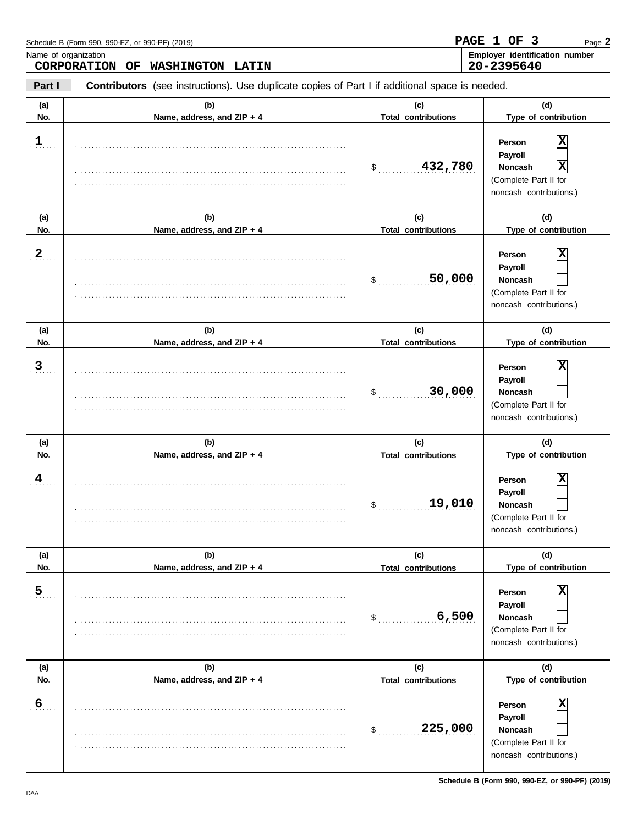| Schedule B (Form 990, 990-EZ, or 990-PF) (2019)<br>Name of organization<br>CORPORATION<br>OF<br><b>WASHINGTON</b><br><b>LATIN</b> |                                                                                                       | PAGE 1 OF 3<br>Page 2             |                                                                                                   |  |
|-----------------------------------------------------------------------------------------------------------------------------------|-------------------------------------------------------------------------------------------------------|-----------------------------------|---------------------------------------------------------------------------------------------------|--|
|                                                                                                                                   |                                                                                                       |                                   | Employer identification number<br>20-2395640                                                      |  |
| Part I                                                                                                                            | <b>Contributors</b> (see instructions). Use duplicate copies of Part I if additional space is needed. |                                   |                                                                                                   |  |
| (a)<br>No.                                                                                                                        | (b)<br>Name, address, and ZIP + 4                                                                     | (c)<br><b>Total contributions</b> | (d)<br>Type of contribution                                                                       |  |
| $\frac{1}{2}$                                                                                                                     |                                                                                                       | 432,780<br>\$                     | х<br>Person<br>Payroll<br>X<br><b>Noncash</b><br>(Complete Part II for<br>noncash contributions.) |  |
| (a)<br>No.                                                                                                                        | (b)<br>Name, address, and ZIP + 4                                                                     | (c)<br><b>Total contributions</b> | (d)<br>Type of contribution                                                                       |  |
| $\overline{2}$                                                                                                                    |                                                                                                       | 50,000<br>\$                      | х<br>Person<br>Payroll<br><b>Noncash</b><br>(Complete Part II for<br>noncash contributions.)      |  |
| (a)<br>No.                                                                                                                        | (b)<br>Name, address, and ZIP + 4                                                                     | (c)<br><b>Total contributions</b> | (d)<br>Type of contribution                                                                       |  |
| 3                                                                                                                                 |                                                                                                       | 30,000<br>\$                      | х<br>Person<br>Payroll<br><b>Noncash</b><br>(Complete Part II for<br>noncash contributions.)      |  |
| (a)<br>No.                                                                                                                        | (b)<br>Name, address, and ZIP + 4                                                                     | (c)<br><b>Total contributions</b> | (d)<br>Type of contribution                                                                       |  |
| 4                                                                                                                                 |                                                                                                       | 19,010<br>\$                      | X<br>Person<br>Payroll<br>Noncash<br>(Complete Part II for<br>noncash contributions.)             |  |
| (a)<br>No.                                                                                                                        | (b)<br>Name, address, and ZIP + 4                                                                     | (c)<br><b>Total contributions</b> | (d)<br>Type of contribution                                                                       |  |
| $\overline{5}$                                                                                                                    |                                                                                                       | 6,500<br>\$                       | X<br>Person<br>Payroll<br><b>Noncash</b><br>(Complete Part II for<br>noncash contributions.)      |  |
| (a)<br>No.                                                                                                                        | (b)<br>Name, address, and ZIP + 4                                                                     | (c)<br><b>Total contributions</b> | (d)<br>Type of contribution                                                                       |  |
| $6 \overline{6}$                                                                                                                  |                                                                                                       | 225,000<br>\$                     | х<br>Person<br>Payroll<br><b>Noncash</b><br>(Complete Part II for<br>noncash contributions.)      |  |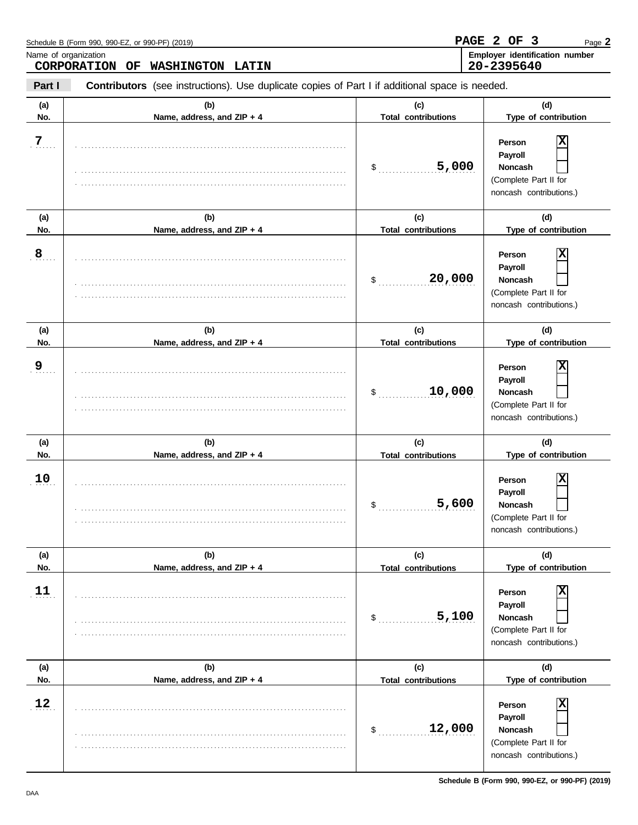|            | Schedule B (Form 990, 990-EZ, or 990-PF) (2019)                                                       |                                   | PAGE 2 OF 3<br>Page 2                                                            |
|------------|-------------------------------------------------------------------------------------------------------|-----------------------------------|----------------------------------------------------------------------------------|
|            | Name of organization<br>CORPORATION<br>OF<br><b>WASHINGTON</b><br><b>LATIN</b>                        |                                   | Employer identification number<br>20-2395640                                     |
| Part I     | <b>Contributors</b> (see instructions). Use duplicate copies of Part I if additional space is needed. |                                   |                                                                                  |
| (a)<br>No. | (b)<br>Name, address, and ZIP + 4                                                                     | (c)<br><b>Total contributions</b> | (d)<br>Type of contribution                                                      |
| 7          |                                                                                                       | 5,000<br>\$                       | Person<br>Payroll<br>Noncash<br>(Complete Part II for<br>noncash contributions.) |
| (a)<br>No. | (b)<br>Name, address, and ZIP + 4                                                                     | (c)<br><b>Total contributions</b> | (d)<br>Type of contribution                                                      |
| 8          |                                                                                                       | 20,000<br>\$                      | Person<br>Payroll<br>Noncash<br>(Complete Part II for<br>noncash contributions.) |
| (a)<br>No. | (b)<br>Name, address, and ZIP + 4                                                                     | (c)<br><b>Total contributions</b> | (d)<br>Type of contribution                                                      |
| 9          |                                                                                                       | 10,000<br>\$                      | Person<br>Payroll<br>Noncash<br>(Complete Part II for<br>noncash contributions.) |
| (a)<br>No. | (b)<br>Name, address, and ZIP + 4                                                                     | (c)<br><b>Total contributions</b> | (d)<br>Type of contribution                                                      |
| 10         |                                                                                                       | 5,600<br>\$                       | Person<br>Payroll<br>Noncash<br>(Complete Part II for<br>noncash contributions.) |
| (a)<br>No. | (b)<br>Name, address, and ZIP + 4                                                                     | (c)<br><b>Total contributions</b> | (d)<br>Type of contribution                                                      |
| 11         |                                                                                                       | 5,100<br>$$$                      | Person<br>Payroll<br>Noncash<br>(Complete Part II for<br>noncash contributions.) |
| (a)<br>No. | (b)<br>Name, address, and ZIP + 4                                                                     | (c)<br><b>Total contributions</b> | (d)<br>Type of contribution                                                      |
| 12         |                                                                                                       | 12,000<br>\$                      | Person<br>Payroll<br>Noncash<br>(Complete Part II for<br>noncash contributions.) |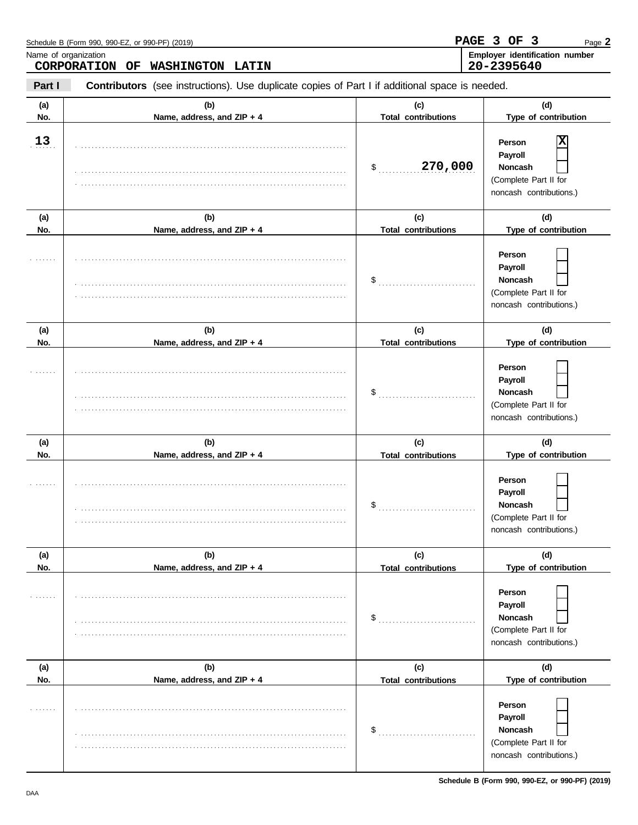|            | Schedule B (Form 990, 990-EZ, or 990-PF) (2019)                                                |                                   | PAGE 3 OF 3<br>Page 2                                                                   |
|------------|------------------------------------------------------------------------------------------------|-----------------------------------|-----------------------------------------------------------------------------------------|
|            | Name of organization<br><b>CORPORATION</b><br>OF<br><b>WASHINGTON</b><br><b>LATIN</b>          |                                   | Employer identification number<br>20-2395640                                            |
| Part I     | Contributors (see instructions). Use duplicate copies of Part I if additional space is needed. |                                   |                                                                                         |
| (a)<br>No. | (b)<br>Name, address, and ZIP + 4                                                              | (c)<br><b>Total contributions</b> | (d)<br>Type of contribution                                                             |
| 13         |                                                                                                | 270,000<br>\$                     | Person<br>Payroll<br>Noncash<br>(Complete Part II for<br>noncash contributions.)        |
| (a)<br>No. | (b)<br>Name, address, and ZIP + 4                                                              | (c)<br><b>Total contributions</b> | (d)<br>Type of contribution                                                             |
|            |                                                                                                | \$                                | Person<br>Payroll<br>Noncash<br>(Complete Part II for<br>noncash contributions.)        |
| (a)<br>No. | (b)<br>Name, address, and ZIP + 4                                                              | (c)<br><b>Total contributions</b> | (d)<br>Type of contribution                                                             |
|            |                                                                                                | \$                                | Person<br>Payroll<br>Noncash<br>(Complete Part II for<br>noncash contributions.)        |
| (a)<br>No. | (b)<br>Name, address, and ZIP + 4                                                              | (c)<br><b>Total contributions</b> | (d)<br>Type of contribution                                                             |
|            |                                                                                                | \$                                | Person<br>Payroll<br>Noncash<br>(Complete Part II for<br>noncash contributions.)        |
| (a)<br>No. | (b)<br>Name, address, and ZIP + 4                                                              | (c)<br><b>Total contributions</b> | (d)<br>Type of contribution                                                             |
| .          |                                                                                                | \$                                | Person<br>Payroll<br><b>Noncash</b><br>(Complete Part II for<br>noncash contributions.) |
| (a)<br>No. | (b)<br>Name, address, and ZIP + 4                                                              | (c)<br><b>Total contributions</b> | (d)<br>Type of contribution                                                             |
| .          |                                                                                                | \$                                | Person<br>Payroll<br>Noncash<br>(Complete Part II for<br>noncash contributions.)        |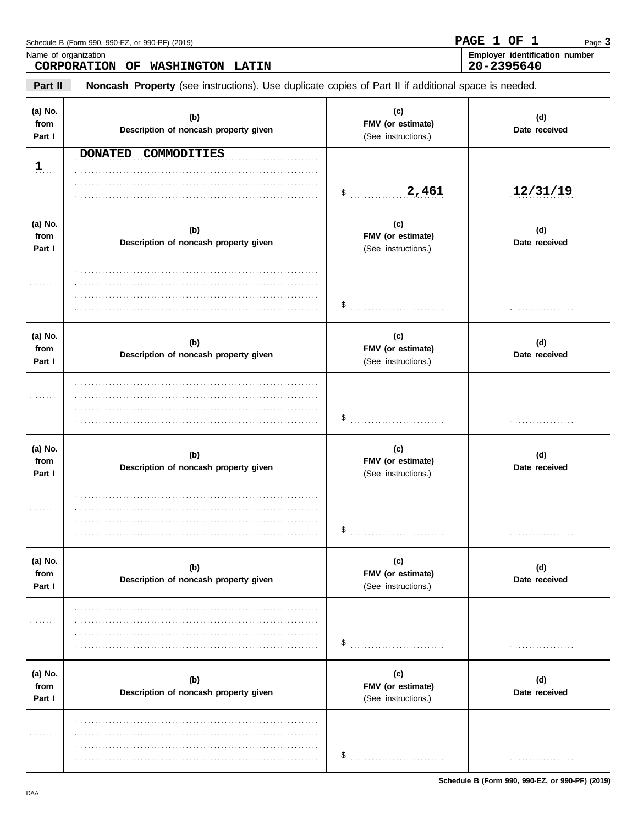|                           | Schedule B (Form 990, 990-EZ, or 990-PF) (2019)                                                     |                                                 | PAGE 1 OF 1<br>Page 3                        |
|---------------------------|-----------------------------------------------------------------------------------------------------|-------------------------------------------------|----------------------------------------------|
|                           | Name of organization<br>CORPORATION OF<br><b>WASHINGTON LATIN</b>                                   |                                                 | Employer identification number<br>20-2395640 |
| Part II                   | Noncash Property (see instructions). Use duplicate copies of Part II if additional space is needed. |                                                 |                                              |
| (a) No.<br>from<br>Part I | (b)<br>Description of noncash property given                                                        | (c)<br>FMV (or estimate)<br>(See instructions.) | (d)<br>Date received                         |
| $1$                       | <b>DONATED</b><br>COMMODITIES                                                                       | 2,461<br>$\$\quad$                              | 12/31/19                                     |
| (a) No.<br>from<br>Part I | (b)<br>Description of noncash property given                                                        | (c)<br>FMV (or estimate)<br>(See instructions.) | (d)<br>Date received                         |
| .                         |                                                                                                     | \$                                              | .                                            |
| (a) No.<br>from<br>Part I | (b)<br>Description of noncash property given                                                        | (c)<br>FMV (or estimate)<br>(See instructions.) | (d)<br>Date received                         |
| .                         |                                                                                                     | \$                                              | .                                            |
| (a) No.<br>from<br>Part I | (b)<br>Description of noncash property given                                                        | (c)<br>FMV (or estimate)<br>(See instructions.) | (d)<br>Date received                         |
| .                         |                                                                                                     | \$                                              | .                                            |
| (a) No.<br>from<br>Part I | (b)<br>Description of noncash property given                                                        | (c)<br>FMV (or estimate)<br>(See instructions.) | (d)<br>Date received                         |
| .                         |                                                                                                     | \$                                              | .                                            |
| (a) No.<br>from<br>Part I | (b)<br>Description of noncash property given                                                        | (c)<br>FMV (or estimate)<br>(See instructions.) | (d)<br>Date received                         |
| .                         |                                                                                                     | \$                                              | .                                            |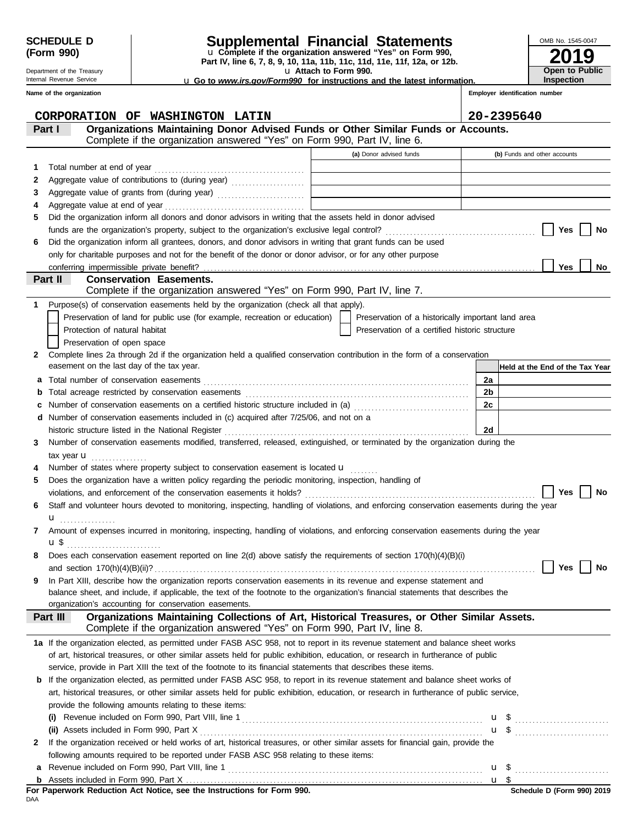| <b>SCHEDULE D</b> |  |
|-------------------|--|
| (Form 990)        |  |

Department of the Treasury Internal Revenue Service

## **SCHEDULE D Supplemental Financial Statements**

**Part IV, line 6, 7, 8, 9, 10, 11a, 11b, 11c, 11d, 11e, 11f, 12a, or 12b.** u **Complete if the organization answered "Yes" on Form 990,**

u **Attach to Form 990.**  u **Go to** *www.irs.gov/Form990* **for instructions and the latest information.**

**Inspection**

**2019**

**Open to Public**

OMB No. 1545-0047

| Name of the organization                                                                                                                                                              |                                                    | Employer identification number  |
|---------------------------------------------------------------------------------------------------------------------------------------------------------------------------------------|----------------------------------------------------|---------------------------------|
| CORPORATION OF WASHINGTON LATIN                                                                                                                                                       |                                                    | 20-2395640                      |
| Organizations Maintaining Donor Advised Funds or Other Similar Funds or Accounts.<br>Part I<br>Complete if the organization answered "Yes" on Form 990, Part IV, line 6.              |                                                    |                                 |
|                                                                                                                                                                                       | (a) Donor advised funds                            | (b) Funds and other accounts    |
| Total number at end of year<br>1                                                                                                                                                      |                                                    |                                 |
| 2                                                                                                                                                                                     |                                                    |                                 |
| 3                                                                                                                                                                                     |                                                    |                                 |
| 4                                                                                                                                                                                     |                                                    |                                 |
| Did the organization inform all donors and donor advisors in writing that the assets held in donor advised<br>5                                                                       |                                                    |                                 |
|                                                                                                                                                                                       |                                                    | Yes<br>No                       |
| Did the organization inform all grantees, donors, and donor advisors in writing that grant funds can be used<br>6                                                                     |                                                    |                                 |
| only for charitable purposes and not for the benefit of the donor or donor advisor, or for any other purpose                                                                          |                                                    |                                 |
|                                                                                                                                                                                       |                                                    | Yes<br>No                       |
| Part II<br><b>Conservation Easements.</b><br>Complete if the organization answered "Yes" on Form 990, Part IV, line 7.                                                                |                                                    |                                 |
| Purpose(s) of conservation easements held by the organization (check all that apply).<br>1                                                                                            |                                                    |                                 |
| Preservation of land for public use (for example, recreation or education)                                                                                                            | Preservation of a historically important land area |                                 |
| Protection of natural habitat                                                                                                                                                         | Preservation of a certified historic structure     |                                 |
| Preservation of open space                                                                                                                                                            |                                                    |                                 |
| Complete lines 2a through 2d if the organization held a qualified conservation contribution in the form of a conservation<br>2                                                        |                                                    |                                 |
| easement on the last day of the tax year.                                                                                                                                             |                                                    | Held at the End of the Tax Year |
|                                                                                                                                                                                       |                                                    | 2a                              |
| b                                                                                                                                                                                     |                                                    | 2 <sub>b</sub>                  |
| Number of conservation easements on a certified historic structure included in (a) [[11] Number of conservation easements on a certified historic structure included in (a)           |                                                    | 2c                              |
| d Number of conservation easements included in (c) acquired after 7/25/06, and not on a                                                                                               |                                                    |                                 |
| historic structure listed in the National Register                                                                                                                                    |                                                    | 2d                              |
| Number of conservation easements modified, transferred, released, extinguished, or terminated by the organization during the<br>3                                                     |                                                    |                                 |
| tax year $\mathbf u$                                                                                                                                                                  |                                                    |                                 |
| Number of states where property subject to conservation easement is located <b>u</b>                                                                                                  |                                                    |                                 |
| Does the organization have a written policy regarding the periodic monitoring, inspection, handling of<br>5                                                                           |                                                    | Yes<br>No                       |
| 6                                                                                                                                                                                     |                                                    |                                 |
| Staff and volunteer hours devoted to monitoring, inspecting, handling of violations, and enforcing conservation easements during the year                                             |                                                    |                                 |
| u<br>.<br>Amount of expenses incurred in monitoring, inspecting, handling of violations, and enforcing conservation easements during the year                                         |                                                    |                                 |
| u \$                                                                                                                                                                                  |                                                    |                                 |
| Does each conservation easement reported on line 2(d) above satisfy the requirements of section 170(h)(4)(B)(i)                                                                       |                                                    |                                 |
|                                                                                                                                                                                       |                                                    | Yes<br>No                       |
| In Part XIII, describe how the organization reports conservation easements in its revenue and expense statement and<br>9                                                              |                                                    |                                 |
| balance sheet, and include, if applicable, the text of the footnote to the organization's financial statements that describes the                                                     |                                                    |                                 |
| organization's accounting for conservation easements.                                                                                                                                 |                                                    |                                 |
| Organizations Maintaining Collections of Art, Historical Treasures, or Other Similar Assets.<br>Part III<br>Complete if the organization answered "Yes" on Form 990, Part IV, line 8. |                                                    |                                 |
| 1a If the organization elected, as permitted under FASB ASC 958, not to report in its revenue statement and balance sheet works                                                       |                                                    |                                 |
| of art, historical treasures, or other similar assets held for public exhibition, education, or research in furtherance of public                                                     |                                                    |                                 |
| service, provide in Part XIII the text of the footnote to its financial statements that describes these items.                                                                        |                                                    |                                 |
| If the organization elected, as permitted under FASB ASC 958, to report in its revenue statement and balance sheet works of<br>b                                                      |                                                    |                                 |
| art, historical treasures, or other similar assets held for public exhibition, education, or research in furtherance of public service,                                               |                                                    |                                 |
| provide the following amounts relating to these items:                                                                                                                                |                                                    |                                 |
|                                                                                                                                                                                       |                                                    |                                 |
|                                                                                                                                                                                       |                                                    |                                 |
| If the organization received or held works of art, historical treasures, or other similar assets for financial gain, provide the<br>2                                                 |                                                    |                                 |
| following amounts required to be reported under FASB ASC 958 relating to these items:                                                                                                 |                                                    |                                 |
| а                                                                                                                                                                                     |                                                    |                                 |
|                                                                                                                                                                                       |                                                    |                                 |

DAA **For Paperwork Reduction Act Notice, see the Instructions for Form 990.**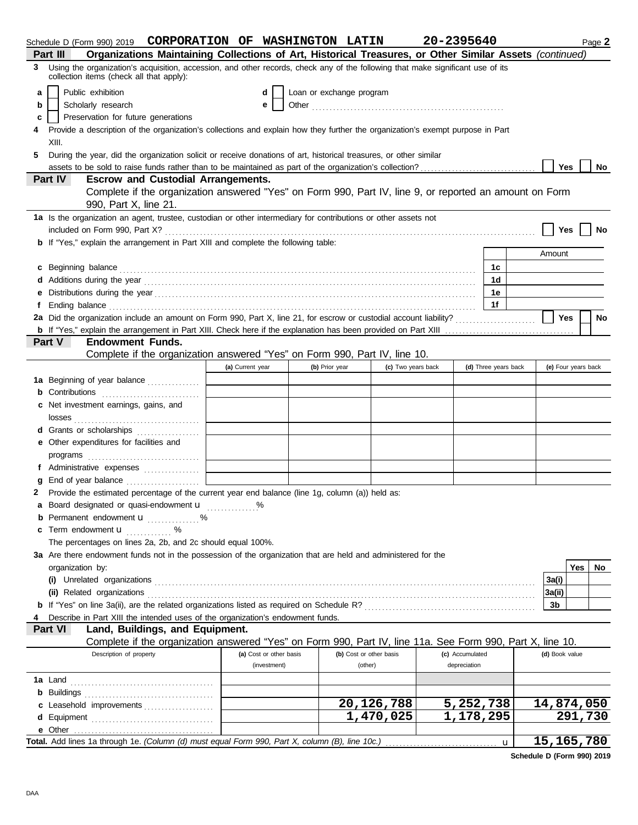| Organizations Maintaining Collections of Art, Historical Treasures, or Other Similar Assets (continued)<br>Part III<br>Using the organization's acquisition, accession, and other records, check any of the following that make significant use of its<br>3<br>collection items (check all that apply):<br>Public exhibition<br>Loan or exchange program<br>d<br>a<br>Scholarly research<br>b<br>е<br>Preservation for future generations<br>с<br>Provide a description of the organization's collections and explain how they further the organization's exempt purpose in Part<br>XIII.<br>During the year, did the organization solicit or receive donations of art, historical treasures, or other similar<br>5.<br><b>Yes</b><br>No<br>assets to be sold to raise funds rather than to be maintained as part of the organization's collection?<br><b>Escrow and Custodial Arrangements.</b><br><b>Part IV</b><br>Complete if the organization answered "Yes" on Form 990, Part IV, line 9, or reported an amount on Form<br>990, Part X, line 21.<br>1a Is the organization an agent, trustee, custodian or other intermediary for contributions or other assets not<br>Yes<br>included on Form 990, Part X?<br>No<br><b>b</b> If "Yes," explain the arrangement in Part XIII and complete the following table:<br>Amount<br>c Beginning balance<br>1с<br>1 <sub>d</sub><br>Additions during the year contact and the search of the search of the search of the search of the search of the search of the search of the search of the search of the search of the search of the search of the search of th<br>1е<br>1f<br><b>Yes</b><br>No<br>Part V<br><b>Endowment Funds.</b><br>Complete if the organization answered "Yes" on Form 990, Part IV, line 10.<br>(d) Three years back<br>(a) Current year<br>(b) Prior year<br>(c) Two years back<br>(e) Four years back<br><b>1a</b> Beginning of year balance<br><b>b</b> Contributions<br>Net investment earnings, gains, and<br><b>d</b> Grants or scholarships<br>.<br>Other expenditures for facilities and<br>programs<br>f Administrative expenses<br>End of year balance<br>Provide the estimated percentage of the current year end balance (line 1g, column (a)) held as:<br>2<br>a Board designated or quasi-endowment u<br>Permanent endowment <b>u</b> %<br>b<br>Term endowment <b>u</b><br>. %<br>The percentages on lines 2a, 2b, and 2c should equal 100%.<br>3a Are there endowment funds not in the possession of the organization that are held and administered for the<br>Yes<br>No.<br>organization by:<br>(i) Unrelated organizations<br>3a(i)<br>(ii) Related organizations<br>3a(ii)<br>3b<br>Describe in Part XIII the intended uses of the organization's endowment funds.<br>Land, Buildings, and Equipment.<br>Part VI<br>Complete if the organization answered "Yes" on Form 990, Part IV, line 11a. See Form 990, Part X, line 10.<br>Description of property<br>(a) Cost or other basis<br>(b) Cost or other basis<br>(c) Accumulated<br>(d) Book value<br>depreciation<br>(investment)<br>(other)<br>1a Land<br><b>b</b> Buildings<br>20,126,788<br>5,252,738<br>14,874,050<br>c Leasehold improvements<br>1,470,025<br>1,178,295<br>291,730<br>e Other<br>15, 165, 780<br>$\mathbf{u}$ | Schedule D (Form 990) 2019 CORPORATION OF WASHINGTON LATIN |  |  |  |  |  | 20-2395640 |  |  |  | Page 2 |
|--------------------------------------------------------------------------------------------------------------------------------------------------------------------------------------------------------------------------------------------------------------------------------------------------------------------------------------------------------------------------------------------------------------------------------------------------------------------------------------------------------------------------------------------------------------------------------------------------------------------------------------------------------------------------------------------------------------------------------------------------------------------------------------------------------------------------------------------------------------------------------------------------------------------------------------------------------------------------------------------------------------------------------------------------------------------------------------------------------------------------------------------------------------------------------------------------------------------------------------------------------------------------------------------------------------------------------------------------------------------------------------------------------------------------------------------------------------------------------------------------------------------------------------------------------------------------------------------------------------------------------------------------------------------------------------------------------------------------------------------------------------------------------------------------------------------------------------------------------------------------------------------------------------------------------------------------------------------------------------------------------------------------------------------------------------------------------------------------------------------------------------------------------------------------------------------------------------------------------------------------------------------------------------------------------------------------------------------------------------------------------------------------------------------------------------------------------------------------------------------------------------------------------------------------------------------------------------------------------------------------------------------------------------------------------------------------------------------------------------------------------------------------------------------------------------------------------------------------------------------------------------------------------------------------------------------------------------------------------------------------------------------------------------------------------------------------------------------------------------------------------------------------------------------------------------------------------------------------------------------------------------------------------|------------------------------------------------------------|--|--|--|--|--|------------|--|--|--|--------|
|                                                                                                                                                                                                                                                                                                                                                                                                                                                                                                                                                                                                                                                                                                                                                                                                                                                                                                                                                                                                                                                                                                                                                                                                                                                                                                                                                                                                                                                                                                                                                                                                                                                                                                                                                                                                                                                                                                                                                                                                                                                                                                                                                                                                                                                                                                                                                                                                                                                                                                                                                                                                                                                                                                                                                                                                                                                                                                                                                                                                                                                                                                                                                                                                                                                                                |                                                            |  |  |  |  |  |            |  |  |  |        |
|                                                                                                                                                                                                                                                                                                                                                                                                                                                                                                                                                                                                                                                                                                                                                                                                                                                                                                                                                                                                                                                                                                                                                                                                                                                                                                                                                                                                                                                                                                                                                                                                                                                                                                                                                                                                                                                                                                                                                                                                                                                                                                                                                                                                                                                                                                                                                                                                                                                                                                                                                                                                                                                                                                                                                                                                                                                                                                                                                                                                                                                                                                                                                                                                                                                                                |                                                            |  |  |  |  |  |            |  |  |  |        |
|                                                                                                                                                                                                                                                                                                                                                                                                                                                                                                                                                                                                                                                                                                                                                                                                                                                                                                                                                                                                                                                                                                                                                                                                                                                                                                                                                                                                                                                                                                                                                                                                                                                                                                                                                                                                                                                                                                                                                                                                                                                                                                                                                                                                                                                                                                                                                                                                                                                                                                                                                                                                                                                                                                                                                                                                                                                                                                                                                                                                                                                                                                                                                                                                                                                                                |                                                            |  |  |  |  |  |            |  |  |  |        |
|                                                                                                                                                                                                                                                                                                                                                                                                                                                                                                                                                                                                                                                                                                                                                                                                                                                                                                                                                                                                                                                                                                                                                                                                                                                                                                                                                                                                                                                                                                                                                                                                                                                                                                                                                                                                                                                                                                                                                                                                                                                                                                                                                                                                                                                                                                                                                                                                                                                                                                                                                                                                                                                                                                                                                                                                                                                                                                                                                                                                                                                                                                                                                                                                                                                                                |                                                            |  |  |  |  |  |            |  |  |  |        |
|                                                                                                                                                                                                                                                                                                                                                                                                                                                                                                                                                                                                                                                                                                                                                                                                                                                                                                                                                                                                                                                                                                                                                                                                                                                                                                                                                                                                                                                                                                                                                                                                                                                                                                                                                                                                                                                                                                                                                                                                                                                                                                                                                                                                                                                                                                                                                                                                                                                                                                                                                                                                                                                                                                                                                                                                                                                                                                                                                                                                                                                                                                                                                                                                                                                                                |                                                            |  |  |  |  |  |            |  |  |  |        |
|                                                                                                                                                                                                                                                                                                                                                                                                                                                                                                                                                                                                                                                                                                                                                                                                                                                                                                                                                                                                                                                                                                                                                                                                                                                                                                                                                                                                                                                                                                                                                                                                                                                                                                                                                                                                                                                                                                                                                                                                                                                                                                                                                                                                                                                                                                                                                                                                                                                                                                                                                                                                                                                                                                                                                                                                                                                                                                                                                                                                                                                                                                                                                                                                                                                                                |                                                            |  |  |  |  |  |            |  |  |  |        |
|                                                                                                                                                                                                                                                                                                                                                                                                                                                                                                                                                                                                                                                                                                                                                                                                                                                                                                                                                                                                                                                                                                                                                                                                                                                                                                                                                                                                                                                                                                                                                                                                                                                                                                                                                                                                                                                                                                                                                                                                                                                                                                                                                                                                                                                                                                                                                                                                                                                                                                                                                                                                                                                                                                                                                                                                                                                                                                                                                                                                                                                                                                                                                                                                                                                                                |                                                            |  |  |  |  |  |            |  |  |  |        |
|                                                                                                                                                                                                                                                                                                                                                                                                                                                                                                                                                                                                                                                                                                                                                                                                                                                                                                                                                                                                                                                                                                                                                                                                                                                                                                                                                                                                                                                                                                                                                                                                                                                                                                                                                                                                                                                                                                                                                                                                                                                                                                                                                                                                                                                                                                                                                                                                                                                                                                                                                                                                                                                                                                                                                                                                                                                                                                                                                                                                                                                                                                                                                                                                                                                                                |                                                            |  |  |  |  |  |            |  |  |  |        |
|                                                                                                                                                                                                                                                                                                                                                                                                                                                                                                                                                                                                                                                                                                                                                                                                                                                                                                                                                                                                                                                                                                                                                                                                                                                                                                                                                                                                                                                                                                                                                                                                                                                                                                                                                                                                                                                                                                                                                                                                                                                                                                                                                                                                                                                                                                                                                                                                                                                                                                                                                                                                                                                                                                                                                                                                                                                                                                                                                                                                                                                                                                                                                                                                                                                                                |                                                            |  |  |  |  |  |            |  |  |  |        |
|                                                                                                                                                                                                                                                                                                                                                                                                                                                                                                                                                                                                                                                                                                                                                                                                                                                                                                                                                                                                                                                                                                                                                                                                                                                                                                                                                                                                                                                                                                                                                                                                                                                                                                                                                                                                                                                                                                                                                                                                                                                                                                                                                                                                                                                                                                                                                                                                                                                                                                                                                                                                                                                                                                                                                                                                                                                                                                                                                                                                                                                                                                                                                                                                                                                                                |                                                            |  |  |  |  |  |            |  |  |  |        |
|                                                                                                                                                                                                                                                                                                                                                                                                                                                                                                                                                                                                                                                                                                                                                                                                                                                                                                                                                                                                                                                                                                                                                                                                                                                                                                                                                                                                                                                                                                                                                                                                                                                                                                                                                                                                                                                                                                                                                                                                                                                                                                                                                                                                                                                                                                                                                                                                                                                                                                                                                                                                                                                                                                                                                                                                                                                                                                                                                                                                                                                                                                                                                                                                                                                                                |                                                            |  |  |  |  |  |            |  |  |  |        |
|                                                                                                                                                                                                                                                                                                                                                                                                                                                                                                                                                                                                                                                                                                                                                                                                                                                                                                                                                                                                                                                                                                                                                                                                                                                                                                                                                                                                                                                                                                                                                                                                                                                                                                                                                                                                                                                                                                                                                                                                                                                                                                                                                                                                                                                                                                                                                                                                                                                                                                                                                                                                                                                                                                                                                                                                                                                                                                                                                                                                                                                                                                                                                                                                                                                                                |                                                            |  |  |  |  |  |            |  |  |  |        |
|                                                                                                                                                                                                                                                                                                                                                                                                                                                                                                                                                                                                                                                                                                                                                                                                                                                                                                                                                                                                                                                                                                                                                                                                                                                                                                                                                                                                                                                                                                                                                                                                                                                                                                                                                                                                                                                                                                                                                                                                                                                                                                                                                                                                                                                                                                                                                                                                                                                                                                                                                                                                                                                                                                                                                                                                                                                                                                                                                                                                                                                                                                                                                                                                                                                                                |                                                            |  |  |  |  |  |            |  |  |  |        |
|                                                                                                                                                                                                                                                                                                                                                                                                                                                                                                                                                                                                                                                                                                                                                                                                                                                                                                                                                                                                                                                                                                                                                                                                                                                                                                                                                                                                                                                                                                                                                                                                                                                                                                                                                                                                                                                                                                                                                                                                                                                                                                                                                                                                                                                                                                                                                                                                                                                                                                                                                                                                                                                                                                                                                                                                                                                                                                                                                                                                                                                                                                                                                                                                                                                                                |                                                            |  |  |  |  |  |            |  |  |  |        |
|                                                                                                                                                                                                                                                                                                                                                                                                                                                                                                                                                                                                                                                                                                                                                                                                                                                                                                                                                                                                                                                                                                                                                                                                                                                                                                                                                                                                                                                                                                                                                                                                                                                                                                                                                                                                                                                                                                                                                                                                                                                                                                                                                                                                                                                                                                                                                                                                                                                                                                                                                                                                                                                                                                                                                                                                                                                                                                                                                                                                                                                                                                                                                                                                                                                                                |                                                            |  |  |  |  |  |            |  |  |  |        |
|                                                                                                                                                                                                                                                                                                                                                                                                                                                                                                                                                                                                                                                                                                                                                                                                                                                                                                                                                                                                                                                                                                                                                                                                                                                                                                                                                                                                                                                                                                                                                                                                                                                                                                                                                                                                                                                                                                                                                                                                                                                                                                                                                                                                                                                                                                                                                                                                                                                                                                                                                                                                                                                                                                                                                                                                                                                                                                                                                                                                                                                                                                                                                                                                                                                                                |                                                            |  |  |  |  |  |            |  |  |  |        |
|                                                                                                                                                                                                                                                                                                                                                                                                                                                                                                                                                                                                                                                                                                                                                                                                                                                                                                                                                                                                                                                                                                                                                                                                                                                                                                                                                                                                                                                                                                                                                                                                                                                                                                                                                                                                                                                                                                                                                                                                                                                                                                                                                                                                                                                                                                                                                                                                                                                                                                                                                                                                                                                                                                                                                                                                                                                                                                                                                                                                                                                                                                                                                                                                                                                                                |                                                            |  |  |  |  |  |            |  |  |  |        |
|                                                                                                                                                                                                                                                                                                                                                                                                                                                                                                                                                                                                                                                                                                                                                                                                                                                                                                                                                                                                                                                                                                                                                                                                                                                                                                                                                                                                                                                                                                                                                                                                                                                                                                                                                                                                                                                                                                                                                                                                                                                                                                                                                                                                                                                                                                                                                                                                                                                                                                                                                                                                                                                                                                                                                                                                                                                                                                                                                                                                                                                                                                                                                                                                                                                                                |                                                            |  |  |  |  |  |            |  |  |  |        |
|                                                                                                                                                                                                                                                                                                                                                                                                                                                                                                                                                                                                                                                                                                                                                                                                                                                                                                                                                                                                                                                                                                                                                                                                                                                                                                                                                                                                                                                                                                                                                                                                                                                                                                                                                                                                                                                                                                                                                                                                                                                                                                                                                                                                                                                                                                                                                                                                                                                                                                                                                                                                                                                                                                                                                                                                                                                                                                                                                                                                                                                                                                                                                                                                                                                                                |                                                            |  |  |  |  |  |            |  |  |  |        |
|                                                                                                                                                                                                                                                                                                                                                                                                                                                                                                                                                                                                                                                                                                                                                                                                                                                                                                                                                                                                                                                                                                                                                                                                                                                                                                                                                                                                                                                                                                                                                                                                                                                                                                                                                                                                                                                                                                                                                                                                                                                                                                                                                                                                                                                                                                                                                                                                                                                                                                                                                                                                                                                                                                                                                                                                                                                                                                                                                                                                                                                                                                                                                                                                                                                                                |                                                            |  |  |  |  |  |            |  |  |  |        |
|                                                                                                                                                                                                                                                                                                                                                                                                                                                                                                                                                                                                                                                                                                                                                                                                                                                                                                                                                                                                                                                                                                                                                                                                                                                                                                                                                                                                                                                                                                                                                                                                                                                                                                                                                                                                                                                                                                                                                                                                                                                                                                                                                                                                                                                                                                                                                                                                                                                                                                                                                                                                                                                                                                                                                                                                                                                                                                                                                                                                                                                                                                                                                                                                                                                                                |                                                            |  |  |  |  |  |            |  |  |  |        |
|                                                                                                                                                                                                                                                                                                                                                                                                                                                                                                                                                                                                                                                                                                                                                                                                                                                                                                                                                                                                                                                                                                                                                                                                                                                                                                                                                                                                                                                                                                                                                                                                                                                                                                                                                                                                                                                                                                                                                                                                                                                                                                                                                                                                                                                                                                                                                                                                                                                                                                                                                                                                                                                                                                                                                                                                                                                                                                                                                                                                                                                                                                                                                                                                                                                                                |                                                            |  |  |  |  |  |            |  |  |  |        |
|                                                                                                                                                                                                                                                                                                                                                                                                                                                                                                                                                                                                                                                                                                                                                                                                                                                                                                                                                                                                                                                                                                                                                                                                                                                                                                                                                                                                                                                                                                                                                                                                                                                                                                                                                                                                                                                                                                                                                                                                                                                                                                                                                                                                                                                                                                                                                                                                                                                                                                                                                                                                                                                                                                                                                                                                                                                                                                                                                                                                                                                                                                                                                                                                                                                                                |                                                            |  |  |  |  |  |            |  |  |  |        |
|                                                                                                                                                                                                                                                                                                                                                                                                                                                                                                                                                                                                                                                                                                                                                                                                                                                                                                                                                                                                                                                                                                                                                                                                                                                                                                                                                                                                                                                                                                                                                                                                                                                                                                                                                                                                                                                                                                                                                                                                                                                                                                                                                                                                                                                                                                                                                                                                                                                                                                                                                                                                                                                                                                                                                                                                                                                                                                                                                                                                                                                                                                                                                                                                                                                                                |                                                            |  |  |  |  |  |            |  |  |  |        |
|                                                                                                                                                                                                                                                                                                                                                                                                                                                                                                                                                                                                                                                                                                                                                                                                                                                                                                                                                                                                                                                                                                                                                                                                                                                                                                                                                                                                                                                                                                                                                                                                                                                                                                                                                                                                                                                                                                                                                                                                                                                                                                                                                                                                                                                                                                                                                                                                                                                                                                                                                                                                                                                                                                                                                                                                                                                                                                                                                                                                                                                                                                                                                                                                                                                                                |                                                            |  |  |  |  |  |            |  |  |  |        |
|                                                                                                                                                                                                                                                                                                                                                                                                                                                                                                                                                                                                                                                                                                                                                                                                                                                                                                                                                                                                                                                                                                                                                                                                                                                                                                                                                                                                                                                                                                                                                                                                                                                                                                                                                                                                                                                                                                                                                                                                                                                                                                                                                                                                                                                                                                                                                                                                                                                                                                                                                                                                                                                                                                                                                                                                                                                                                                                                                                                                                                                                                                                                                                                                                                                                                |                                                            |  |  |  |  |  |            |  |  |  |        |
|                                                                                                                                                                                                                                                                                                                                                                                                                                                                                                                                                                                                                                                                                                                                                                                                                                                                                                                                                                                                                                                                                                                                                                                                                                                                                                                                                                                                                                                                                                                                                                                                                                                                                                                                                                                                                                                                                                                                                                                                                                                                                                                                                                                                                                                                                                                                                                                                                                                                                                                                                                                                                                                                                                                                                                                                                                                                                                                                                                                                                                                                                                                                                                                                                                                                                |                                                            |  |  |  |  |  |            |  |  |  |        |
|                                                                                                                                                                                                                                                                                                                                                                                                                                                                                                                                                                                                                                                                                                                                                                                                                                                                                                                                                                                                                                                                                                                                                                                                                                                                                                                                                                                                                                                                                                                                                                                                                                                                                                                                                                                                                                                                                                                                                                                                                                                                                                                                                                                                                                                                                                                                                                                                                                                                                                                                                                                                                                                                                                                                                                                                                                                                                                                                                                                                                                                                                                                                                                                                                                                                                |                                                            |  |  |  |  |  |            |  |  |  |        |
|                                                                                                                                                                                                                                                                                                                                                                                                                                                                                                                                                                                                                                                                                                                                                                                                                                                                                                                                                                                                                                                                                                                                                                                                                                                                                                                                                                                                                                                                                                                                                                                                                                                                                                                                                                                                                                                                                                                                                                                                                                                                                                                                                                                                                                                                                                                                                                                                                                                                                                                                                                                                                                                                                                                                                                                                                                                                                                                                                                                                                                                                                                                                                                                                                                                                                |                                                            |  |  |  |  |  |            |  |  |  |        |
|                                                                                                                                                                                                                                                                                                                                                                                                                                                                                                                                                                                                                                                                                                                                                                                                                                                                                                                                                                                                                                                                                                                                                                                                                                                                                                                                                                                                                                                                                                                                                                                                                                                                                                                                                                                                                                                                                                                                                                                                                                                                                                                                                                                                                                                                                                                                                                                                                                                                                                                                                                                                                                                                                                                                                                                                                                                                                                                                                                                                                                                                                                                                                                                                                                                                                |                                                            |  |  |  |  |  |            |  |  |  |        |
|                                                                                                                                                                                                                                                                                                                                                                                                                                                                                                                                                                                                                                                                                                                                                                                                                                                                                                                                                                                                                                                                                                                                                                                                                                                                                                                                                                                                                                                                                                                                                                                                                                                                                                                                                                                                                                                                                                                                                                                                                                                                                                                                                                                                                                                                                                                                                                                                                                                                                                                                                                                                                                                                                                                                                                                                                                                                                                                                                                                                                                                                                                                                                                                                                                                                                |                                                            |  |  |  |  |  |            |  |  |  |        |
|                                                                                                                                                                                                                                                                                                                                                                                                                                                                                                                                                                                                                                                                                                                                                                                                                                                                                                                                                                                                                                                                                                                                                                                                                                                                                                                                                                                                                                                                                                                                                                                                                                                                                                                                                                                                                                                                                                                                                                                                                                                                                                                                                                                                                                                                                                                                                                                                                                                                                                                                                                                                                                                                                                                                                                                                                                                                                                                                                                                                                                                                                                                                                                                                                                                                                |                                                            |  |  |  |  |  |            |  |  |  |        |
|                                                                                                                                                                                                                                                                                                                                                                                                                                                                                                                                                                                                                                                                                                                                                                                                                                                                                                                                                                                                                                                                                                                                                                                                                                                                                                                                                                                                                                                                                                                                                                                                                                                                                                                                                                                                                                                                                                                                                                                                                                                                                                                                                                                                                                                                                                                                                                                                                                                                                                                                                                                                                                                                                                                                                                                                                                                                                                                                                                                                                                                                                                                                                                                                                                                                                |                                                            |  |  |  |  |  |            |  |  |  |        |
|                                                                                                                                                                                                                                                                                                                                                                                                                                                                                                                                                                                                                                                                                                                                                                                                                                                                                                                                                                                                                                                                                                                                                                                                                                                                                                                                                                                                                                                                                                                                                                                                                                                                                                                                                                                                                                                                                                                                                                                                                                                                                                                                                                                                                                                                                                                                                                                                                                                                                                                                                                                                                                                                                                                                                                                                                                                                                                                                                                                                                                                                                                                                                                                                                                                                                |                                                            |  |  |  |  |  |            |  |  |  |        |
|                                                                                                                                                                                                                                                                                                                                                                                                                                                                                                                                                                                                                                                                                                                                                                                                                                                                                                                                                                                                                                                                                                                                                                                                                                                                                                                                                                                                                                                                                                                                                                                                                                                                                                                                                                                                                                                                                                                                                                                                                                                                                                                                                                                                                                                                                                                                                                                                                                                                                                                                                                                                                                                                                                                                                                                                                                                                                                                                                                                                                                                                                                                                                                                                                                                                                |                                                            |  |  |  |  |  |            |  |  |  |        |
|                                                                                                                                                                                                                                                                                                                                                                                                                                                                                                                                                                                                                                                                                                                                                                                                                                                                                                                                                                                                                                                                                                                                                                                                                                                                                                                                                                                                                                                                                                                                                                                                                                                                                                                                                                                                                                                                                                                                                                                                                                                                                                                                                                                                                                                                                                                                                                                                                                                                                                                                                                                                                                                                                                                                                                                                                                                                                                                                                                                                                                                                                                                                                                                                                                                                                |                                                            |  |  |  |  |  |            |  |  |  |        |
|                                                                                                                                                                                                                                                                                                                                                                                                                                                                                                                                                                                                                                                                                                                                                                                                                                                                                                                                                                                                                                                                                                                                                                                                                                                                                                                                                                                                                                                                                                                                                                                                                                                                                                                                                                                                                                                                                                                                                                                                                                                                                                                                                                                                                                                                                                                                                                                                                                                                                                                                                                                                                                                                                                                                                                                                                                                                                                                                                                                                                                                                                                                                                                                                                                                                                |                                                            |  |  |  |  |  |            |  |  |  |        |
|                                                                                                                                                                                                                                                                                                                                                                                                                                                                                                                                                                                                                                                                                                                                                                                                                                                                                                                                                                                                                                                                                                                                                                                                                                                                                                                                                                                                                                                                                                                                                                                                                                                                                                                                                                                                                                                                                                                                                                                                                                                                                                                                                                                                                                                                                                                                                                                                                                                                                                                                                                                                                                                                                                                                                                                                                                                                                                                                                                                                                                                                                                                                                                                                                                                                                |                                                            |  |  |  |  |  |            |  |  |  |        |
|                                                                                                                                                                                                                                                                                                                                                                                                                                                                                                                                                                                                                                                                                                                                                                                                                                                                                                                                                                                                                                                                                                                                                                                                                                                                                                                                                                                                                                                                                                                                                                                                                                                                                                                                                                                                                                                                                                                                                                                                                                                                                                                                                                                                                                                                                                                                                                                                                                                                                                                                                                                                                                                                                                                                                                                                                                                                                                                                                                                                                                                                                                                                                                                                                                                                                |                                                            |  |  |  |  |  |            |  |  |  |        |
|                                                                                                                                                                                                                                                                                                                                                                                                                                                                                                                                                                                                                                                                                                                                                                                                                                                                                                                                                                                                                                                                                                                                                                                                                                                                                                                                                                                                                                                                                                                                                                                                                                                                                                                                                                                                                                                                                                                                                                                                                                                                                                                                                                                                                                                                                                                                                                                                                                                                                                                                                                                                                                                                                                                                                                                                                                                                                                                                                                                                                                                                                                                                                                                                                                                                                |                                                            |  |  |  |  |  |            |  |  |  |        |
|                                                                                                                                                                                                                                                                                                                                                                                                                                                                                                                                                                                                                                                                                                                                                                                                                                                                                                                                                                                                                                                                                                                                                                                                                                                                                                                                                                                                                                                                                                                                                                                                                                                                                                                                                                                                                                                                                                                                                                                                                                                                                                                                                                                                                                                                                                                                                                                                                                                                                                                                                                                                                                                                                                                                                                                                                                                                                                                                                                                                                                                                                                                                                                                                                                                                                |                                                            |  |  |  |  |  |            |  |  |  |        |
|                                                                                                                                                                                                                                                                                                                                                                                                                                                                                                                                                                                                                                                                                                                                                                                                                                                                                                                                                                                                                                                                                                                                                                                                                                                                                                                                                                                                                                                                                                                                                                                                                                                                                                                                                                                                                                                                                                                                                                                                                                                                                                                                                                                                                                                                                                                                                                                                                                                                                                                                                                                                                                                                                                                                                                                                                                                                                                                                                                                                                                                                                                                                                                                                                                                                                |                                                            |  |  |  |  |  |            |  |  |  |        |
|                                                                                                                                                                                                                                                                                                                                                                                                                                                                                                                                                                                                                                                                                                                                                                                                                                                                                                                                                                                                                                                                                                                                                                                                                                                                                                                                                                                                                                                                                                                                                                                                                                                                                                                                                                                                                                                                                                                                                                                                                                                                                                                                                                                                                                                                                                                                                                                                                                                                                                                                                                                                                                                                                                                                                                                                                                                                                                                                                                                                                                                                                                                                                                                                                                                                                |                                                            |  |  |  |  |  |            |  |  |  |        |
|                                                                                                                                                                                                                                                                                                                                                                                                                                                                                                                                                                                                                                                                                                                                                                                                                                                                                                                                                                                                                                                                                                                                                                                                                                                                                                                                                                                                                                                                                                                                                                                                                                                                                                                                                                                                                                                                                                                                                                                                                                                                                                                                                                                                                                                                                                                                                                                                                                                                                                                                                                                                                                                                                                                                                                                                                                                                                                                                                                                                                                                                                                                                                                                                                                                                                |                                                            |  |  |  |  |  |            |  |  |  |        |
|                                                                                                                                                                                                                                                                                                                                                                                                                                                                                                                                                                                                                                                                                                                                                                                                                                                                                                                                                                                                                                                                                                                                                                                                                                                                                                                                                                                                                                                                                                                                                                                                                                                                                                                                                                                                                                                                                                                                                                                                                                                                                                                                                                                                                                                                                                                                                                                                                                                                                                                                                                                                                                                                                                                                                                                                                                                                                                                                                                                                                                                                                                                                                                                                                                                                                |                                                            |  |  |  |  |  |            |  |  |  |        |
|                                                                                                                                                                                                                                                                                                                                                                                                                                                                                                                                                                                                                                                                                                                                                                                                                                                                                                                                                                                                                                                                                                                                                                                                                                                                                                                                                                                                                                                                                                                                                                                                                                                                                                                                                                                                                                                                                                                                                                                                                                                                                                                                                                                                                                                                                                                                                                                                                                                                                                                                                                                                                                                                                                                                                                                                                                                                                                                                                                                                                                                                                                                                                                                                                                                                                |                                                            |  |  |  |  |  |            |  |  |  |        |
|                                                                                                                                                                                                                                                                                                                                                                                                                                                                                                                                                                                                                                                                                                                                                                                                                                                                                                                                                                                                                                                                                                                                                                                                                                                                                                                                                                                                                                                                                                                                                                                                                                                                                                                                                                                                                                                                                                                                                                                                                                                                                                                                                                                                                                                                                                                                                                                                                                                                                                                                                                                                                                                                                                                                                                                                                                                                                                                                                                                                                                                                                                                                                                                                                                                                                |                                                            |  |  |  |  |  |            |  |  |  |        |
|                                                                                                                                                                                                                                                                                                                                                                                                                                                                                                                                                                                                                                                                                                                                                                                                                                                                                                                                                                                                                                                                                                                                                                                                                                                                                                                                                                                                                                                                                                                                                                                                                                                                                                                                                                                                                                                                                                                                                                                                                                                                                                                                                                                                                                                                                                                                                                                                                                                                                                                                                                                                                                                                                                                                                                                                                                                                                                                                                                                                                                                                                                                                                                                                                                                                                |                                                            |  |  |  |  |  |            |  |  |  |        |
|                                                                                                                                                                                                                                                                                                                                                                                                                                                                                                                                                                                                                                                                                                                                                                                                                                                                                                                                                                                                                                                                                                                                                                                                                                                                                                                                                                                                                                                                                                                                                                                                                                                                                                                                                                                                                                                                                                                                                                                                                                                                                                                                                                                                                                                                                                                                                                                                                                                                                                                                                                                                                                                                                                                                                                                                                                                                                                                                                                                                                                                                                                                                                                                                                                                                                |                                                            |  |  |  |  |  |            |  |  |  |        |
|                                                                                                                                                                                                                                                                                                                                                                                                                                                                                                                                                                                                                                                                                                                                                                                                                                                                                                                                                                                                                                                                                                                                                                                                                                                                                                                                                                                                                                                                                                                                                                                                                                                                                                                                                                                                                                                                                                                                                                                                                                                                                                                                                                                                                                                                                                                                                                                                                                                                                                                                                                                                                                                                                                                                                                                                                                                                                                                                                                                                                                                                                                                                                                                                                                                                                |                                                            |  |  |  |  |  |            |  |  |  |        |
|                                                                                                                                                                                                                                                                                                                                                                                                                                                                                                                                                                                                                                                                                                                                                                                                                                                                                                                                                                                                                                                                                                                                                                                                                                                                                                                                                                                                                                                                                                                                                                                                                                                                                                                                                                                                                                                                                                                                                                                                                                                                                                                                                                                                                                                                                                                                                                                                                                                                                                                                                                                                                                                                                                                                                                                                                                                                                                                                                                                                                                                                                                                                                                                                                                                                                |                                                            |  |  |  |  |  |            |  |  |  |        |
|                                                                                                                                                                                                                                                                                                                                                                                                                                                                                                                                                                                                                                                                                                                                                                                                                                                                                                                                                                                                                                                                                                                                                                                                                                                                                                                                                                                                                                                                                                                                                                                                                                                                                                                                                                                                                                                                                                                                                                                                                                                                                                                                                                                                                                                                                                                                                                                                                                                                                                                                                                                                                                                                                                                                                                                                                                                                                                                                                                                                                                                                                                                                                                                                                                                                                |                                                            |  |  |  |  |  |            |  |  |  |        |
|                                                                                                                                                                                                                                                                                                                                                                                                                                                                                                                                                                                                                                                                                                                                                                                                                                                                                                                                                                                                                                                                                                                                                                                                                                                                                                                                                                                                                                                                                                                                                                                                                                                                                                                                                                                                                                                                                                                                                                                                                                                                                                                                                                                                                                                                                                                                                                                                                                                                                                                                                                                                                                                                                                                                                                                                                                                                                                                                                                                                                                                                                                                                                                                                                                                                                |                                                            |  |  |  |  |  |            |  |  |  |        |
|                                                                                                                                                                                                                                                                                                                                                                                                                                                                                                                                                                                                                                                                                                                                                                                                                                                                                                                                                                                                                                                                                                                                                                                                                                                                                                                                                                                                                                                                                                                                                                                                                                                                                                                                                                                                                                                                                                                                                                                                                                                                                                                                                                                                                                                                                                                                                                                                                                                                                                                                                                                                                                                                                                                                                                                                                                                                                                                                                                                                                                                                                                                                                                                                                                                                                |                                                            |  |  |  |  |  |            |  |  |  |        |
|                                                                                                                                                                                                                                                                                                                                                                                                                                                                                                                                                                                                                                                                                                                                                                                                                                                                                                                                                                                                                                                                                                                                                                                                                                                                                                                                                                                                                                                                                                                                                                                                                                                                                                                                                                                                                                                                                                                                                                                                                                                                                                                                                                                                                                                                                                                                                                                                                                                                                                                                                                                                                                                                                                                                                                                                                                                                                                                                                                                                                                                                                                                                                                                                                                                                                |                                                            |  |  |  |  |  |            |  |  |  |        |
|                                                                                                                                                                                                                                                                                                                                                                                                                                                                                                                                                                                                                                                                                                                                                                                                                                                                                                                                                                                                                                                                                                                                                                                                                                                                                                                                                                                                                                                                                                                                                                                                                                                                                                                                                                                                                                                                                                                                                                                                                                                                                                                                                                                                                                                                                                                                                                                                                                                                                                                                                                                                                                                                                                                                                                                                                                                                                                                                                                                                                                                                                                                                                                                                                                                                                |                                                            |  |  |  |  |  |            |  |  |  |        |

**Schedule D (Form 990) 2019**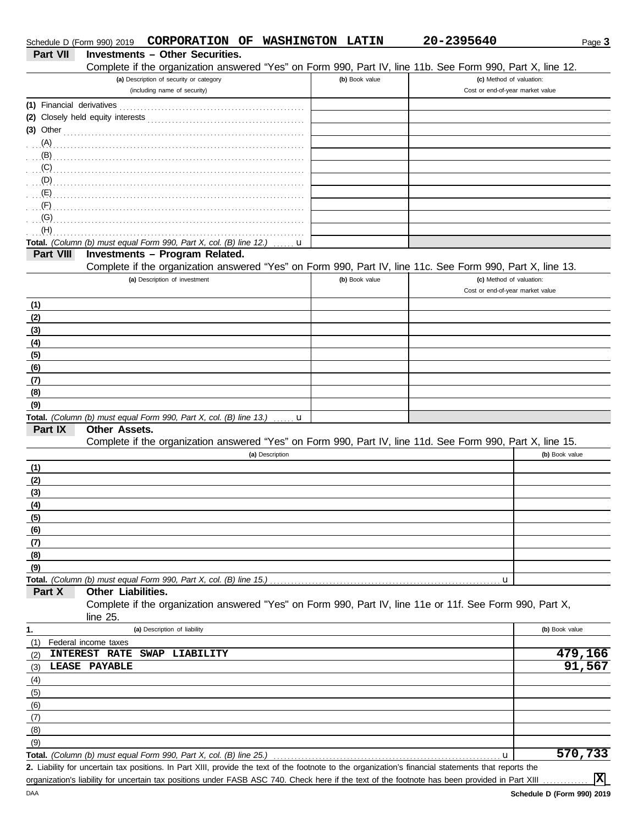|                           | CORPORATION OF WASHINGTON LATIN<br>Schedule D (Form 990) 2019                                                                                        |                | 20-2395640                                                   | Page 3         |
|---------------------------|------------------------------------------------------------------------------------------------------------------------------------------------------|----------------|--------------------------------------------------------------|----------------|
| <b>Part VII</b>           | <b>Investments - Other Securities.</b>                                                                                                               |                |                                                              |                |
|                           | Complete if the organization answered "Yes" on Form 990, Part IV, line 11b. See Form 990, Part X, line 12.                                           |                |                                                              |                |
|                           | (a) Description of security or category<br>(including name of security)                                                                              | (b) Book value | (c) Method of valuation:<br>Cost or end-of-year market value |                |
|                           |                                                                                                                                                      |                |                                                              |                |
| (1) Financial derivatives |                                                                                                                                                      |                |                                                              |                |
|                           | (2) Closely held equity interests                                                                                                                    |                |                                                              |                |
| $(3)$ Other               |                                                                                                                                                      |                |                                                              |                |
| (A)                       |                                                                                                                                                      |                |                                                              |                |
| (B)                       |                                                                                                                                                      |                |                                                              |                |
| (C)                       |                                                                                                                                                      |                |                                                              |                |
| (D)                       |                                                                                                                                                      |                |                                                              |                |
| (E)                       |                                                                                                                                                      |                |                                                              |                |
| (F)                       |                                                                                                                                                      |                |                                                              |                |
| (G)                       |                                                                                                                                                      |                |                                                              |                |
| (H)                       |                                                                                                                                                      |                |                                                              |                |
|                           | Total. (Column (b) must equal Form 990, Part X, col. (B) line 12.)<br>u                                                                              |                |                                                              |                |
| Part VIII                 | Investments - Program Related.                                                                                                                       |                |                                                              |                |
|                           | Complete if the organization answered "Yes" on Form 990, Part IV, line 11c. See Form 990, Part X, line 13.                                           |                |                                                              |                |
|                           | (a) Description of investment                                                                                                                        | (b) Book value | (c) Method of valuation:                                     |                |
|                           |                                                                                                                                                      |                | Cost or end-of-year market value                             |                |
| (1)                       |                                                                                                                                                      |                |                                                              |                |
| (2)                       |                                                                                                                                                      |                |                                                              |                |
| (3)                       |                                                                                                                                                      |                |                                                              |                |
| (4)                       |                                                                                                                                                      |                |                                                              |                |
| (5)                       |                                                                                                                                                      |                |                                                              |                |
| (6)                       |                                                                                                                                                      |                |                                                              |                |
| (7)                       |                                                                                                                                                      |                |                                                              |                |
| (8)                       |                                                                                                                                                      |                |                                                              |                |
| (9)                       |                                                                                                                                                      |                |                                                              |                |
|                           | Total. (Column (b) must equal Form 990, Part X, col. (B) line 13.)<br>u                                                                              |                |                                                              |                |
| Part IX                   | Other Assets.                                                                                                                                        |                |                                                              |                |
|                           | Complete if the organization answered "Yes" on Form 990, Part IV, line 11d. See Form 990, Part X, line 15.                                           |                |                                                              |                |
|                           | (a) Description                                                                                                                                      |                |                                                              | (b) Book value |
| (1)                       |                                                                                                                                                      |                |                                                              |                |
| (2)                       |                                                                                                                                                      |                |                                                              |                |
| (3)                       |                                                                                                                                                      |                |                                                              |                |
| (4)                       |                                                                                                                                                      |                |                                                              |                |
| (5)                       |                                                                                                                                                      |                |                                                              |                |
| (6)                       |                                                                                                                                                      |                |                                                              |                |
| (7)                       |                                                                                                                                                      |                |                                                              |                |
| (8)                       |                                                                                                                                                      |                |                                                              |                |
| (9)                       |                                                                                                                                                      |                |                                                              |                |
|                           | Total. (Column (b) must equal Form 990, Part X, col. (B) line 15.)                                                                                   |                | u                                                            |                |
| Part X                    | Other Liabilities.                                                                                                                                   |                |                                                              |                |
|                           | Complete if the organization answered "Yes" on Form 990, Part IV, line 11e or 11f. See Form 990, Part X,                                             |                |                                                              |                |
|                           | line 25.                                                                                                                                             |                |                                                              |                |
| 1.                        | (a) Description of liability                                                                                                                         |                |                                                              | (b) Book value |
| (1)                       | Federal income taxes                                                                                                                                 |                |                                                              |                |
| (2)                       | <b>INTEREST RATE</b><br>SWAP LIABILITY                                                                                                               |                |                                                              | 479,166        |
| (3)                       | LEASE PAYABLE                                                                                                                                        |                |                                                              | 91,567         |
| (4)                       |                                                                                                                                                      |                |                                                              |                |
| (5)                       |                                                                                                                                                      |                |                                                              |                |
| (6)                       |                                                                                                                                                      |                |                                                              |                |
| (7)                       |                                                                                                                                                      |                |                                                              |                |
| (8)                       |                                                                                                                                                      |                |                                                              |                |
| (9)                       |                                                                                                                                                      |                |                                                              |                |
|                           | Total. (Column (b) must equal Form 990, Part X, col. (B) line 25.)                                                                                   |                | u                                                            | 570,733        |
|                           | 2. Liability for uncertain tax positions. In Part XIII, provide the text of the footnote to the organization's financial statements that reports the |                |                                                              |                |
|                           | organization's liability for uncertain tax positions under FASB ASC 740. Check here if the text of the footnote has been provided in Part XIII       |                |                                                              | $ \mathbf{x} $ |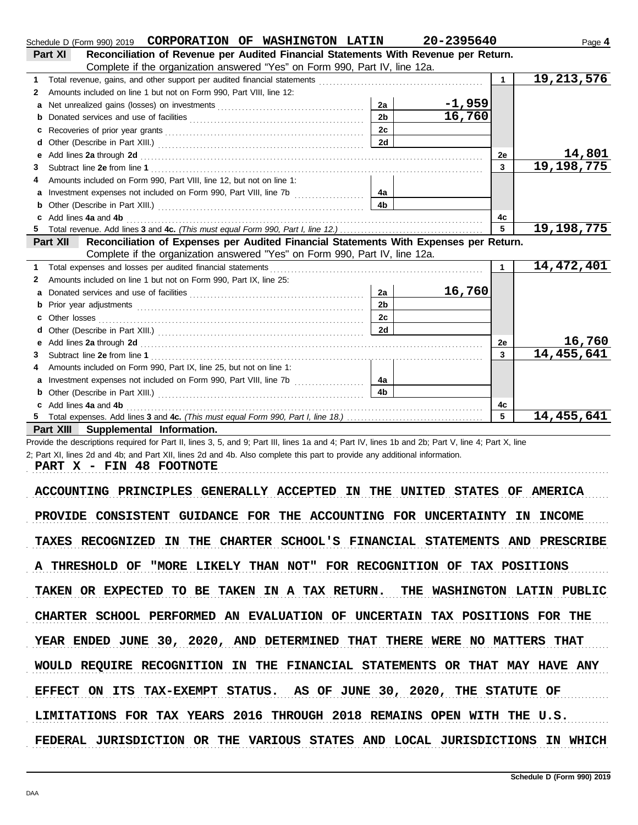|              | Schedule D (Form 990) 2019 CORPORATION OF WASHINGTON LATIN                                                                                        |                | 20-2395640            |                | Page 4                  |
|--------------|---------------------------------------------------------------------------------------------------------------------------------------------------|----------------|-----------------------|----------------|-------------------------|
|              | Reconciliation of Revenue per Audited Financial Statements With Revenue per Return.<br>Part XI                                                    |                |                       |                |                         |
|              | Complete if the organization answered "Yes" on Form 990, Part IV, line 12a.                                                                       |                |                       |                |                         |
| 1            |                                                                                                                                                   |                |                       | 1              | $\overline{19,213,576}$ |
| $\mathbf{2}$ | Amounts included on line 1 but not on Form 990, Part VIII, line 12:                                                                               |                |                       |                |                         |
| a            |                                                                                                                                                   | 2a             | $-1,959$              |                |                         |
| b            |                                                                                                                                                   | 2 <sub>b</sub> | $\overline{16}$ , 760 |                |                         |
| с            |                                                                                                                                                   | 2 <sub>c</sub> |                       |                |                         |
| d            |                                                                                                                                                   | 2d             |                       |                |                         |
| е            | Add lines 2a through 2d [11] Add [12] Add lines 2a through 2d [12] Add lines 2a through 2d [12] Add lines 2a through 2d [12] Add and Add and Addu |                |                       | 2е             | 14,801                  |
| 3            |                                                                                                                                                   |                |                       | 3 <sup>1</sup> | 19, 198, 775            |
|              | Amounts included on Form 990. Part VIII. line 12, but not on line 1:                                                                              |                |                       |                |                         |
| a            |                                                                                                                                                   | 4а             |                       |                |                         |
| b            |                                                                                                                                                   | 4 <sub>b</sub> |                       |                |                         |
|              | Add lines 4a and 4b                                                                                                                               |                |                       | 4c             |                         |
| 5.           |                                                                                                                                                   |                |                       | 5              | 19, 198, 775            |
|              | Reconciliation of Expenses per Audited Financial Statements With Expenses per Return.<br>Part XII                                                 |                |                       |                |                         |
|              | Complete if the organization answered "Yes" on Form 990, Part IV, line 12a.                                                                       |                |                       |                |                         |
| 1            |                                                                                                                                                   |                |                       |                | 14,472,401              |
| 2            | Amounts included on line 1 but not on Form 990, Part IX, line 25:                                                                                 |                |                       |                |                         |
| a            |                                                                                                                                                   | 2a             | 16,760                |                |                         |
| b            |                                                                                                                                                   | 2 <sub>b</sub> |                       |                |                         |
| с            | Other losses                                                                                                                                      | 2c             |                       |                |                         |
|              |                                                                                                                                                   | 2d             |                       |                |                         |
| е            |                                                                                                                                                   |                |                       | 2e             | 16,760                  |
| 3            |                                                                                                                                                   |                |                       | $\mathbf{3}$   | 14,455,641              |
|              | Amounts included on Form 990, Part IX, line 25, but not on line 1:                                                                                |                |                       |                |                         |
| a            |                                                                                                                                                   | 4а             |                       |                |                         |
|              |                                                                                                                                                   | 4b             |                       |                |                         |
|              | Add lines 4a and 4b                                                                                                                               |                |                       | 4c             |                         |
|              |                                                                                                                                                   |                |                       | 5              | 14,455,641              |
|              | Part XIII Supplemental Information.                                                                                                               |                |                       |                |                         |

Provide the descriptions required for Part II, lines 3, 5, and 9; Part III, lines 1a and 4; Part IV, lines 1b and 2b; Part V, line 4; Part X, line 2; Part XI, lines 2d and 4b; and Part XII, lines 2d and 4b. Also complete this part to provide any additional information.

PART X - FIN 48 FOOTNOTE

ACCOUNTING PRINCIPLES GENERALLY ACCEPTED IN THE UNITED STATES OF AMERICA PROVIDE CONSISTENT GUIDANCE FOR THE ACCOUNTING FOR UNCERTAINTY IN INCOME TAXES RECOGNIZED IN THE CHARTER SCHOOL'S FINANCIAL STATEMENTS AND PRESCRIBE A THRESHOLD OF "MORE LIKELY THAN NOT" FOR RECOGNITION OF TAX POSITIONS TAKEN OR EXPECTED TO BE TAKEN IN A TAX RETURN. THE WASHINGTON LATIN PUBLIC CHARTER SCHOOL PERFORMED AN EVALUATION OF UNCERTAIN TAX POSITIONS FOR THE EFFECT ON ITS TAX-EXEMPT STATUS. AS OF JUNE 30, 2020, THE STATUTE OF YEAR ENDED JUNE 30, 2020, AND DETERMINED THAT THERE WERE NO MATTERS THAT WOULD REQUIRE RECOGNITION IN THE FINANCIAL STATEMENTS OR THAT MAY HAVE ANY LIMITATIONS FOR TAX YEARS 2016 THROUGH 2018 REMAINS OPEN WITH THE U.S. FEDERAL JURISDICTION OR THE VARIOUS STATES AND LOCAL JURISDICTIONS IN WHICH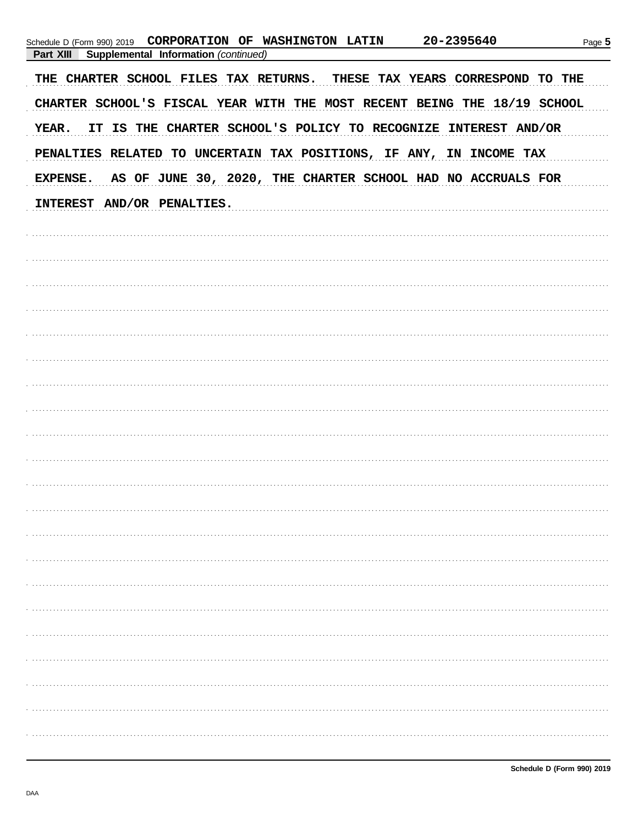| CORPORATION OF WASHINGTON LATIN<br>Schedule D (Form 990) 2019<br>Supplemental Information (continued)<br>Part XIII | 20-2395640                        | Page 5 |
|--------------------------------------------------------------------------------------------------------------------|-----------------------------------|--------|
| THE CHARTER SCHOOL FILES TAX RETURNS.                                                                              | THESE TAX YEARS CORRESPOND TO THE |        |
| CHARTER SCHOOL'S FISCAL YEAR WITH THE MOST RECENT BEING THE 18/19 SCHOOL                                           |                                   |        |
| YEAR.<br>IS THE CHARTER SCHOOL'S POLICY TO RECOGNIZE INTEREST AND/OR<br>IT                                         |                                   |        |
|                                                                                                                    |                                   |        |
| PENALTIES RELATED TO UNCERTAIN TAX POSITIONS, IF ANY, IN INCOME TAX                                                |                                   |        |
| AS OF JUNE 30, 2020, THE CHARTER SCHOOL HAD NO ACCRUALS FOR<br><b>EXPENSE.</b>                                     |                                   |        |
| INTEREST AND/OR PENALTIES.                                                                                         |                                   |        |
|                                                                                                                    |                                   |        |
|                                                                                                                    |                                   |        |
|                                                                                                                    |                                   |        |
|                                                                                                                    |                                   |        |
|                                                                                                                    |                                   |        |
|                                                                                                                    |                                   |        |
|                                                                                                                    |                                   |        |
|                                                                                                                    |                                   |        |
|                                                                                                                    |                                   |        |
|                                                                                                                    |                                   |        |
|                                                                                                                    |                                   |        |
|                                                                                                                    |                                   |        |
|                                                                                                                    |                                   |        |
|                                                                                                                    |                                   |        |
|                                                                                                                    |                                   |        |
|                                                                                                                    |                                   |        |
|                                                                                                                    |                                   |        |
|                                                                                                                    |                                   |        |
|                                                                                                                    |                                   |        |
|                                                                                                                    |                                   |        |
|                                                                                                                    |                                   |        |
|                                                                                                                    |                                   |        |
|                                                                                                                    |                                   |        |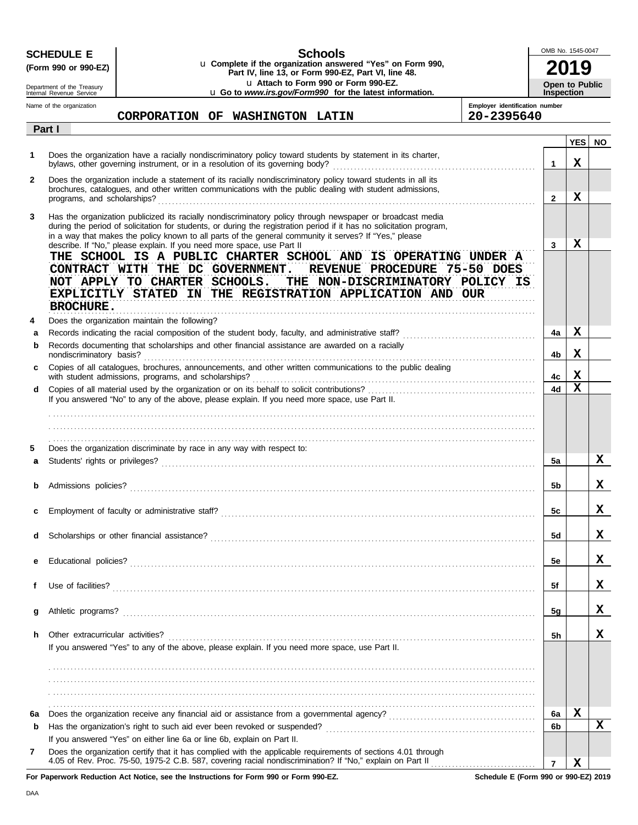|              | OMB No. 1545-0047<br><b>Schools</b><br><b>SCHEDULE E</b><br>u Complete if the organization answered "Yes" on Form 990,<br>(Form 990 or 990-EZ) |                                                                                                                                                                                                                                                                                                                                              |                                            |             |           |
|--------------|------------------------------------------------------------------------------------------------------------------------------------------------|----------------------------------------------------------------------------------------------------------------------------------------------------------------------------------------------------------------------------------------------------------------------------------------------------------------------------------------------|--------------------------------------------|-------------|-----------|
|              | Department of the Treasury<br>Internal Revenue Service                                                                                         | Part IV, line 13, or Form 990-EZ, Part VI, line 48.<br>u Attach to Form 990 or Form 990-EZ.<br>u Go to www.irs.gov/Form990 for the latest information.                                                                                                                                                                                       | <b>Open to Public</b><br><b>Inspection</b> | 2019        |           |
|              | Name of the organization                                                                                                                       | Employer identification number                                                                                                                                                                                                                                                                                                               |                                            |             |           |
|              |                                                                                                                                                | 20-2395640<br>CORPORATION OF WASHINGTON LATIN                                                                                                                                                                                                                                                                                                |                                            |             |           |
|              | Part I                                                                                                                                         |                                                                                                                                                                                                                                                                                                                                              |                                            |             |           |
| 1            |                                                                                                                                                | Does the organization have a racially nondiscriminatory policy toward students by statement in its charter,                                                                                                                                                                                                                                  | $\mathbf{1}$                               | YES<br>X    | <b>NO</b> |
| $\mathbf{2}$ | programs, and scholarships?                                                                                                                    | Does the organization include a statement of its racially nondiscriminatory policy toward students in all its<br>brochures, catalogues, and other written communications with the public dealing with student admissions,                                                                                                                    | $\mathbf{2}$                               | x           |           |
| 3            |                                                                                                                                                | Has the organization publicized its racially nondiscriminatory policy through newspaper or broadcast media<br>during the period of solicitation for students, or during the registration period if it has no solicitation program,<br>in a way that makes the policy known to all parts of the general community it serves? If "Yes," please |                                            |             |           |
|              | <b>BROCHURE.</b>                                                                                                                               | describe. If "No," please explain. If you need more space, use Part II<br>THE SCHOOL IS A PUBLIC CHARTER SCHOOL AND IS OPERATING UNDER A<br>CONTRACT WITH THE DC GOVERNMENT.<br>REVENUE PROCEDURE 75-50 DOES<br>NOT APPLY TO CHARTER SCHOOLS. THE NON-DISCRIMINATORY POLICY IS<br>EXPLICITLY STATED IN THE REGISTRATION APPLICATION AND OUR  | 3                                          | X           |           |
| 4            |                                                                                                                                                | Does the organization maintain the following?                                                                                                                                                                                                                                                                                                |                                            |             |           |
| а            |                                                                                                                                                |                                                                                                                                                                                                                                                                                                                                              | 4a                                         | x           |           |
| b<br>C       | nondiscriminatory basis?                                                                                                                       | Records documenting that scholarships and other financial assistance are awarded on a racially<br>Copies of all catalogues, brochures, announcements, and other written communications to the public dealing                                                                                                                                 | 4b                                         | x           |           |
|              |                                                                                                                                                |                                                                                                                                                                                                                                                                                                                                              | 4c                                         | X           |           |
| d            |                                                                                                                                                | If you answered "No" to any of the above, please explain. If you need more space, use Part II.                                                                                                                                                                                                                                               | 4d                                         | $\mathbf x$ |           |
|              |                                                                                                                                                |                                                                                                                                                                                                                                                                                                                                              |                                            |             |           |
| 5            |                                                                                                                                                | Does the organization discriminate by race in any way with respect to:                                                                                                                                                                                                                                                                       |                                            |             |           |
| a            |                                                                                                                                                |                                                                                                                                                                                                                                                                                                                                              | 5a                                         |             | x         |
| b            |                                                                                                                                                |                                                                                                                                                                                                                                                                                                                                              | 5b                                         |             | x         |
|              |                                                                                                                                                | Employment of faculty or administrative staff?                                                                                                                                                                                                                                                                                               | 5 <sub>c</sub>                             |             | х         |
| d            |                                                                                                                                                |                                                                                                                                                                                                                                                                                                                                              | <b>5d</b>                                  |             | X.        |
| е            |                                                                                                                                                |                                                                                                                                                                                                                                                                                                                                              | 5е                                         |             | X.        |
| f            |                                                                                                                                                |                                                                                                                                                                                                                                                                                                                                              | 5f                                         |             | X.        |
| g            |                                                                                                                                                |                                                                                                                                                                                                                                                                                                                                              | <u>5g</u>                                  |             | x         |
| h.           | Other extracurricular activities?                                                                                                              | If you answered "Yes" to any of the above, please explain. If you need more space, use Part II.                                                                                                                                                                                                                                              | 5h                                         |             | x         |
|              |                                                                                                                                                |                                                                                                                                                                                                                                                                                                                                              |                                            |             |           |
| 6а           |                                                                                                                                                |                                                                                                                                                                                                                                                                                                                                              | 6а                                         | х           |           |
| b<br>7       |                                                                                                                                                | If you answered "Yes" on either line 6a or line 6b, explain on Part II.<br>Does the organization certify that it has complied with the applicable requirements of sections 4.01 through                                                                                                                                                      | 6b                                         |             | X         |
|              |                                                                                                                                                | 4.05 of Rev. Proc. 75-50, 1975-2 C.B. 587, covering racial nondiscrimination? If "No," explain on Part II                                                                                                                                                                                                                                    | $\overline{7}$                             | X           |           |

**For Paperwork Reduction Act Notice, see the Instructions for Form 990 or Form 990-EZ.**

**Schedule E (Form 990 or 990-EZ) 2019**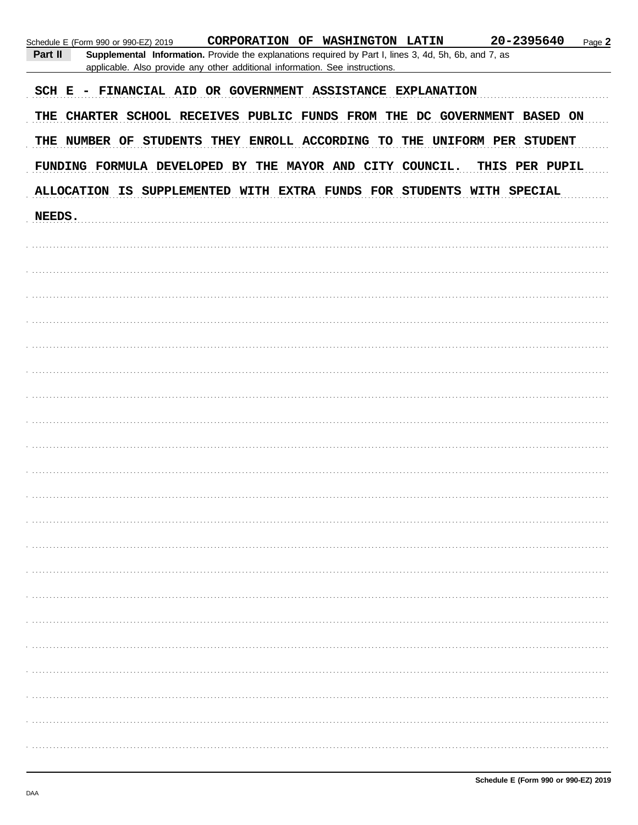| CORPORATION OF WASHINGTON LATIN<br>20-2395640<br>Page 2<br>Schedule E (Form 990 or 990-EZ) 2019                                                                                                  |
|--------------------------------------------------------------------------------------------------------------------------------------------------------------------------------------------------|
| Part II<br>Supplemental Information. Provide the explanations required by Part I, lines 3, 4d, 5h, 6b, and 7, as<br>applicable. Also provide any other additional information. See instructions. |
|                                                                                                                                                                                                  |
| SCH E - FINANCIAL AID OR GOVERNMENT ASSISTANCE EXPLANATION                                                                                                                                       |
| THE CHARTER SCHOOL RECEIVES PUBLIC FUNDS FROM THE DC GOVERNMENT BASED ON                                                                                                                         |
| THE NUMBER OF STUDENTS THEY ENROLL ACCORDING TO THE UNIFORM PER STUDENT                                                                                                                          |
| FUNDING FORMULA DEVELOPED BY THE MAYOR AND CITY COUNCIL.<br>THIS PER PUPIL                                                                                                                       |
| ALLOCATION IS SUPPLEMENTED WITH EXTRA FUNDS FOR STUDENTS WITH SPECIAL                                                                                                                            |
| NEEDS.                                                                                                                                                                                           |
|                                                                                                                                                                                                  |
|                                                                                                                                                                                                  |
|                                                                                                                                                                                                  |
|                                                                                                                                                                                                  |
|                                                                                                                                                                                                  |
|                                                                                                                                                                                                  |
|                                                                                                                                                                                                  |
|                                                                                                                                                                                                  |
|                                                                                                                                                                                                  |
|                                                                                                                                                                                                  |
|                                                                                                                                                                                                  |
|                                                                                                                                                                                                  |
|                                                                                                                                                                                                  |
|                                                                                                                                                                                                  |
|                                                                                                                                                                                                  |
|                                                                                                                                                                                                  |
|                                                                                                                                                                                                  |
|                                                                                                                                                                                                  |
|                                                                                                                                                                                                  |
|                                                                                                                                                                                                  |
|                                                                                                                                                                                                  |
|                                                                                                                                                                                                  |
|                                                                                                                                                                                                  |
|                                                                                                                                                                                                  |
|                                                                                                                                                                                                  |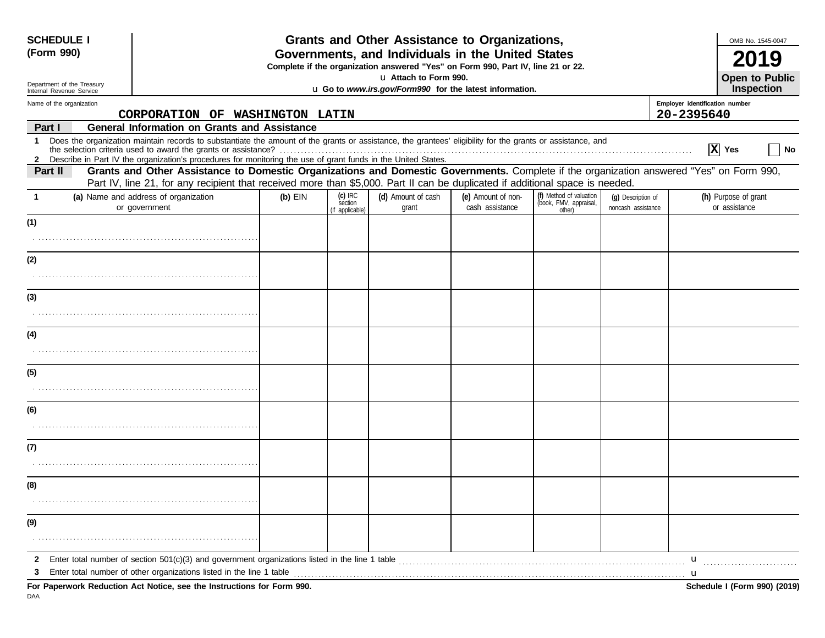| <b>SCHEDULE I</b><br>(Form 990)                        | Grants and Other Assistance to Organizations,<br>Governments, and Individuals in the United States<br>Complete if the organization answered "Yes" on Form 990, Part IV, line 21 or 22.                                                                                        |           |                                       |                                                                                   |                                       |                                                             |                                          | OMB No. 1545-0047<br>2019                  |    |
|--------------------------------------------------------|-------------------------------------------------------------------------------------------------------------------------------------------------------------------------------------------------------------------------------------------------------------------------------|-----------|---------------------------------------|-----------------------------------------------------------------------------------|---------------------------------------|-------------------------------------------------------------|------------------------------------------|--------------------------------------------|----|
| Department of the Treasury<br>Internal Revenue Service |                                                                                                                                                                                                                                                                               |           |                                       | La Attach to Form 990.<br>u Go to www.irs.gov/Form990 for the latest information. |                                       |                                                             |                                          | <b>Open to Public</b><br><b>Inspection</b> |    |
| Name of the organization                               | Employer identification number<br>20-2395640<br>CORPORATION OF WASHINGTON LATIN                                                                                                                                                                                               |           |                                       |                                                                                   |                                       |                                                             |                                          |                                            |    |
| Part I                                                 | <b>General Information on Grants and Assistance</b>                                                                                                                                                                                                                           |           |                                       |                                                                                   |                                       |                                                             |                                          |                                            |    |
| $\mathbf{1}$                                           | Does the organization maintain records to substantiate the amount of the grants or assistance, the grantees' eligibility for the grants or assistance, and<br>2 Describe in Part IV the organization's procedures for monitoring the use of grant funds in the United States. |           |                                       |                                                                                   |                                       |                                                             |                                          | $ X $ Yes                                  | No |
| Part II                                                | Grants and Other Assistance to Domestic Organizations and Domestic Governments. Complete if the organization answered "Yes" on Form 990,<br>Part IV, line 21, for any recipient that received more than \$5,000. Part II can be duplicated if additional space is needed.     |           |                                       |                                                                                   |                                       |                                                             |                                          |                                            |    |
| $\mathbf 1$                                            | (a) Name and address of organization<br>or government                                                                                                                                                                                                                         | $(b)$ EIN | (c) IRC<br>section<br>(if applicable) | (d) Amount of cash<br>grant                                                       | (e) Amount of non-<br>cash assistance | (f) Method of valuation<br>(book, FMV, appraisal,<br>other) | (q) Description of<br>noncash assistance | (h) Purpose of grant<br>or assistance      |    |
| (1)                                                    |                                                                                                                                                                                                                                                                               |           |                                       |                                                                                   |                                       |                                                             |                                          |                                            |    |
| (2)                                                    |                                                                                                                                                                                                                                                                               |           |                                       |                                                                                   |                                       |                                                             |                                          |                                            |    |
|                                                        |                                                                                                                                                                                                                                                                               |           |                                       |                                                                                   |                                       |                                                             |                                          |                                            |    |
| (3)                                                    |                                                                                                                                                                                                                                                                               |           |                                       |                                                                                   |                                       |                                                             |                                          |                                            |    |
| (4)                                                    |                                                                                                                                                                                                                                                                               |           |                                       |                                                                                   |                                       |                                                             |                                          |                                            |    |
|                                                        |                                                                                                                                                                                                                                                                               |           |                                       |                                                                                   |                                       |                                                             |                                          |                                            |    |
| (5)                                                    |                                                                                                                                                                                                                                                                               |           |                                       |                                                                                   |                                       |                                                             |                                          |                                            |    |
|                                                        |                                                                                                                                                                                                                                                                               |           |                                       |                                                                                   |                                       |                                                             |                                          |                                            |    |
| (6)                                                    |                                                                                                                                                                                                                                                                               |           |                                       |                                                                                   |                                       |                                                             |                                          |                                            |    |
|                                                        |                                                                                                                                                                                                                                                                               |           |                                       |                                                                                   |                                       |                                                             |                                          |                                            |    |
| (7)                                                    |                                                                                                                                                                                                                                                                               |           |                                       |                                                                                   |                                       |                                                             |                                          |                                            |    |
| (8)                                                    |                                                                                                                                                                                                                                                                               |           |                                       |                                                                                   |                                       |                                                             |                                          |                                            |    |
|                                                        |                                                                                                                                                                                                                                                                               |           |                                       |                                                                                   |                                       |                                                             |                                          |                                            |    |
| (9)                                                    |                                                                                                                                                                                                                                                                               |           |                                       |                                                                                   |                                       |                                                             |                                          |                                            |    |
| $\mathbf{2}$<br>3                                      | Enter total number of section 501(c)(3) and government organizations listed in the line 1 table                                                                                                                                                                               |           |                                       |                                                                                   |                                       |                                                             |                                          | $\mathbf{u}$<br>u                          |    |
| DAA                                                    | For Paperwork Reduction Act Notice, see the Instructions for Form 990.                                                                                                                                                                                                        |           |                                       |                                                                                   |                                       |                                                             |                                          | Schedule I (Form 990) (2019)               |    |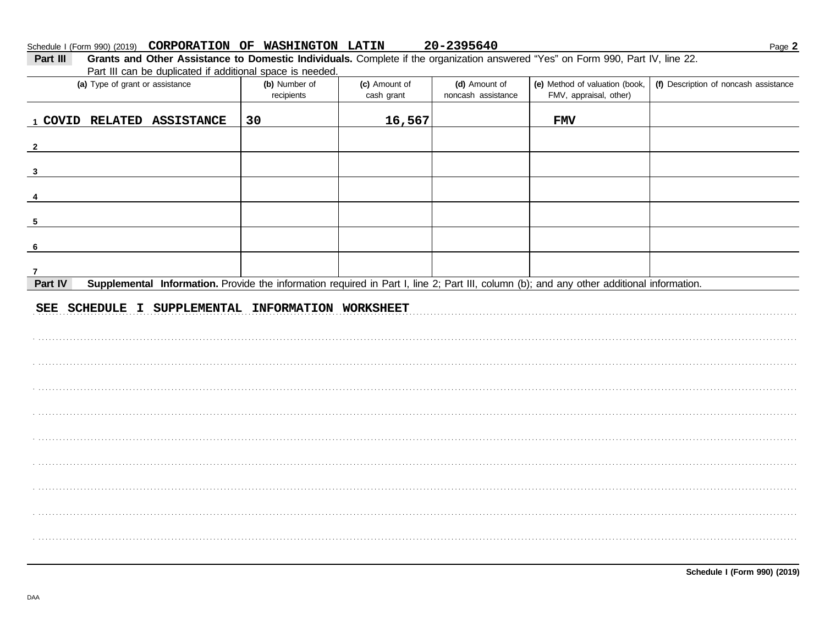### Schedule I (Form 990) (2019) CORPORATION OF WASHINGTON LATIN 20-2395640 Grants and Other Assistance to Domestic Individuals. Complete if the organization answered "Yes" on Form 990, Part IV, line 22.

| Part III can be duplicated if additional space is needed.                                                                                            |                             |                             |                                     |                                                          |                                       |
|------------------------------------------------------------------------------------------------------------------------------------------------------|-----------------------------|-----------------------------|-------------------------------------|----------------------------------------------------------|---------------------------------------|
| (a) Type of grant or assistance                                                                                                                      | (b) Number of<br>recipients | (c) Amount of<br>cash grant | (d) Amount of<br>noncash assistance | (e) Method of valuation (book,<br>FMV, appraisal, other) | (f) Description of noncash assistance |
| 1 COVID RELATED ASSISTANCE                                                                                                                           | 30                          | 16,567                      |                                     | <b>FMV</b>                                               |                                       |
| $\overline{2}$                                                                                                                                       |                             |                             |                                     |                                                          |                                       |
| $\overline{\mathbf{3}}$                                                                                                                              |                             |                             |                                     |                                                          |                                       |
| $\overline{4}$                                                                                                                                       |                             |                             |                                     |                                                          |                                       |
| $\sqrt{5}$                                                                                                                                           |                             |                             |                                     |                                                          |                                       |
| $6\phantom{.}6$                                                                                                                                      |                             |                             |                                     |                                                          |                                       |
| $\overline{7}$                                                                                                                                       |                             |                             |                                     |                                                          |                                       |
| Part IV<br>Supplemental Information. Provide the information required in Part I, line 2; Part III, column (b); and any other additional information. |                             |                             |                                     |                                                          |                                       |
| SEE SCHEDULE I SUPPLEMENTAL INFORMATION WORKSHEET                                                                                                    |                             |                             |                                     |                                                          |                                       |
|                                                                                                                                                      |                             |                             |                                     |                                                          |                                       |
|                                                                                                                                                      |                             |                             |                                     |                                                          |                                       |
|                                                                                                                                                      |                             |                             |                                     |                                                          |                                       |
|                                                                                                                                                      |                             |                             |                                     |                                                          |                                       |
|                                                                                                                                                      |                             |                             |                                     |                                                          |                                       |
|                                                                                                                                                      |                             |                             |                                     |                                                          |                                       |
|                                                                                                                                                      |                             |                             |                                     |                                                          |                                       |
|                                                                                                                                                      |                             |                             |                                     |                                                          |                                       |
|                                                                                                                                                      |                             |                             |                                     |                                                          |                                       |

Part III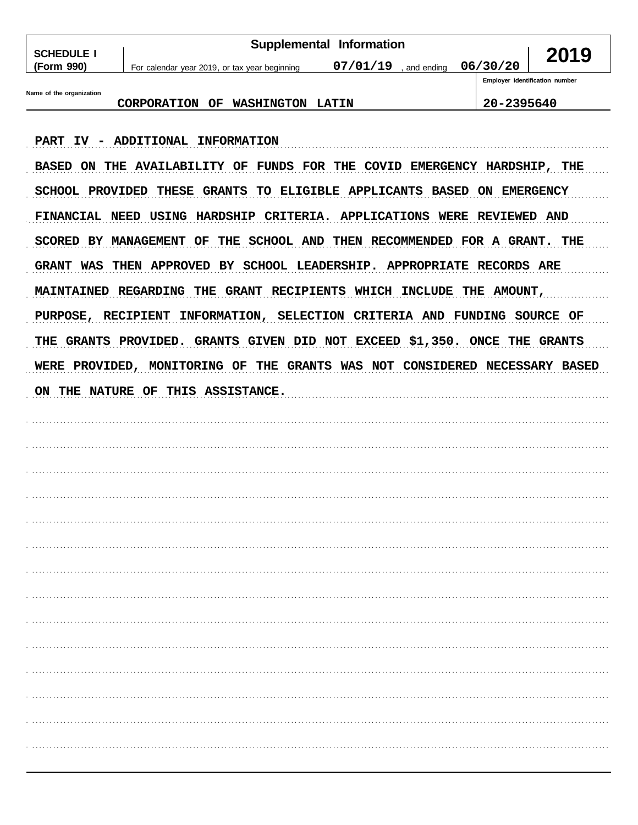| <b>SCHEDULE I</b>        |                                               | Supplemental Information |  |          |                                |  |  |  |  |  |
|--------------------------|-----------------------------------------------|--------------------------|--|----------|--------------------------------|--|--|--|--|--|
| (Form 990)               | For calendar year 2019, or tax year beginning | 07/01/19<br>and ending   |  | 06/30/20 | 2019                           |  |  |  |  |  |
|                          |                                               |                          |  |          | Employer identification number |  |  |  |  |  |
| Name of the organization |                                               |                          |  |          |                                |  |  |  |  |  |

### CORPORATION OF WASHINGTON LATIN

PART IV - ADDITIONAL INFORMATION

BASED ON THE AVAILABILITY OF FUNDS FOR THE COVID EMERGENCY HARDSHIP, THE SCHOOL PROVIDED THESE GRANTS TO ELIGIBLE APPLICANTS BASED ON EMERGENCY FINANCIAL NEED USING HARDSHIP CRITERIA. APPLICATIONS WERE REVIEWED AND SCORED BY MANAGEMENT OF THE SCHOOL AND THEN RECOMMENDED FOR A GRANT. THE GRANT WAS THEN APPROVED BY SCHOOL LEADERSHIP. APPROPRIATE RECORDS ARE MAINTAINED REGARDING THE GRANT RECIPIENTS WHICH INCLUDE THE AMOUNT, PURPOSE, RECIPIENT INFORMATION, SELECTION CRITERIA AND FUNDING SOURCE OF THE GRANTS PROVIDED. GRANTS GIVEN DID NOT EXCEED \$1,350. ONCE THE GRANTS WERE PROVIDED, MONITORING OF THE GRANTS WAS NOT CONSIDERED NECESSARY BASED ON THE NATURE OF THIS ASSISTANCE.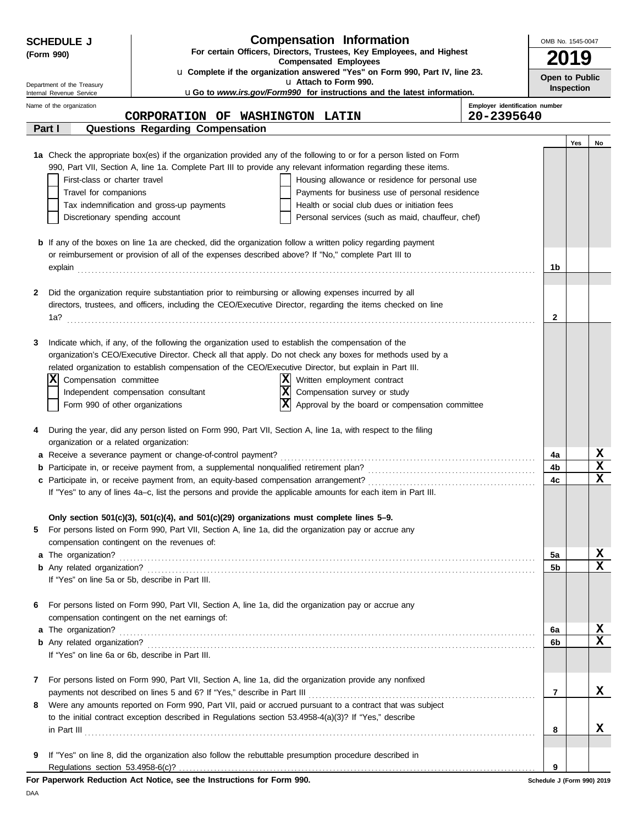|   | <b>Compensation Information</b><br><b>SCHEDULE J</b><br>For certain Officers, Directors, Trustees, Key Employees, and Highest |                                                                                                           |                                                                                                                      |                                              |                            | OMB No. 1545-0047 |                                                    |
|---|-------------------------------------------------------------------------------------------------------------------------------|-----------------------------------------------------------------------------------------------------------|----------------------------------------------------------------------------------------------------------------------|----------------------------------------------|----------------------------|-------------------|----------------------------------------------------|
|   | (Form 990)                                                                                                                    |                                                                                                           | <b>Compensated Employees</b>                                                                                         |                                              |                            | <b>2019</b>       |                                                    |
|   | Department of the Treasury                                                                                                    |                                                                                                           | u Complete if the organization answered "Yes" on Form 990, Part IV, line 23.<br>u Attach to Form 990.                |                                              | Open to Public             |                   |                                                    |
|   | Internal Revenue Service                                                                                                      |                                                                                                           | <b>uGo to www.irs.gov/Form990 for instructions and the latest information.</b>                                       |                                              |                            | Inspection        |                                                    |
|   | Name of the organization                                                                                                      | CORPORATION OF WASHINGTON LATIN                                                                           |                                                                                                                      | Employer identification number<br>20-2395640 |                            |                   |                                                    |
|   | Part I                                                                                                                        | Questions Regarding Compensation                                                                          |                                                                                                                      |                                              |                            |                   |                                                    |
|   |                                                                                                                               |                                                                                                           |                                                                                                                      |                                              |                            | Yes               | No                                                 |
|   |                                                                                                                               |                                                                                                           | 1a Check the appropriate box(es) if the organization provided any of the following to or for a person listed on Form |                                              |                            |                   |                                                    |
|   |                                                                                                                               |                                                                                                           | 990, Part VII, Section A, line 1a. Complete Part III to provide any relevant information regarding these items.      |                                              |                            |                   |                                                    |
|   | First-class or charter travel                                                                                                 |                                                                                                           | Housing allowance or residence for personal use                                                                      |                                              |                            |                   |                                                    |
|   | Travel for companions                                                                                                         |                                                                                                           | Payments for business use of personal residence                                                                      |                                              |                            |                   |                                                    |
|   | Discretionary spending account                                                                                                | Tax indemnification and gross-up payments                                                                 | Health or social club dues or initiation fees<br>Personal services (such as maid, chauffeur, chef)                   |                                              |                            |                   |                                                    |
|   |                                                                                                                               |                                                                                                           |                                                                                                                      |                                              |                            |                   |                                                    |
|   |                                                                                                                               |                                                                                                           | <b>b</b> If any of the boxes on line 1a are checked, did the organization follow a written policy regarding payment  |                                              |                            |                   |                                                    |
|   |                                                                                                                               | or reimbursement or provision of all of the expenses described above? If "No," complete Part III to       |                                                                                                                      |                                              |                            |                   |                                                    |
|   | explain                                                                                                                       |                                                                                                           |                                                                                                                      |                                              | 1b                         |                   |                                                    |
|   |                                                                                                                               |                                                                                                           |                                                                                                                      |                                              |                            |                   |                                                    |
| 2 |                                                                                                                               | Did the organization require substantiation prior to reimbursing or allowing expenses incurred by all     | directors, trustees, and officers, including the CEO/Executive Director, regarding the items checked on line         |                                              |                            |                   |                                                    |
|   | 1a?                                                                                                                           |                                                                                                           |                                                                                                                      |                                              | 2                          |                   |                                                    |
|   |                                                                                                                               |                                                                                                           |                                                                                                                      |                                              |                            |                   |                                                    |
| 3 |                                                                                                                               | Indicate which, if any, of the following the organization used to establish the compensation of the       |                                                                                                                      |                                              |                            |                   |                                                    |
|   |                                                                                                                               |                                                                                                           | organization's CEO/Executive Director. Check all that apply. Do not check any boxes for methods used by a            |                                              |                            |                   |                                                    |
|   |                                                                                                                               | related organization to establish compensation of the CEO/Executive Director, but explain in Part III.    |                                                                                                                      |                                              |                            |                   |                                                    |
|   | Compensation committee                                                                                                        |                                                                                                           | Written employment contract<br>x<br>$\overline{\mathbf{x}}$                                                          |                                              |                            |                   |                                                    |
|   | Form 990 of other organizations                                                                                               | Independent compensation consultant                                                                       | Compensation survey or study<br> x<br>Approval by the board or compensation committee                                |                                              |                            |                   |                                                    |
|   |                                                                                                                               |                                                                                                           |                                                                                                                      |                                              |                            |                   |                                                    |
| 4 |                                                                                                                               |                                                                                                           | During the year, did any person listed on Form 990, Part VII, Section A, line 1a, with respect to the filing         |                                              |                            |                   |                                                    |
|   | organization or a related organization:                                                                                       |                                                                                                           |                                                                                                                      |                                              |                            |                   |                                                    |
|   |                                                                                                                               |                                                                                                           |                                                                                                                      |                                              | 4a                         |                   | <u>x</u>                                           |
|   |                                                                                                                               |                                                                                                           |                                                                                                                      |                                              | 4b                         |                   | $\overline{\mathbf{x}}$<br>$\overline{\mathbf{x}}$ |
|   |                                                                                                                               |                                                                                                           | If "Yes" to any of lines 4a-c, list the persons and provide the applicable amounts for each item in Part III.        |                                              | 4c                         |                   |                                                    |
|   |                                                                                                                               |                                                                                                           |                                                                                                                      |                                              |                            |                   |                                                    |
|   |                                                                                                                               | Only section 501(c)(3), 501(c)(4), and 501(c)(29) organizations must complete lines 5-9.                  |                                                                                                                      |                                              |                            |                   |                                                    |
| 5 |                                                                                                                               | For persons listed on Form 990, Part VII, Section A, line 1a, did the organization pay or accrue any      |                                                                                                                      |                                              |                            |                   |                                                    |
|   |                                                                                                                               | compensation contingent on the revenues of:                                                               |                                                                                                                      |                                              |                            |                   |                                                    |
|   |                                                                                                                               |                                                                                                           |                                                                                                                      |                                              | 5a                         |                   | X<br>$\overline{\mathbf{x}}$                       |
|   | If "Yes" on line 5a or 5b, describe in Part III.                                                                              |                                                                                                           |                                                                                                                      |                                              | 5b                         |                   |                                                    |
|   |                                                                                                                               |                                                                                                           |                                                                                                                      |                                              |                            |                   |                                                    |
| 6 |                                                                                                                               | For persons listed on Form 990, Part VII, Section A, line 1a, did the organization pay or accrue any      |                                                                                                                      |                                              |                            |                   |                                                    |
|   |                                                                                                                               | compensation contingent on the net earnings of:                                                           |                                                                                                                      |                                              |                            |                   |                                                    |
|   | a The organization?                                                                                                           |                                                                                                           |                                                                                                                      |                                              | 6a                         |                   | <u>x</u>                                           |
|   |                                                                                                                               |                                                                                                           |                                                                                                                      |                                              | 6b                         |                   | $\overline{\mathbf{x}}$                            |
|   | If "Yes" on line 6a or 6b, describe in Part III.                                                                              |                                                                                                           |                                                                                                                      |                                              |                            |                   |                                                    |
| 7 |                                                                                                                               | For persons listed on Form 990, Part VII, Section A, line 1a, did the organization provide any nonfixed   |                                                                                                                      |                                              |                            |                   |                                                    |
|   |                                                                                                                               |                                                                                                           |                                                                                                                      |                                              | 7                          |                   | x                                                  |
| 8 |                                                                                                                               |                                                                                                           | Were any amounts reported on Form 990, Part VII, paid or accrued pursuant to a contract that was subject             |                                              |                            |                   |                                                    |
|   |                                                                                                                               | to the initial contract exception described in Regulations section $53.4958-4(a)(3)$ ? If "Yes," describe |                                                                                                                      |                                              |                            |                   |                                                    |
|   |                                                                                                                               |                                                                                                           | $\ $ n Part III $\ $                                                                                                 |                                              | 8                          |                   | x                                                  |
|   |                                                                                                                               |                                                                                                           |                                                                                                                      |                                              |                            |                   |                                                    |
| 9 |                                                                                                                               | If "Yes" on line 8, did the organization also follow the rebuttable presumption procedure described in    |                                                                                                                      |                                              | 9                          |                   |                                                    |
|   |                                                                                                                               | For Paperwork Reduction Act Notice, see the Instructions for Form 990.                                    |                                                                                                                      |                                              | Schedule J (Form 990) 2019 |                   |                                                    |

DAA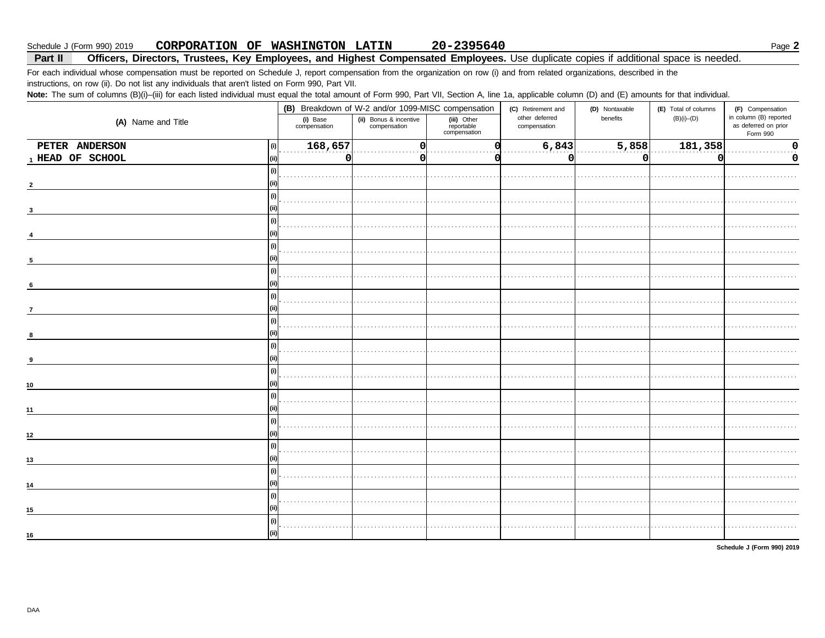#### 20-2395640 CORPORATION OF WASHINGTON LATIN Schedule J (Form 990) 2019

#### Part II Officers, Directors, Trustees, Key Employees, and Highest Compensated Employees. Use duplicate copies if additional space is needed.

For each individual whose compensation must be reported on Schedule J, report compensation from the organization on row (i) and from related organizations, described in the instructions, on row (ii). Do not list any individuals that aren't listed on Form 990, Part VII.

Note: The sum of columns (B)(i)-(iii) for each listed individual must equal the total amount of Form 990, Part VII, Section A, line 1a, applicable column (D) and (E) amounts for that individual.

|                    |                          | (B) Breakdown of W-2 and/or 1099-MISC compensation |                                           | (C) Retirement and             | (D) Nontaxable | (E) Total of columns | (F) Compensation                                           |  |
|--------------------|--------------------------|----------------------------------------------------|-------------------------------------------|--------------------------------|----------------|----------------------|------------------------------------------------------------|--|
| (A) Name and Title | (i) Base<br>compensation | (ii) Bonus & incentive<br>compensation             | (iii) Other<br>reportable<br>compensation | other deferred<br>compensation | benefits       | $(B)(i)$ - $(D)$     | in column (B) reported<br>as deferred on prior<br>Form 990 |  |
| PETER ANDERSON     | 168,657<br>$\vert$ (i)   | 0                                                  |                                           | 6,843                          | 5,858          | 181,358              | $\mathbf 0$                                                |  |
| 1 HEAD OF SCHOOL   | <sup>0</sup><br>(ii)     |                                                    |                                           |                                | $\Omega$       | 0                    | 0                                                          |  |
|                    | (i)                      |                                                    |                                           |                                |                |                      |                                                            |  |
|                    |                          |                                                    |                                           |                                |                |                      |                                                            |  |
|                    | (i)                      |                                                    |                                           |                                |                |                      |                                                            |  |
|                    |                          |                                                    |                                           |                                |                |                      |                                                            |  |
|                    | (i)                      |                                                    |                                           |                                |                |                      |                                                            |  |
|                    |                          |                                                    |                                           |                                |                |                      |                                                            |  |
|                    | (i)                      |                                                    |                                           |                                |                |                      |                                                            |  |
| 5                  |                          |                                                    |                                           |                                |                |                      |                                                            |  |
|                    | (i)                      |                                                    |                                           |                                |                |                      |                                                            |  |
| 6                  |                          |                                                    |                                           |                                |                |                      |                                                            |  |
|                    | (i)                      |                                                    |                                           |                                |                |                      |                                                            |  |
| $\overline{7}$     |                          |                                                    |                                           |                                |                |                      |                                                            |  |
|                    | (i)                      |                                                    |                                           |                                |                |                      |                                                            |  |
|                    |                          |                                                    |                                           |                                |                |                      |                                                            |  |
|                    | (i)                      |                                                    |                                           |                                |                |                      |                                                            |  |
|                    |                          |                                                    |                                           |                                |                |                      |                                                            |  |
|                    | (i)                      |                                                    |                                           |                                |                |                      |                                                            |  |
| 10                 | (ii)                     |                                                    |                                           |                                |                |                      |                                                            |  |
|                    | (i)                      |                                                    |                                           |                                |                |                      |                                                            |  |
| 11                 |                          |                                                    |                                           |                                |                |                      |                                                            |  |
|                    | (i)                      |                                                    |                                           |                                |                |                      |                                                            |  |
| 12                 |                          |                                                    |                                           |                                |                |                      |                                                            |  |
|                    | (i)                      |                                                    |                                           |                                |                |                      |                                                            |  |
| 13                 |                          |                                                    |                                           |                                |                |                      |                                                            |  |
|                    | (i)                      |                                                    |                                           |                                |                |                      |                                                            |  |
| 14                 |                          |                                                    |                                           |                                |                |                      |                                                            |  |
|                    | (i)                      |                                                    |                                           |                                |                |                      |                                                            |  |
| 15                 |                          |                                                    |                                           |                                |                |                      |                                                            |  |
|                    | (i)                      |                                                    |                                           |                                |                |                      |                                                            |  |
| 16                 | (ii)                     |                                                    |                                           |                                |                |                      |                                                            |  |
|                    |                          |                                                    |                                           |                                |                |                      |                                                            |  |

Schedule J (Form 990) 2019

Page 2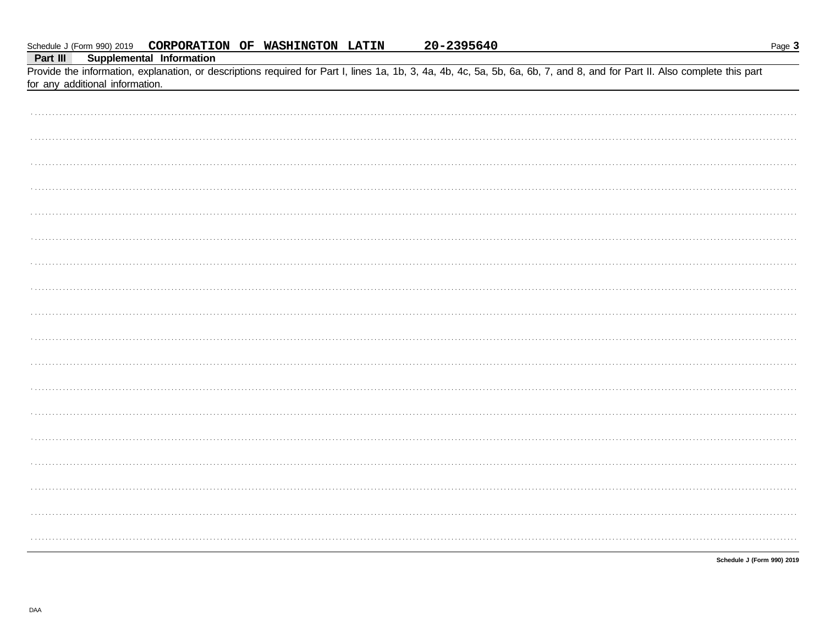Part III Supplemental Information

| Provide the information, explanation, or descriptions required for Part I, lines 1a, 1b, 3, 4a, 4b, 4c, 5a, 5b, 6a, 6b, 7, and 8, and for Part II. Also complete this part |  |  |  |  |  |  |  |
|----------------------------------------------------------------------------------------------------------------------------------------------------------------------------|--|--|--|--|--|--|--|
| for any additional information.                                                                                                                                            |  |  |  |  |  |  |  |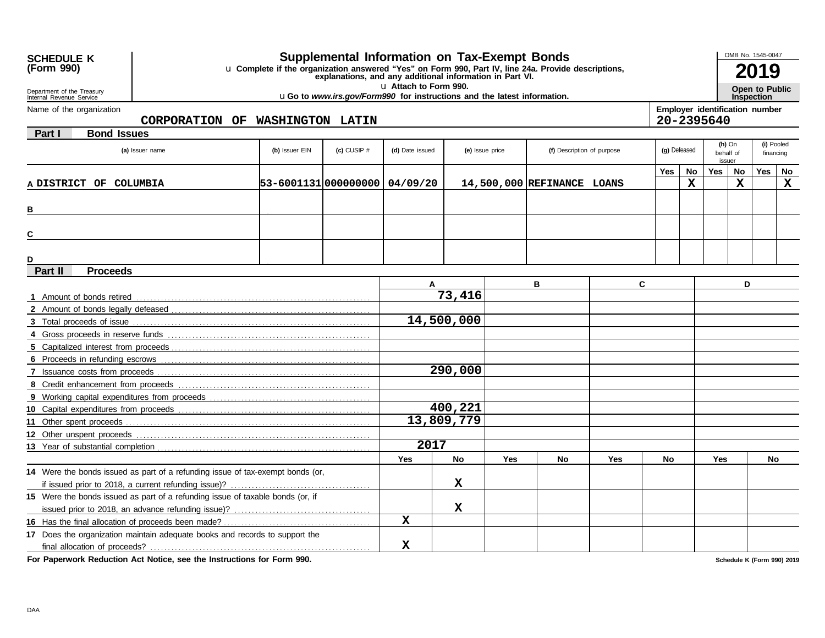## **SCHEDULE K**  $\qquad \qquad \qquad$  **Supplemental Information on Tax-Exempt Bonds**<br>**(Form 990) Supplete if the organization answered "Yes" on Form 990, Part IV, line 24a. Provide**

**(Form 990) u** Complete if the organization answered "Yes" on Form 990, Part IV, line 24a. Provide descriptions,<br>explanations, and any additional information in Part VI.

u **Attach to Form 990.**

u**Go to** *www.irs.gov/Form990* **for instructions and the latest information.**

Department of the Treasury<br>Internal Revenue Service

### **CORPORATION OF WASHINGTON LATIN 20-2395640**

| <b>Bond Issues</b><br>Part I                                                   |                              |               |                         |                 |            |                            |            |              |             |                                 |             |                         |             |
|--------------------------------------------------------------------------------|------------------------------|---------------|-------------------------|-----------------|------------|----------------------------|------------|--------------|-------------|---------------------------------|-------------|-------------------------|-------------|
| (a) Issuer name                                                                | (b) Issuer EIN               | (c) CUSIP $#$ | (d) Date issued         | (e) Issue price |            | (f) Description of purpose |            | (g) Defeased |             | $(h)$ On<br>behalf of<br>issuer |             | (i) Pooled<br>financing |             |
|                                                                                |                              |               |                         |                 |            |                            |            | Yes          | No          | Yes                             | No          | $Yes \mid No$           |             |
| A DISTRICT OF COLUMBIA                                                         | 53-6001131000000000 04/09/20 |               |                         |                 |            | 14,500,000 REFINANCE LOANS |            |              | $\mathbf x$ |                                 | $\mathbf x$ |                         | $\mathbf x$ |
| В                                                                              |                              |               |                         |                 |            |                            |            |              |             |                                 |             |                         |             |
| С                                                                              |                              |               |                         |                 |            |                            |            |              |             |                                 |             |                         |             |
| D                                                                              |                              |               |                         |                 |            |                            |            |              |             |                                 |             |                         |             |
| Part II<br><b>Proceeds</b>                                                     |                              |               |                         |                 |            |                            |            |              |             |                                 |             |                         |             |
|                                                                                |                              |               | A                       | 73,416          |            | в                          | C          |              |             |                                 | D           |                         |             |
|                                                                                |                              |               |                         |                 |            |                            |            |              |             |                                 |             |                         |             |
|                                                                                |                              |               |                         | 14,500,000      |            |                            |            |              |             |                                 |             |                         |             |
|                                                                                |                              |               |                         |                 |            |                            |            |              |             |                                 |             |                         |             |
|                                                                                |                              |               |                         |                 |            |                            |            |              |             |                                 |             |                         |             |
|                                                                                |                              |               |                         |                 |            |                            |            |              |             |                                 |             |                         |             |
|                                                                                |                              |               |                         | 290,000         |            |                            |            |              |             |                                 |             |                         |             |
|                                                                                |                              |               |                         |                 |            |                            |            |              |             |                                 |             |                         |             |
|                                                                                |                              |               |                         |                 |            |                            |            |              |             |                                 |             |                         |             |
|                                                                                |                              |               |                         | 400,221         |            |                            |            |              |             |                                 |             |                         |             |
|                                                                                |                              |               |                         | 13,809,779      |            |                            |            |              |             |                                 |             |                         |             |
|                                                                                |                              |               |                         |                 |            |                            |            |              |             |                                 |             |                         |             |
|                                                                                |                              |               | 2017                    |                 |            |                            |            |              |             |                                 |             |                         |             |
|                                                                                |                              |               | Yes                     | No              | <b>Yes</b> | No                         | <b>Yes</b> | <b>No</b>    |             | <b>Yes</b>                      |             | No                      |             |
| 14 Were the bonds issued as part of a refunding issue of tax-exempt bonds (or, |                              |               |                         | x               |            |                            |            |              |             |                                 |             |                         |             |
| 15 Were the bonds issued as part of a refunding issue of taxable bonds (or, if |                              |               |                         |                 |            |                            |            |              |             |                                 |             |                         |             |
|                                                                                |                              |               |                         | $\mathbf x$     |            |                            |            |              |             |                                 |             |                         |             |
|                                                                                |                              |               | $\overline{\mathbf{x}}$ |                 |            |                            |            |              |             |                                 |             |                         |             |
| 17 Does the organization maintain adequate books and records to support the    |                              |               |                         |                 |            |                            |            |              |             |                                 |             |                         |             |
|                                                                                |                              |               | x                       |                 |            |                            |            |              |             |                                 |             |                         |             |

**For Paperwork Reduction Act Notice, see the Instructions for Form 990.**

DAA

**Open to Public Inspection**

Name of the organization **Employer identification number Employer identification number** 

OMB No. 1545-0047 **2019**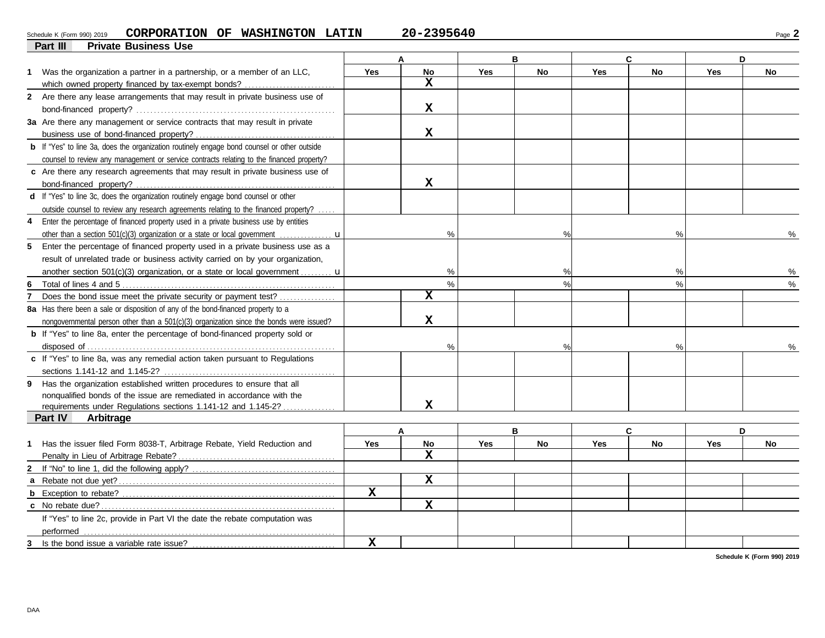Schedule K (Form 990) 2019 **CORPORATION OF WASHINGTON LATIN 20-2395640** Page **2** 

|              | Part III<br><b>Private Business Use</b>                                                            |             |                         |               |               |            |               |            |           |
|--------------|----------------------------------------------------------------------------------------------------|-------------|-------------------------|---------------|---------------|------------|---------------|------------|-----------|
|              |                                                                                                    |             | Δ                       |               | B             |            | $\mathbf c$   |            | D         |
|              | 1 Was the organization a partner in a partnership, or a member of an LLC,                          | Yes         | <b>No</b>               | <b>Yes</b>    | No            | Yes        | <b>No</b>     | <b>Yes</b> | <b>No</b> |
|              | which owned property financed by tax-exempt bonds?                                                 |             | x                       |               |               |            |               |            |           |
|              | 2 Are there any lease arrangements that may result in private business use of                      |             |                         |               |               |            |               |            |           |
|              |                                                                                                    |             | $\mathbf x$             |               |               |            |               |            |           |
|              | 3a Are there any management or service contracts that may result in private                        |             |                         |               |               |            |               |            |           |
|              |                                                                                                    |             | $\mathbf x$             |               |               |            |               |            |           |
|              | <b>b</b> If "Yes" to line 3a, does the organization routinely engage bond counsel or other outside |             |                         |               |               |            |               |            |           |
|              | counsel to review any management or service contracts relating to the financed property?           |             |                         |               |               |            |               |            |           |
|              | c Are there any research agreements that may result in private business use of                     |             |                         |               |               |            |               |            |           |
|              |                                                                                                    |             | $\mathbf x$             |               |               |            |               |            |           |
|              | d If "Yes" to line 3c, does the organization routinely engage bond counsel or other                |             |                         |               |               |            |               |            |           |
|              | outside counsel to review any research agreements relating to the financed property?               |             |                         |               |               |            |               |            |           |
| 4            | Enter the percentage of financed property used in a private business use by entities               |             |                         |               |               |            |               |            |           |
|              | other than a section 501(c)(3) organization or a state or local government $\ldots$                |             | %                       |               | $\frac{0}{0}$ |            | %             |            | ℅         |
|              | 5 Enter the percentage of financed property used in a private business use as a                    |             |                         |               |               |            |               |            |           |
|              | result of unrelated trade or business activity carried on by your organization,                    |             |                         |               |               |            |               |            |           |
|              | another section 501(c)(3) organization, or a state or local government <b>u</b>                    |             |                         | $\%$          | $\frac{0}{0}$ |            | %             |            | $\%$      |
| 6.           |                                                                                                    |             |                         | $\frac{1}{2}$ | $\frac{0}{0}$ |            | $\frac{1}{2}$ |            | %         |
|              | Does the bond issue meet the private security or payment test?                                     |             | $\overline{\mathbf{x}}$ |               |               |            |               |            |           |
|              | 8a Has there been a sale or disposition of any of the bond-financed property to a                  |             |                         |               |               |            |               |            |           |
|              | nongovernmental person other than a 501(c)(3) organization since the bonds were issued?            |             | $\mathbf x$             |               |               |            |               |            |           |
|              | <b>b</b> If "Yes" to line 8a, enter the percentage of bond-financed property sold or               |             |                         |               |               |            |               |            |           |
|              |                                                                                                    |             |                         | $\%$          |               |            | $\%$          |            |           |
|              | c If "Yes" to line 8a, was any remedial action taken pursuant to Regulations                       |             |                         |               |               |            |               |            |           |
|              |                                                                                                    |             |                         |               |               |            |               |            |           |
| 9            | Has the organization established written procedures to ensure that all                             |             |                         |               |               |            |               |            |           |
|              | nonqualified bonds of the issue are remediated in accordance with the                              |             |                         |               |               |            |               |            |           |
|              | requirements under Regulations sections 1.141-12 and 1.145-2?<br>.                                 |             | x                       |               |               |            |               |            |           |
|              | Part IV<br>Arbitrage                                                                               |             |                         |               |               |            |               |            |           |
|              |                                                                                                    |             | A                       |               | в             |            | C             |            | D         |
| $\mathbf{1}$ | Has the issuer filed Form 8038-T, Arbitrage Rebate, Yield Reduction and                            | <b>Yes</b>  | $\mathop{\mathsf{No}}$  | <b>Yes</b>    | No            | <b>Yes</b> | <b>No</b>     | <b>Yes</b> | <b>No</b> |
|              |                                                                                                    |             | $\mathbf x$             |               |               |            |               |            |           |
|              |                                                                                                    |             |                         |               |               |            |               |            |           |
|              |                                                                                                    |             | $\mathbf{x}$            |               |               |            |               |            |           |
|              |                                                                                                    | $\mathbf x$ |                         |               |               |            |               |            |           |
|              |                                                                                                    |             | $\mathbf x$             |               |               |            |               |            |           |
|              | If "Yes" to line 2c, provide in Part VI the date the rebate computation was                        |             |                         |               |               |            |               |            |           |
|              | performed                                                                                          |             |                         |               |               |            |               |            |           |
|              | Is the bond issue a variable rate issue?                                                           | $\mathbf x$ |                         |               |               |            |               |            |           |

**Schedule K (Form 990) 2019**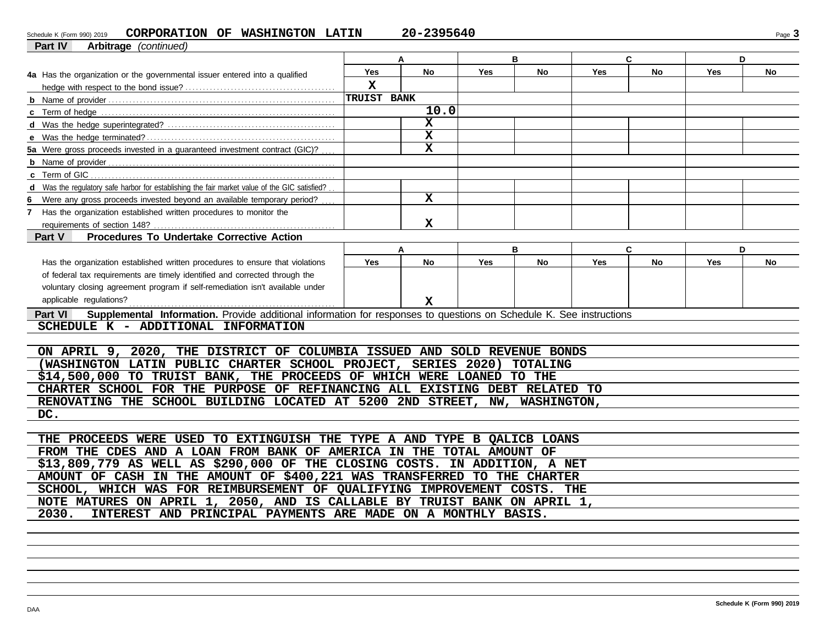### Schedule K (Form 990) 2019 **CORPORATION OF WASHINGTON LATIN** 20-2395640 Page 3

| Part IV<br>Arbitrage (continued)                                                                                               |             |             |            |                    |            |           |            |           |
|--------------------------------------------------------------------------------------------------------------------------------|-------------|-------------|------------|--------------------|------------|-----------|------------|-----------|
|                                                                                                                                |             | A           |            | в                  |            | C         |            | D         |
| 4a Has the organization or the governmental issuer entered into a qualified                                                    | <b>Yes</b>  | <b>No</b>   | <b>Yes</b> | <b>No</b>          | <b>Yes</b> | <b>No</b> | <b>Yes</b> | No        |
|                                                                                                                                | x           |             |            |                    |            |           |            |           |
|                                                                                                                                | TRUIST BANK |             |            |                    |            |           |            |           |
|                                                                                                                                |             | 10.0        |            |                    |            |           |            |           |
| d                                                                                                                              |             | $\mathbf x$ |            |                    |            |           |            |           |
|                                                                                                                                |             | X           |            |                    |            |           |            |           |
| 5a Were gross proceeds invested in a guaranteed investment contract (GIC)?                                                     |             | x           |            |                    |            |           |            |           |
|                                                                                                                                |             |             |            |                    |            |           |            |           |
| c Term of GIC.                                                                                                                 |             |             |            |                    |            |           |            |           |
| d Was the regulatory safe harbor for establishing the fair market value of the GIC satisfied?                                  |             |             |            |                    |            |           |            |           |
| Were any gross proceeds invested beyond an available temporary period?<br>6                                                    |             | $\mathbf x$ |            |                    |            |           |            |           |
| Has the organization established written procedures to monitor the                                                             |             |             |            |                    |            |           |            |           |
|                                                                                                                                |             | x           |            |                    |            |           |            |           |
| <b>Procedures To Undertake Corrective Action</b><br><b>Part V</b>                                                              |             |             |            |                    |            |           |            |           |
|                                                                                                                                |             |             |            | B                  |            | C         |            | D         |
|                                                                                                                                |             | A           |            |                    |            |           |            |           |
|                                                                                                                                |             |             |            |                    |            |           |            |           |
| Has the organization established written procedures to ensure that violations                                                  | <b>Yes</b>  | <b>No</b>   | <b>Yes</b> | <b>No</b>          | <b>Yes</b> | <b>No</b> | <b>Yes</b> | <b>No</b> |
| of federal tax requirements are timely identified and corrected through the                                                    |             |             |            |                    |            |           |            |           |
| voluntary closing agreement program if self-remediation isn't available under                                                  |             |             |            |                    |            |           |            |           |
| applicable regulations?                                                                                                        |             | $\mathbf x$ |            |                    |            |           |            |           |
| Supplemental Information. Provide additional information for responses to questions on Schedule K. See instructions<br>Part VI |             |             |            |                    |            |           |            |           |
| SCHEDULE K - ADDITIONAL INFORMATION                                                                                            |             |             |            |                    |            |           |            |           |
|                                                                                                                                |             |             |            |                    |            |           |            |           |
| ON APRIL 9, 2020,<br>THE DISTRICT OF COLUMBIA ISSUED AND SOLD REVENUE BONDS                                                    |             |             |            |                    |            |           |            |           |
| (WASHINGTON LATIN PUBLIC CHARTER SCHOOL PROJECT, SERIES 2020)                                                                  |             |             |            | <b>TOTALING</b>    |            |           |            |           |
| \$14,500,000 TO TRUIST BANK, THE PROCEEDS OF WHICH WERE LOANED                                                                 |             |             |            | TO THE             |            |           |            |           |
| CHARTER SCHOOL FOR THE PURPOSE OF REFINANCING ALL EXISTING DEBT RELATED TO                                                     |             |             |            |                    |            |           |            |           |
| RENOVATING THE SCHOOL BUILDING LOCATED AT 5200                                                                                 |             | 2ND STREET, | NW,        | <b>WASHINGTON,</b> |            |           |            |           |
| DC.                                                                                                                            |             |             |            |                    |            |           |            |           |

**THE PROCEEDS WERE USED TO EXTINGUISH THE TYPE A AND TYPE B QALICB LOANS FROM THE CDES AND A LOAN FROM BANK OF AMERICA IN THE TOTAL AMOUNT OF \$13,809,779 AS WELL AS \$290,000 OF THE CLOSING COSTS. IN ADDITION, A NET AMOUNT OF CASH IN THE AMOUNT OF \$400,221 WAS TRANSFERRED TO THE CHARTER SCHOOL, WHICH WAS FOR REIMBURSEMENT OF QUALIFYING IMPROVEMENT COSTS. THE NOTE MATURES ON APRIL 1, 2050, AND IS CALLABLE BY TRUIST BANK ON APRIL 1, 2030. INTEREST AND PRINCIPAL PAYMENTS ARE MADE ON A MONTHLY BASIS.**

**Schedule K (Form 990) 2019**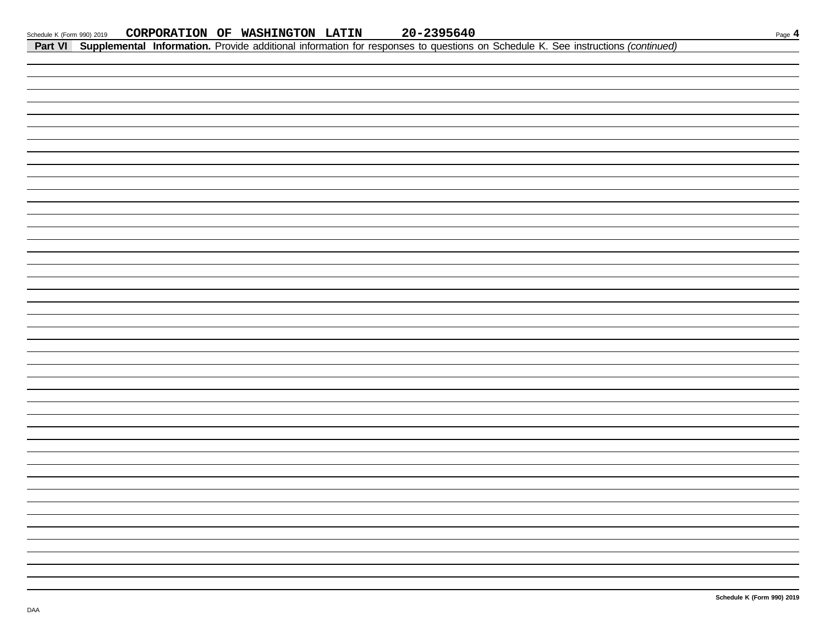**Part VI Supplemental Information.** Provide additional information for responses to questions on Schedule K. See instructions *(continued)*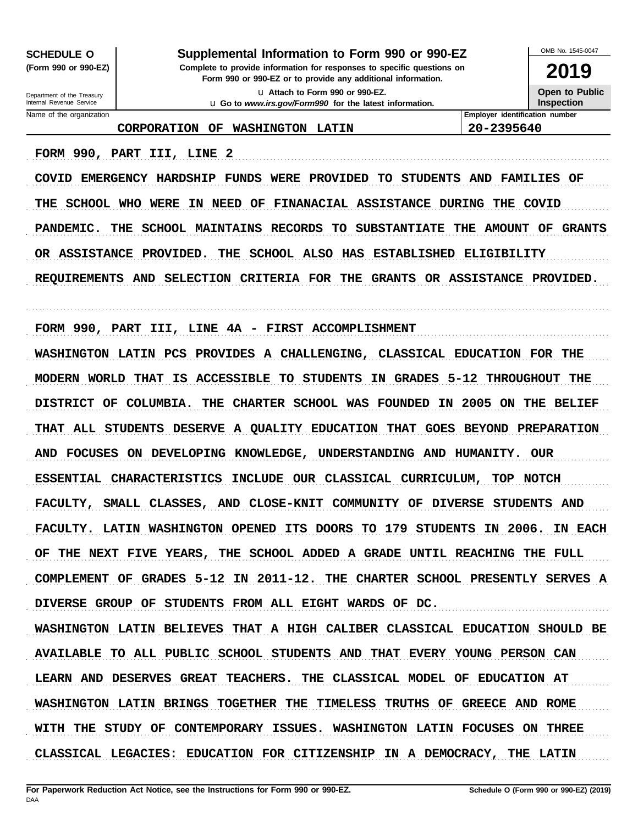### **SCHEDULE O Supplemental Information to Form 990 or 990-EZ**

**Form 990 or 990-EZ or to provide any additional information. (Form 990 or 990-EZ) Complete to provide information for responses to specific questions on**

u **Attach to Form 990 or 990-EZ.** u **Go to** *www.irs.gov/Form990* **for the latest information.** OMB No. 1545-0047 **2019**

**Open to Public**

**Inspection**

Name of the organization **Employer identification number Employer identification number** Internal Revenue Service Department of the Treasury

**CORPORATION OF WASHINGTON LATIN 20-2395640**

FORM 990, PART III, LINE 2 (1998) THE RESIDENT RESERVE TO REAL PROPERTY OF THE REAL PROPERTY OF THE REAL PROPERTY OF THE REAL PROPERTY OF THE REAL PROPERTY OF THE REAL PROPERTY OF THE REAL PROPERTY OF THE REAL PROPERTY OF

COVID EMERGENCY HARDSHIP FUNDS WERE PROVIDED TO STUDENTS AND FAMILIES OF THE SCHOOL WHO WERE IN NEED OF FINANACIAL ASSISTANCE DURING THE COVID PANDEMIC. THE SCHOOL MAINTAINS RECORDS TO SUBSTANTIATE THE AMOUNT OF GRANTS OR ASSISTANCE PROVIDED. THE SCHOOL ALSO HAS ESTABLISHED ELIGIBILITY REQUIREMENTS AND SELECTION CRITERIA FOR THE GRANTS OR ASSISTANCE PROVIDED.

. . . . . . . . . . . . . . . . . . . . . . . . . . . . . . . . . . . . . . . . . . . . . . . . . . . . . . . . . . . . . . . . . . . . . . . . . . . . . . . . . . . . . . . . . . . . . . . . . . . . . . . . . . . . . . . . . . . . . . . . . . . . . . . . . . . . . . . . . . . . . . . . . . . . . . . . . . . . . . . . . . . . . .

FORM 990, PART III, LINE 4A - FIRST ACCOMPLISHMENT

WASHINGTON LATIN PCS PROVIDES A CHALLENGING, CLASSICAL EDUCATION FOR THE MODERN WORLD THAT IS ACCESSIBLE TO STUDENTS IN GRADES 5-12 THROUGHOUT THE DISTRICT OF COLUMBIA. THE CHARTER SCHOOL WAS FOUNDED IN 2005 ON THE BELIEF THAT ALL STUDENTS DESERVE A QUALITY EDUCATION THAT GOES BEYOND PREPARATION AND FOCUSES ON DEVELOPING KNOWLEDGE, UNDERSTANDING AND HUMANITY. OUR ESSENTIAL CHARACTERISTICS INCLUDE OUR CLASSICAL CURRICULUM, TOP NOTCH FACULTY, SMALL CLASSES, AND CLOSE-KNIT COMMUNITY OF DIVERSE STUDENTS AND FACULTY. LATIN WASHINGTON OPENED ITS DOORS TO 179 STUDENTS IN 2006. IN EACH OF THE NEXT FIVE YEARS, THE SCHOOL ADDED A GRADE UNTIL REACHING THE FULL COMPLEMENT OF GRADES 5-12 IN 2011-12. THE CHARTER SCHOOL PRESENTLY SERVES A DIVERSE GROUP OF STUDENTS FROM ALL EIGHT WARDS OF DC. WASHINGTON LATIN BELIEVES THAT A HIGH CALIBER CLASSICAL EDUCATION SHOULD BE AVAILABLE TO ALL PUBLIC SCHOOL STUDENTS AND THAT EVERY YOUNG PERSON CAN LEARN AND DESERVES GREAT TEACHERS. THE CLASSICAL MODEL OF EDUCATION AT WASHINGTON LATIN BRINGS TOGETHER THE TIMELESS TRUTHS OF GREECE AND ROME WITH THE STUDY OF CONTEMPORARY ISSUES. WASHINGTON LATIN FOCUSES ON THREE CLASSICAL LEGACIES: EDUCATION FOR CITIZENSHIP IN A DEMOCRACY, THE LATIN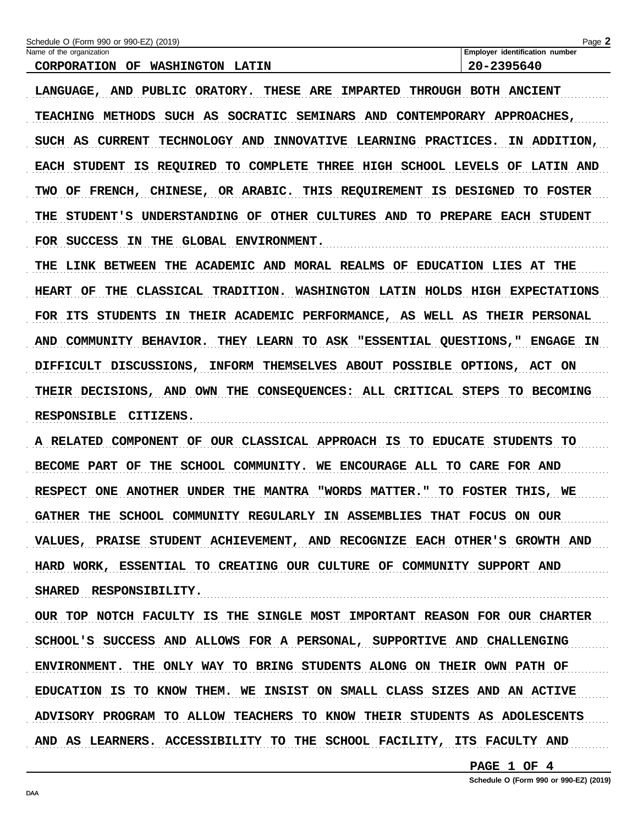| Schedule O (Form 990 or 990-EZ) (2019)                 | $P$ aqe $\blacktriangle$       |
|--------------------------------------------------------|--------------------------------|
| Name of the organization                               | Emplover identification number |
| CORPORATION<br><b>WASHINGTON</b><br>OF<br><b>LATIN</b> | 20-2395640                     |

LANGUAGE, AND PUBLIC ORATORY. THESE ARE IMPARTED THROUGH BOTH ANCIENT TEACHING METHODS SUCH AS SOCRATIC SEMINARS AND CONTEMPORARY APPROACHES, SUCH AS CURRENT TECHNOLOGY AND INNOVATIVE LEARNING PRACTICES. IN ADDITION, EACH STUDENT IS REQUIRED TO COMPLETE THREE HIGH SCHOOL LEVELS OF LATIN AND TWO OF FRENCH, CHINESE, OR ARABIC. THIS REQUIREMENT IS DESIGNED TO FOSTER THE STUDENT'S UNDERSTANDING OF OTHER CULTURES AND TO PREPARE EACH STUDENT FOR SUCCESS IN THE GLOBAL ENVIRONMENT.

THE LINK BETWEEN THE ACADEMIC AND MORAL REALMS OF EDUCATION LIES AT THE HEART OF THE CLASSICAL TRADITION. WASHINGTON LATIN HOLDS HIGH EXPECTATIONS FOR ITS STUDENTS IN THEIR ACADEMIC PERFORMANCE, AS WELL AS THEIR PERSONAL AND COMMUNITY BEHAVIOR. THEY LEARN TO ASK "ESSENTIAL QUESTIONS," ENGAGE IN DIFFICULT DISCUSSIONS, INFORM THEMSELVES ABOUT POSSIBLE OPTIONS, ACT ON THEIR DECISIONS, AND OWN THE CONSEQUENCES: ALL CRITICAL STEPS TO BECOMING RESPONSIBLE CITIZENS.

A RELATED COMPONENT OF OUR CLASSICAL APPROACH IS TO EDUCATE STUDENTS TO BECOME PART OF THE SCHOOL COMMUNITY. WE ENCOURAGE ALL TO CARE FOR AND RESPECT ONE ANOTHER UNDER THE MANTRA "WORDS MATTER." TO FOSTER THIS, WE GATHER THE SCHOOL COMMUNITY REGULARLY IN ASSEMBLIES THAT FOCUS ON OUR VALUES, PRAISE STUDENT ACHIEVEMENT, AND RECOGNIZE EACH OTHER'S GROWTH AND HARD WORK, ESSENTIAL TO CREATING OUR CULTURE OF COMMUNITY SUPPORT AND SHARED RESPONSIBILITY.

OUR TOP NOTCH FACULTY IS THE SINGLE MOST IMPORTANT REASON FOR OUR CHARTER SCHOOL'S SUCCESS AND ALLOWS FOR A PERSONAL, SUPPORTIVE AND CHALLENGING ENVIRONMENT. THE ONLY WAY TO BRING STUDENTS ALONG ON THEIR OWN PATH OF EDUCATION IS TO KNOW THEM. WE INSIST ON SMALL CLASS SIZES AND AN ACTIVE ADVISORY PROGRAM TO ALLOW TEACHERS TO KNOW THEIR STUDENTS AS ADOLESCENTS AND AS LEARNERS. ACCESSIBILITY TO THE SCHOOL FACILITY, ITS FACULTY AND

PAGE 1 OF 4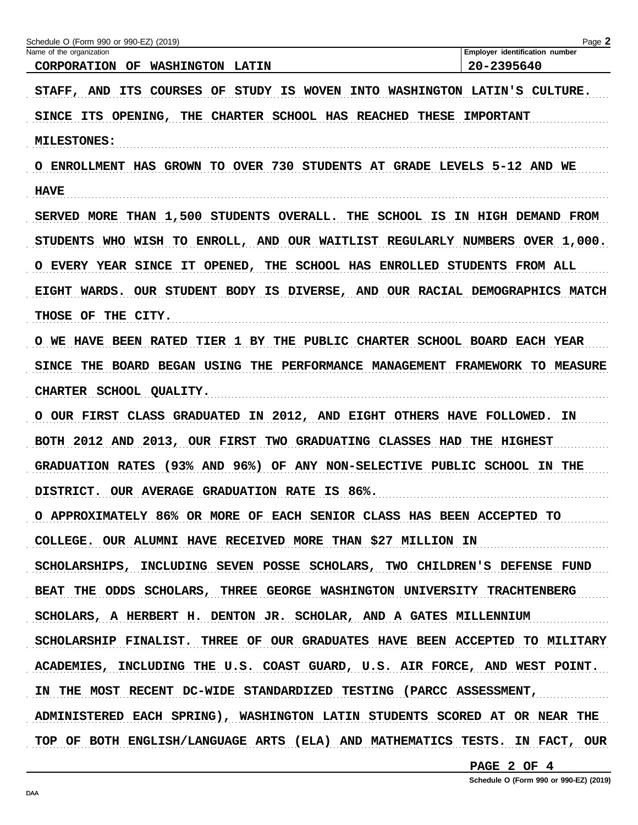| Schedule O (Form 990 or 990-EZ) (2019)                                             | Page 2                                       |
|------------------------------------------------------------------------------------|----------------------------------------------|
| Name of the organization<br>CORPORATION OF<br><b>WASHINGTON LATIN</b>              | Employer identification number<br>20-2395640 |
| STAFF, AND ITS COURSES OF STUDY IS WOVEN INTO WASHINGTON LATIN'S CULTURE.          |                                              |
| SINCE ITS OPENING, THE CHARTER SCHOOL HAS REACHED THESE IMPORTANT                  |                                              |
| <b>MILESTONES:</b>                                                                 |                                              |
| O ENROLLMENT HAS GROWN TO OVER 730 STUDENTS AT GRADE LEVELS 5-12 AND WE            |                                              |
| <b>HAVE</b>                                                                        |                                              |
| SERVED MORE THAN 1,500 STUDENTS OVERALL. THE SCHOOL IS IN HIGH DEMAND FROM         |                                              |
| STUDENTS WHO WISH TO ENROLL, AND OUR WAITLIST REGULARLY NUMBERS OVER 1,000.        |                                              |
| O EVERY YEAR SINCE IT OPENED, THE SCHOOL HAS ENROLLED STUDENTS FROM ALL            |                                              |
| EIGHT WARDS. OUR STUDENT BODY IS DIVERSE, AND OUR RACIAL DEMOGRAPHICS MATCH        |                                              |
| THOSE OF THE CITY.                                                                 |                                              |
| O WE HAVE BEEN RATED TIER 1 BY THE PUBLIC CHARTER SCHOOL BOARD EACH YEAR           |                                              |
| SINCE THE BOARD BEGAN USING THE PERFORMANCE MANAGEMENT FRAMEWORK TO MEASURE        |                                              |
| CHARTER SCHOOL QUALITY.                                                            |                                              |
| O OUR FIRST CLASS GRADUATED IN 2012, AND EIGHT OTHERS HAVE FOLLOWED. IN            |                                              |
| BOTH 2012 AND 2013, OUR FIRST TWO GRADUATING CLASSES HAD THE HIGHEST               |                                              |
| <b>GRADUATION RATES</b><br>(93% AND 96%) OF ANY NON-SELECTIVE PUBLIC SCHOOL IN THE |                                              |
| DISTRICT. OUR AVERAGE GRADUATION RATE IS 86%.                                      |                                              |
| O APPROXIMATELY 86% OR MORE OF EACH SENIOR CLASS HAS BEEN ACCEPTED TO              |                                              |
| COLLEGE. OUR ALUMNI HAVE RECEIVED MORE THAN \$27 MILLION IN                        |                                              |
| SCHOLARSHIPS, INCLUDING SEVEN POSSE SCHOLARS, TWO CHILDREN'S DEFENSE FUND          |                                              |
| BEAT THE ODDS SCHOLARS, THREE GEORGE WASHINGTON UNIVERSITY TRACHTENBERG            |                                              |
| SCHOLARS, A HERBERT H. DENTON JR. SCHOLAR, AND A GATES MILLENNIUM                  |                                              |
| SCHOLARSHIP FINALIST. THREE OF OUR GRADUATES HAVE BEEN ACCEPTED TO MILITARY        |                                              |
| ACADEMIES, INCLUDING THE U.S. COAST GUARD, U.S. AIR FORCE, AND WEST POINT.         |                                              |
| IN THE MOST RECENT DC-WIDE STANDARDIZED TESTING (PARCC ASSESSMENT,                 |                                              |
| ADMINISTERED EACH SPRING), WASHINGTON LATIN STUDENTS SCORED AT OR NEAR THE         |                                              |
| TOP OF BOTH ENGLISH/LANGUAGE ARTS (ELA) AND MATHEMATICS TESTS. IN FACT, OUR        |                                              |
|                                                                                    |                                              |

PAGE 2 OF 4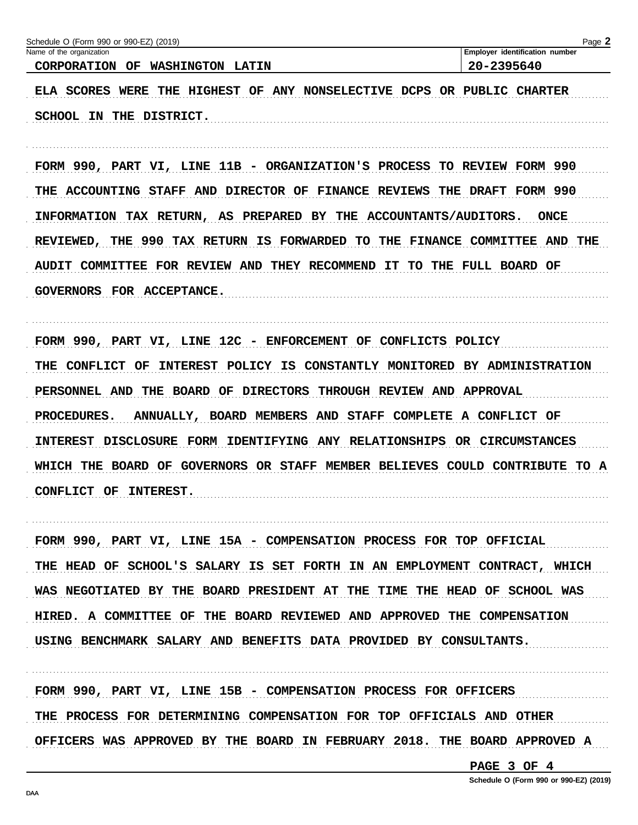| Schedule O (Form 990 or 990-EZ) (2019)                                              | Page 2                                              |
|-------------------------------------------------------------------------------------|-----------------------------------------------------|
| Name of the organization<br>CORPORATION OF WASHINGTON LATIN                         | <b>Employer identification number</b><br>20-2395640 |
| THE HIGHEST OF ANY NONSELECTIVE DCPS OR PUBLIC CHARTER<br>ELA SCORES WERE           |                                                     |
| SCHOOL IN THE DISTRICT.                                                             |                                                     |
|                                                                                     |                                                     |
|                                                                                     |                                                     |
| FORM 990, PART VI, LINE 11B - ORGANIZATION'S PROCESS TO REVIEW FORM 990             |                                                     |
| THE ACCOUNTING STAFF AND DIRECTOR OF FINANCE REVIEWS THE DRAFT FORM 990             |                                                     |
| INFORMATION TAX RETURN, AS PREPARED BY THE ACCOUNTANTS/AUDITORS.                    | <b>ONCE</b>                                         |
| REVIEWED, THE 990 TAX RETURN IS FORWARDED TO THE                                    | <b>FINANCE COMMITTEE AND THE</b>                    |
| AUDIT COMMITTEE FOR REVIEW AND THEY RECOMMEND IT TO THE FULL BOARD OF               |                                                     |
|                                                                                     |                                                     |
| GOVERNORS FOR ACCEPTANCE.                                                           |                                                     |
|                                                                                     |                                                     |
| FORM 990, PART VI, LINE 12C - ENFORCEMENT OF CONFLICTS POLICY                       |                                                     |
| <b>THE CONFLICT OF</b><br>INTEREST POLICY IS CONSTANTLY MONITORED BY ADMINISTRATION |                                                     |
| THE BOARD OF DIRECTORS THROUGH REVIEW AND APPROVAL<br>PERSONNEL AND                 |                                                     |
| ANNUALLY, BOARD MEMBERS AND STAFF COMPLETE A CONFLICT OF<br><b>PROCEDURES.</b>      |                                                     |
| DISCLOSURE FORM IDENTIFYING ANY RELATIONSHIPS OR CIRCUMSTANCES<br><b>INTEREST</b>   |                                                     |
| WHICH THE BOARD OF GOVERNORS OR STAFF MEMBER BELIEVES COULD CONTRIBUTE TO A         |                                                     |
|                                                                                     |                                                     |
| <b>INTEREST.</b><br>CONFLICT OF                                                     |                                                     |
|                                                                                     |                                                     |
| FORM 990, PART VI, LINE 15A - COMPENSATION PROCESS FOR TOP OFFICIAL                 |                                                     |
| THE HEAD OF SCHOOL'S SALARY IS SET FORTH IN AN EMPLOYMENT CONTRACT, WHICH           |                                                     |
| WAS NEGOTIATED BY THE BOARD PRESIDENT AT THE TIME THE HEAD OF SCHOOL WAS            |                                                     |
| HIRED. A COMMITTEE OF THE BOARD REVIEWED AND APPROVED THE COMPENSATION              |                                                     |
| USING BENCHMARK SALARY AND BENEFITS DATA PROVIDED BY CONSULTANTS.                   |                                                     |
|                                                                                     |                                                     |
|                                                                                     |                                                     |
| FORM 990, PART VI, LINE 15B - COMPENSATION PROCESS FOR OFFICERS                     |                                                     |
| THE PROCESS FOR DETERMINING COMPENSATION FOR TOP OFFICIALS AND OTHER                |                                                     |

OFFICERS WAS APPROVED BY THE BOARD IN FEBRUARY 2018. THE BOARD APPROVED A

PAGE 3 OF 4

Schedule O (Form 990 or 990-EZ) (2019)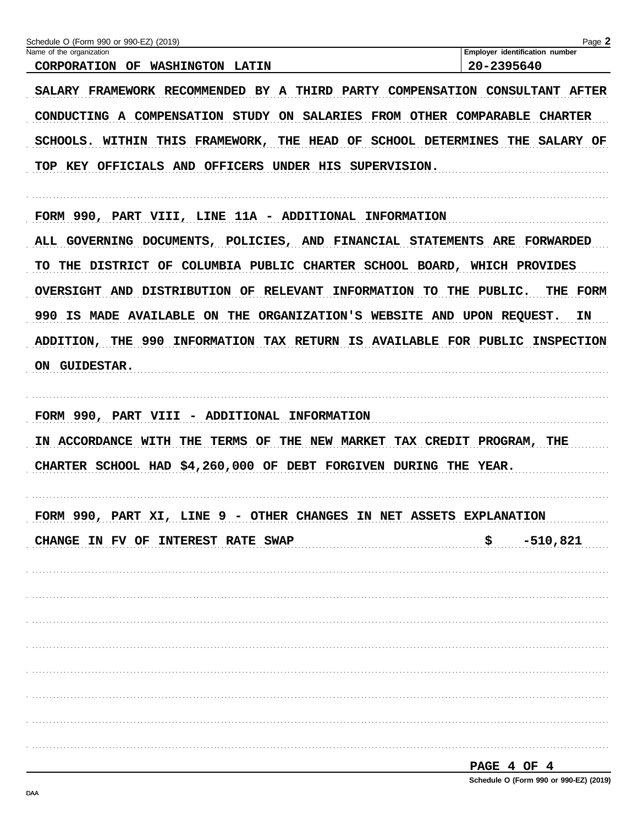| Schedule O (Form 990 or 990-EZ) (2019)                                      | Page 2                                       |
|-----------------------------------------------------------------------------|----------------------------------------------|
| Name of the organization<br>CORPORATION OF WASHINGTON LATIN                 | Employer identification number<br>20-2395640 |
|                                                                             |                                              |
| SALARY FRAMEWORK RECOMMENDED BY A THIRD PARTY COMPENSATION CONSULTANT AFTER |                                              |
| CONDUCTING A COMPENSATION STUDY ON SALARIES FROM OTHER COMPARABLE CHARTER   |                                              |
| SCHOOLS. WITHIN THIS FRAMEWORK, THE HEAD OF SCHOOL DETERMINES THE SALARY OF |                                              |
| TOP KEY OFFICIALS AND OFFICERS UNDER HIS SUPERVISION.                       |                                              |
|                                                                             |                                              |
| FORM 990, PART VIII, LINE 11A - ADDITIONAL INFORMATION                      |                                              |
| ALL GOVERNING DOCUMENTS, POLICIES, AND FINANCIAL STATEMENTS ARE FORWARDED   |                                              |
| TO THE DISTRICT OF COLUMBIA PUBLIC CHARTER SCHOOL BOARD, WHICH PROVIDES     |                                              |
| OVERSIGHT AND DISTRIBUTION OF RELEVANT INFORMATION TO                       | THE FORM<br>THE<br>PUBLIC.                   |
| 990 IS MADE AVAILABLE ON THE<br>ORGANIZATION'S WEBSITE AND UPON REQUEST.    | IN                                           |
| ADDITION, THE 990 INFORMATION TAX RETURN IS AVAILABLE FOR PUBLIC INSPECTION |                                              |
| ON GUIDESTAR.                                                               |                                              |
|                                                                             |                                              |
| FORM 990, PART VIII - ADDITIONAL INFORMATION                                |                                              |
| IN ACCORDANCE WITH<br>THE<br><b>TERMS</b><br>OF<br>THE<br><b>NEW MARKET</b> | TAX CREDIT PROGRAM, THE                      |
| CHARTER SCHOOL HAD \$4,260,000 OF DEBT FORGIVEN DURING THE                  | <b>YEAR.</b>                                 |
|                                                                             |                                              |
| FORM 990, PART XI, LINE 9 - OTHER CHANGES IN NET ASSETS EXPLANATION         |                                              |
| CHANGE IN FV OF INTEREST RATE SWAP                                          | $-510,821$<br>$\mathbf{S}$                   |
|                                                                             |                                              |
|                                                                             |                                              |
|                                                                             |                                              |
|                                                                             |                                              |
|                                                                             |                                              |
|                                                                             |                                              |
|                                                                             |                                              |
|                                                                             |                                              |
|                                                                             |                                              |
|                                                                             | PAGE 4 OF 4                                  |

| IAULI I VI I                           |  |  |
|----------------------------------------|--|--|
| Schedule O (Form 990 or 990-EZ) (2019) |  |  |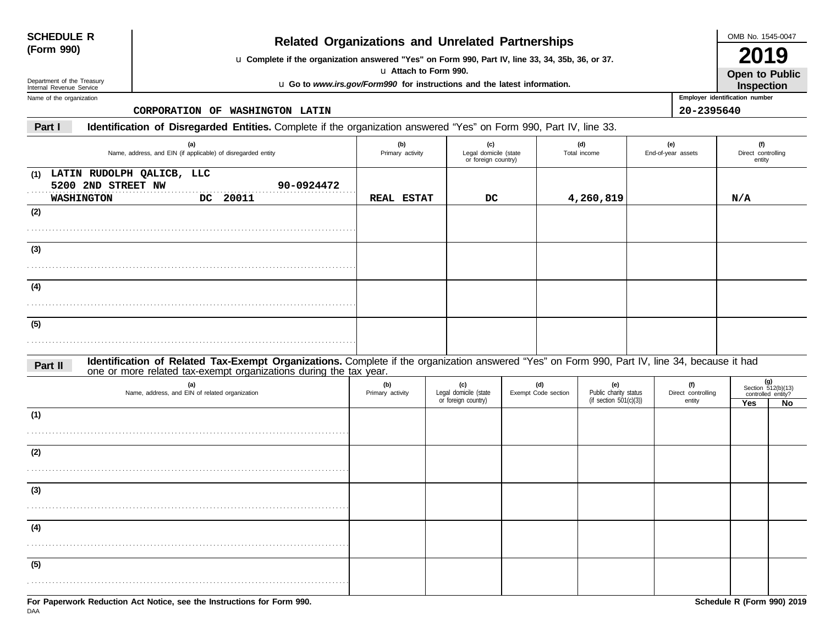| <b>SCHEDULE R</b> |  |
|-------------------|--|
| (Form 990)        |  |

## **(Form 990) Related Organizations and Unrelated Partnerships**

u **Complete if the organization answered "Yes" on Form 990, Part IV, line 33, 34, 35b, 36, or 37.**

u **Attach to Form 990.**

u **Go to** *www.irs.gov/Form990* **for instructions and the latest information.**

Department of the Treasury Internal Revenue Service Name of the organization

**CORPORATION OF WASHINGTON LATIN 20-2395640**

**Part I Identification of Disregarded Entities.** Complete if the organization answered "Yes" on Form 990, Part IV, line 33.

| (a)<br>Name, address, and EIN (if applicable) of disregarded entity                                                                                                                                                           |            | (b)<br>Primary activity | (c)<br>Legal domicile (state<br>or foreign country) |                            | (d)<br>Total income                                    | (e)<br>End-of-year assets           | (f)<br>Direct controlling<br>entity                             |    |
|-------------------------------------------------------------------------------------------------------------------------------------------------------------------------------------------------------------------------------|------------|-------------------------|-----------------------------------------------------|----------------------------|--------------------------------------------------------|-------------------------------------|-----------------------------------------------------------------|----|
| LATIN RUDOLPH QALICB, LLC<br>(1)<br>5200 2ND STREET NW<br>WASHINGTON<br>DC 20011                                                                                                                                              | 90-0924472 |                         | DC                                                  |                            |                                                        |                                     |                                                                 |    |
| (2)                                                                                                                                                                                                                           |            | REAL ESTAT              |                                                     |                            | 4,260,819                                              |                                     | N/A                                                             |    |
|                                                                                                                                                                                                                               |            |                         |                                                     |                            |                                                        |                                     |                                                                 |    |
| (3)                                                                                                                                                                                                                           |            |                         |                                                     |                            |                                                        |                                     |                                                                 |    |
| (4)                                                                                                                                                                                                                           |            |                         |                                                     |                            |                                                        |                                     |                                                                 |    |
|                                                                                                                                                                                                                               |            |                         |                                                     |                            |                                                        |                                     |                                                                 |    |
| (5)                                                                                                                                                                                                                           |            |                         |                                                     |                            |                                                        |                                     |                                                                 |    |
|                                                                                                                                                                                                                               |            |                         |                                                     |                            |                                                        |                                     |                                                                 |    |
| Identification of Related Tax-Exempt Organizations. Complete if the organization answered "Yes" on Form 990, Part IV, line 34, because it had<br>one or more related tax-exempt organizations during the tax year.<br>Part II |            |                         |                                                     |                            |                                                        |                                     |                                                                 |    |
| (a)<br>Name, address, and EIN of related organization                                                                                                                                                                         |            | (b)<br>Primary activity | (c)<br>Legal domicile (state<br>or foreign country) | (d)<br>Exempt Code section | (e)<br>Public charity status<br>(if section 501(c)(3)) | (f)<br>Direct controlling<br>entity | $(g)$<br>Section 512(b)(13)<br>controlled entity?<br><b>Yes</b> | No |
| (1)                                                                                                                                                                                                                           |            |                         |                                                     |                            |                                                        |                                     |                                                                 |    |
|                                                                                                                                                                                                                               |            |                         |                                                     |                            |                                                        |                                     |                                                                 |    |
| (2)                                                                                                                                                                                                                           |            |                         |                                                     |                            |                                                        |                                     |                                                                 |    |
|                                                                                                                                                                                                                               |            |                         |                                                     |                            |                                                        |                                     |                                                                 |    |
| (3)                                                                                                                                                                                                                           |            |                         |                                                     |                            |                                                        |                                     |                                                                 |    |
|                                                                                                                                                                                                                               |            |                         |                                                     |                            |                                                        |                                     |                                                                 |    |
| (4)                                                                                                                                                                                                                           |            |                         |                                                     |                            |                                                        |                                     |                                                                 |    |
|                                                                                                                                                                                                                               |            |                         |                                                     |                            |                                                        |                                     |                                                                 |    |
| (5)                                                                                                                                                                                                                           |            |                         |                                                     |                            |                                                        |                                     |                                                                 |    |

. . . . . . . . . . . . . . . . . . . . . . . . . . . . . . . . . . . . . . . . . . . . . . . . . . . . . . . . . . . . . . . . . . . . . . . . . . . . . . . . . . . . . . . . . . . .

OMB No. 1545-0047

**Open to Public 2019**

**Employer identification number Inspection**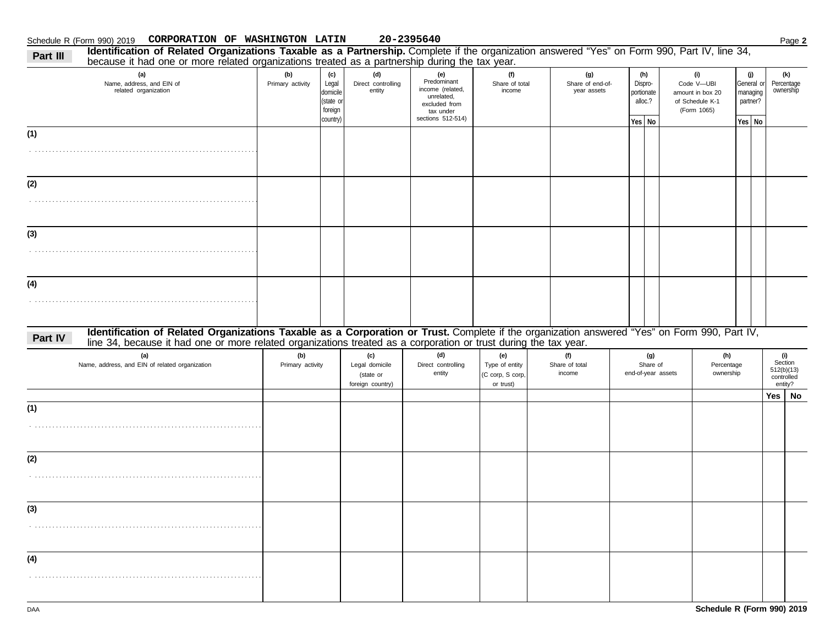### Schedule R (Form 990) 2019 Page **2 CORPORATION OF WASHINGTON LATIN 20-2395640**

| Part III | Identification of Related Organizations Taxable as a Partnership. Complete if the organization answered "Yes" on Form 990, Part IV, line 34,                                                                                                                     |                         |                                                              |                                                        |                                                                                                         |                                                        |                                        |                                                   |                                                                         |                                                       |                                                       |
|----------|------------------------------------------------------------------------------------------------------------------------------------------------------------------------------------------------------------------------------------------------------------------|-------------------------|--------------------------------------------------------------|--------------------------------------------------------|---------------------------------------------------------------------------------------------------------|--------------------------------------------------------|----------------------------------------|---------------------------------------------------|-------------------------------------------------------------------------|-------------------------------------------------------|-------------------------------------------------------|
|          | because it had one or more related organizations treated as a partnership during the tax year.<br>(a)<br>Name, address, and EIN of<br>related organization                                                                                                       | (b)<br>Primary activity | (c)<br>Legal<br>domicile<br>(state or<br>foreign<br>country) | (d)<br>Direct controlling<br>entity                    | (e)<br>Predominant<br>income (related,<br>unrelated,<br>excluded from<br>tax under<br>sections 512-514) | (f)<br>Share of total<br>income                        | (g)<br>Share of end-of-<br>year assets | (h)<br>Dispro-<br>portionate<br>alloc.?<br>Yes No | (i)<br>Code V-UBI<br>amount in box 20<br>of Schedule K-1<br>(Form 1065) | (j)<br>General or<br>managing<br>partner?<br>$Yes$ No | (k)<br>Percentage<br>ownership                        |
| (1)      |                                                                                                                                                                                                                                                                  |                         |                                                              |                                                        |                                                                                                         |                                                        |                                        |                                                   |                                                                         |                                                       |                                                       |
| (2)      |                                                                                                                                                                                                                                                                  |                         |                                                              |                                                        |                                                                                                         |                                                        |                                        |                                                   |                                                                         |                                                       |                                                       |
| (3)      |                                                                                                                                                                                                                                                                  |                         |                                                              |                                                        |                                                                                                         |                                                        |                                        |                                                   |                                                                         |                                                       |                                                       |
| (4)      |                                                                                                                                                                                                                                                                  |                         |                                                              |                                                        |                                                                                                         |                                                        |                                        |                                                   |                                                                         |                                                       |                                                       |
| Part IV  | Identification of Related Organizations Taxable as a Corporation or Trust. Complete if the organization answered "Yes" on Form 990, Part IV,<br>line 34, because it had one or more related organizations treated as a corporation or trust during the tax year. |                         |                                                              |                                                        |                                                                                                         |                                                        |                                        |                                                   |                                                                         |                                                       |                                                       |
|          | (a)<br>Name, address, and EIN of related organization                                                                                                                                                                                                            | (b)<br>Primary activity |                                                              | (c)<br>Legal domicile<br>(state or<br>foreign country) | (d)<br>Direct controlling<br>entity                                                                     | (e)<br>Type of entity<br>(C corp, S corp,<br>or trust) | (f)<br>Share of total<br>income        | (g)<br>Share of<br>end-of-year assets             | (h)<br>Percentage<br>ownership                                          |                                                       | (i)<br>Section<br>512(b)(13)<br>controlled<br>entity? |
|          |                                                                                                                                                                                                                                                                  |                         |                                                              |                                                        |                                                                                                         |                                                        |                                        |                                                   |                                                                         |                                                       | Yes   No                                              |
| (1)      |                                                                                                                                                                                                                                                                  |                         |                                                              |                                                        |                                                                                                         |                                                        |                                        |                                                   |                                                                         |                                                       |                                                       |
| (2)      |                                                                                                                                                                                                                                                                  |                         |                                                              |                                                        |                                                                                                         |                                                        |                                        |                                                   |                                                                         |                                                       |                                                       |
| (3)      |                                                                                                                                                                                                                                                                  |                         |                                                              |                                                        |                                                                                                         |                                                        |                                        |                                                   |                                                                         |                                                       |                                                       |
| (4)      |                                                                                                                                                                                                                                                                  |                         |                                                              |                                                        |                                                                                                         |                                                        |                                        |                                                   |                                                                         |                                                       |                                                       |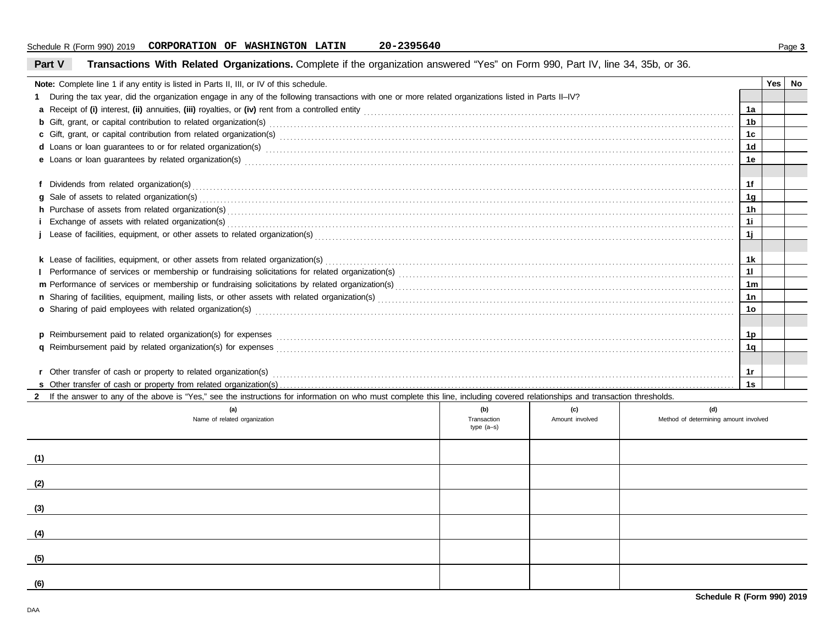### **Part V Transactions With Related Organizations.** Complete if the organization answered "Yes" on Form 990, Part IV, line 34, 35b, or 36.

|     | Note: Complete line 1 if any entity is listed in Parts II, III, or IV of this schedule.                                                                                        |                                   |                        |                                              |                | Yes | No |  |  |
|-----|--------------------------------------------------------------------------------------------------------------------------------------------------------------------------------|-----------------------------------|------------------------|----------------------------------------------|----------------|-----|----|--|--|
|     | During the tax year, did the organization engage in any of the following transactions with one or more related organizations listed in Parts II-IV?                            |                                   |                        |                                              |                |     |    |  |  |
|     |                                                                                                                                                                                |                                   |                        |                                              |                |     |    |  |  |
|     |                                                                                                                                                                                |                                   |                        |                                              |                |     |    |  |  |
|     |                                                                                                                                                                                |                                   |                        |                                              |                |     |    |  |  |
|     |                                                                                                                                                                                |                                   |                        |                                              | 1d             |     |    |  |  |
|     |                                                                                                                                                                                |                                   |                        |                                              | 1е             |     |    |  |  |
|     |                                                                                                                                                                                |                                   |                        |                                              |                |     |    |  |  |
|     |                                                                                                                                                                                |                                   |                        |                                              | 1f             |     |    |  |  |
|     |                                                                                                                                                                                |                                   |                        |                                              | 1q             |     |    |  |  |
|     |                                                                                                                                                                                |                                   |                        |                                              | 1 <sub>h</sub> |     |    |  |  |
|     |                                                                                                                                                                                |                                   |                        |                                              | 1i             |     |    |  |  |
|     |                                                                                                                                                                                |                                   |                        |                                              | 1i.            |     |    |  |  |
|     |                                                                                                                                                                                |                                   |                        |                                              |                |     |    |  |  |
|     |                                                                                                                                                                                |                                   |                        |                                              | 1k             |     |    |  |  |
|     |                                                                                                                                                                                |                                   |                        |                                              | 11             |     |    |  |  |
|     |                                                                                                                                                                                |                                   |                        |                                              | 1 <sub>m</sub> |     |    |  |  |
|     |                                                                                                                                                                                |                                   |                        |                                              | 1n             |     |    |  |  |
|     |                                                                                                                                                                                |                                   |                        |                                              | 1o             |     |    |  |  |
|     |                                                                                                                                                                                |                                   |                        |                                              |                |     |    |  |  |
|     |                                                                                                                                                                                |                                   |                        |                                              | 1p             |     |    |  |  |
|     |                                                                                                                                                                                |                                   |                        |                                              | 1q             |     |    |  |  |
|     |                                                                                                                                                                                |                                   |                        |                                              |                |     |    |  |  |
|     |                                                                                                                                                                                |                                   |                        |                                              |                |     |    |  |  |
| 1s  |                                                                                                                                                                                |                                   |                        |                                              |                |     |    |  |  |
|     | 2 If the answer to any of the above is "Yes," see the instructions for information on who must complete this line, including covered relationships and transaction thresholds. |                                   |                        |                                              |                |     |    |  |  |
|     | (a)<br>Name of related organization                                                                                                                                            | (b)<br>Transaction<br>$type(a-s)$ | (c)<br>Amount involved | (d)<br>Method of determining amount involved |                |     |    |  |  |
| (1) |                                                                                                                                                                                |                                   |                        |                                              |                |     |    |  |  |
| (2) |                                                                                                                                                                                |                                   |                        |                                              |                |     |    |  |  |
| (3) |                                                                                                                                                                                |                                   |                        |                                              |                |     |    |  |  |
| (4) |                                                                                                                                                                                |                                   |                        |                                              |                |     |    |  |  |
| (5) |                                                                                                                                                                                |                                   |                        |                                              |                |     |    |  |  |
|     |                                                                                                                                                                                |                                   |                        |                                              |                |     |    |  |  |

**(6)**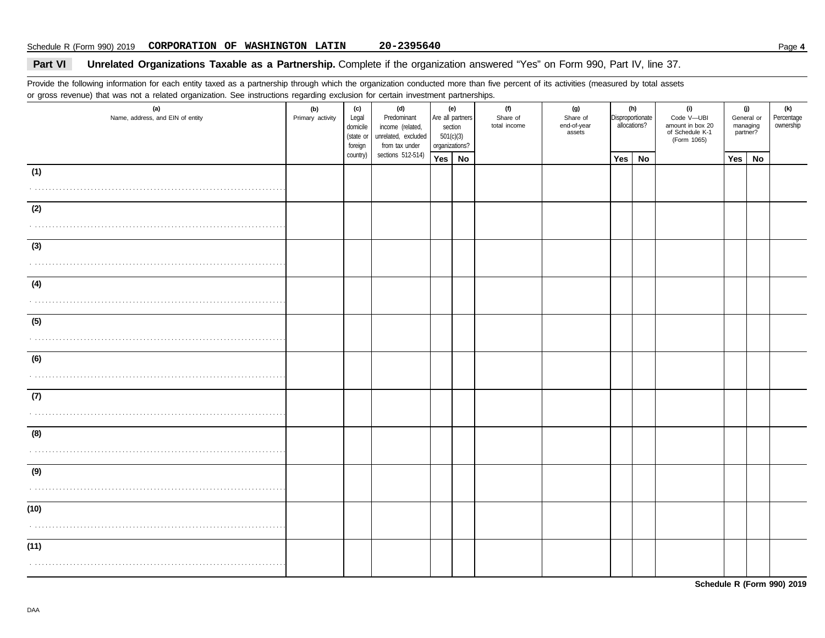### Part VI Unrelated Organizations Taxable as a Partnership. Complete if the organization answered "Yes" on Form 990, Part IV, line 37.

Provide the following information for each entity taxed as a partnership through which the organization conducted more than five percent of its activities (measured by total assets or gross revenue) that was not a related organization. See instructions regarding exclusion for certain investment partnerships.

| $\checkmark$<br>ັ<br>(a)<br>Name, address, and EIN of entity | ັ<br>ັ<br>(b)<br>Primary activity | (c)<br>Legal<br>domicile<br>(state or<br>foreign | (d)<br>Predominant<br>income (related,<br>unrelated, excluded<br>from tax under | (e)<br>Are all partners<br>section<br>501(c)(3)<br>organizations? |  | (f)<br>Share of<br>total income | (g)<br>Share of<br>end-of-year<br>assets | (h)<br>Disproportionate<br>allocations? |    | (i)<br>Code V-UBI<br>amount in box 20<br>of Schedule K-1<br>(Form 1065) | (j)<br>General or<br>managing<br>partner? |    | (k)<br>Percentage<br>ownership |
|--------------------------------------------------------------|-----------------------------------|--------------------------------------------------|---------------------------------------------------------------------------------|-------------------------------------------------------------------|--|---------------------------------|------------------------------------------|-----------------------------------------|----|-------------------------------------------------------------------------|-------------------------------------------|----|--------------------------------|
|                                                              |                                   | country)                                         | sections 512-514)                                                               | Yes   No                                                          |  |                                 |                                          | Yes                                     | No |                                                                         | Yes                                       | No |                                |
| (1)                                                          |                                   |                                                  |                                                                                 |                                                                   |  |                                 |                                          |                                         |    |                                                                         |                                           |    |                                |
|                                                              |                                   |                                                  |                                                                                 |                                                                   |  |                                 |                                          |                                         |    |                                                                         |                                           |    |                                |
| (2)                                                          |                                   |                                                  |                                                                                 |                                                                   |  |                                 |                                          |                                         |    |                                                                         |                                           |    |                                |
|                                                              |                                   |                                                  |                                                                                 |                                                                   |  |                                 |                                          |                                         |    |                                                                         |                                           |    |                                |
|                                                              |                                   |                                                  |                                                                                 |                                                                   |  |                                 |                                          |                                         |    |                                                                         |                                           |    |                                |
| (3)                                                          |                                   |                                                  |                                                                                 |                                                                   |  |                                 |                                          |                                         |    |                                                                         |                                           |    |                                |
|                                                              |                                   |                                                  |                                                                                 |                                                                   |  |                                 |                                          |                                         |    |                                                                         |                                           |    |                                |
| (4)                                                          |                                   |                                                  |                                                                                 |                                                                   |  |                                 |                                          |                                         |    |                                                                         |                                           |    |                                |
|                                                              |                                   |                                                  |                                                                                 |                                                                   |  |                                 |                                          |                                         |    |                                                                         |                                           |    |                                |
|                                                              |                                   |                                                  |                                                                                 |                                                                   |  |                                 |                                          |                                         |    |                                                                         |                                           |    |                                |
| (5)                                                          |                                   |                                                  |                                                                                 |                                                                   |  |                                 |                                          |                                         |    |                                                                         |                                           |    |                                |
|                                                              |                                   |                                                  |                                                                                 |                                                                   |  |                                 |                                          |                                         |    |                                                                         |                                           |    |                                |
| (6)                                                          |                                   |                                                  |                                                                                 |                                                                   |  |                                 |                                          |                                         |    |                                                                         |                                           |    |                                |
|                                                              |                                   |                                                  |                                                                                 |                                                                   |  |                                 |                                          |                                         |    |                                                                         |                                           |    |                                |
|                                                              |                                   |                                                  |                                                                                 |                                                                   |  |                                 |                                          |                                         |    |                                                                         |                                           |    |                                |
| (7)                                                          |                                   |                                                  |                                                                                 |                                                                   |  |                                 |                                          |                                         |    |                                                                         |                                           |    |                                |
|                                                              |                                   |                                                  |                                                                                 |                                                                   |  |                                 |                                          |                                         |    |                                                                         |                                           |    |                                |
| (8)                                                          |                                   |                                                  |                                                                                 |                                                                   |  |                                 |                                          |                                         |    |                                                                         |                                           |    |                                |
|                                                              |                                   |                                                  |                                                                                 |                                                                   |  |                                 |                                          |                                         |    |                                                                         |                                           |    |                                |
|                                                              |                                   |                                                  |                                                                                 |                                                                   |  |                                 |                                          |                                         |    |                                                                         |                                           |    |                                |
| (9)                                                          |                                   |                                                  |                                                                                 |                                                                   |  |                                 |                                          |                                         |    |                                                                         |                                           |    |                                |
|                                                              |                                   |                                                  |                                                                                 |                                                                   |  |                                 |                                          |                                         |    |                                                                         |                                           |    |                                |
|                                                              |                                   |                                                  |                                                                                 |                                                                   |  |                                 |                                          |                                         |    |                                                                         |                                           |    |                                |
| (10)                                                         |                                   |                                                  |                                                                                 |                                                                   |  |                                 |                                          |                                         |    |                                                                         |                                           |    |                                |
|                                                              |                                   |                                                  |                                                                                 |                                                                   |  |                                 |                                          |                                         |    |                                                                         |                                           |    |                                |
| (11)                                                         |                                   |                                                  |                                                                                 |                                                                   |  |                                 |                                          |                                         |    |                                                                         |                                           |    |                                |
|                                                              |                                   |                                                  |                                                                                 |                                                                   |  |                                 |                                          |                                         |    |                                                                         |                                           |    |                                |
|                                                              |                                   |                                                  |                                                                                 |                                                                   |  |                                 |                                          |                                         |    |                                                                         |                                           |    |                                |

**Schedule R (Form 990) 2019**